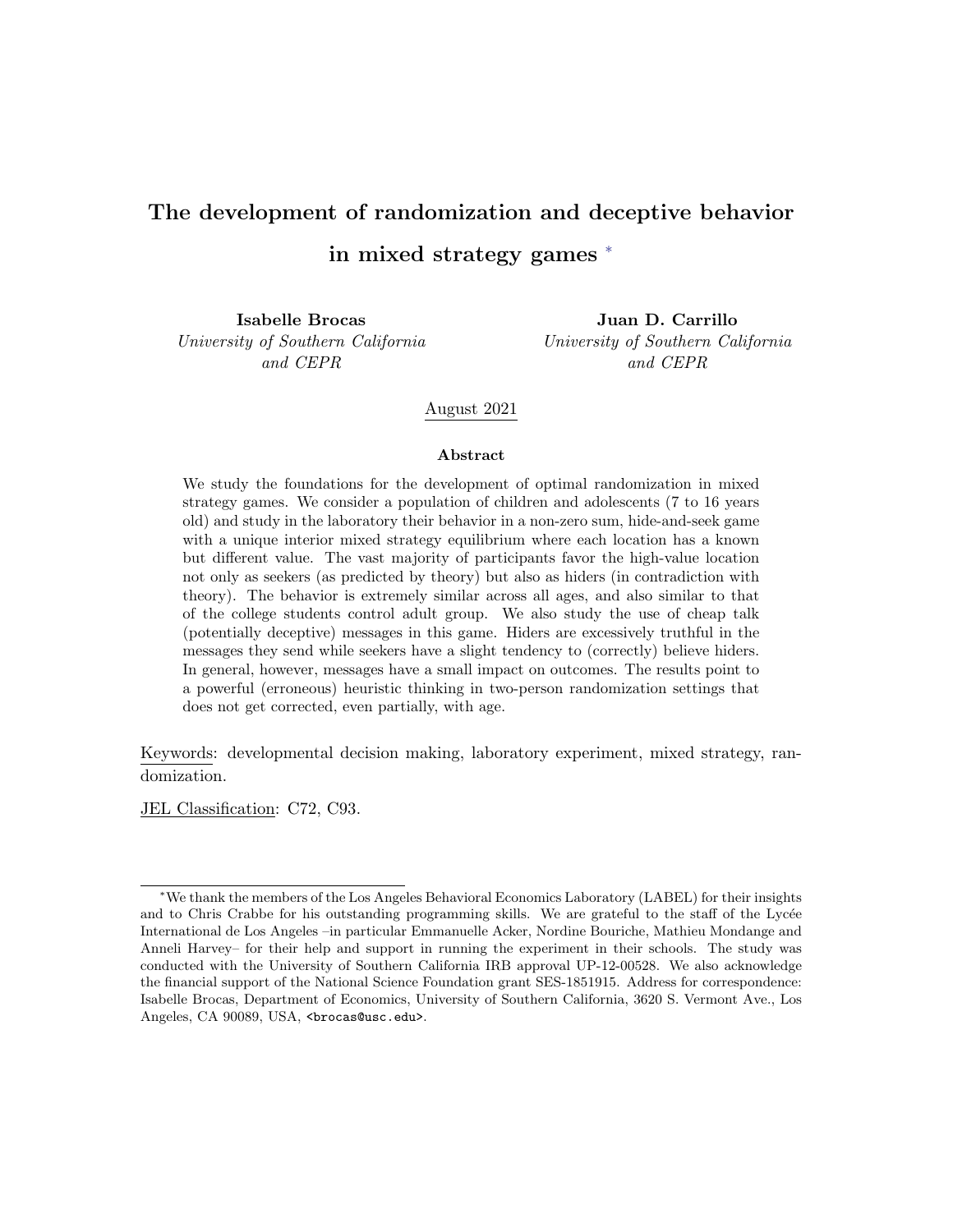# The development of randomization and deceptive behavior in mixed strategy games [∗](#page-0-0)

Isabelle Brocas University of Southern California and CEPR

Juan D. Carrillo University of Southern California and CEPR

#### August 2021

#### Abstract

We study the foundations for the development of optimal randomization in mixed strategy games. We consider a population of children and adolescents (7 to 16 years old) and study in the laboratory their behavior in a non-zero sum, hide-and-seek game with a unique interior mixed strategy equilibrium where each location has a known but different value. The vast majority of participants favor the high-value location not only as seekers (as predicted by theory) but also as hiders (in contradiction with theory). The behavior is extremely similar across all ages, and also similar to that of the college students control adult group. We also study the use of cheap talk (potentially deceptive) messages in this game. Hiders are excessively truthful in the messages they send while seekers have a slight tendency to (correctly) believe hiders. In general, however, messages have a small impact on outcomes. The results point to a powerful (erroneous) heuristic thinking in two-person randomization settings that does not get corrected, even partially, with age.

Keywords: developmental decision making, laboratory experiment, mixed strategy, randomization.

JEL Classification: C72, C93.

<span id="page-0-0"></span><sup>∗</sup>We thank the members of the Los Angeles Behavioral Economics Laboratory (LABEL) for their insights and to Chris Crabbe for his outstanding programming skills. We are grateful to the staff of the Lycée International de Los Angeles –in particular Emmanuelle Acker, Nordine Bouriche, Mathieu Mondange and Anneli Harvey– for their help and support in running the experiment in their schools. The study was conducted with the University of Southern California IRB approval UP-12-00528. We also acknowledge the financial support of the National Science Foundation grant SES-1851915. Address for correspondence: Isabelle Brocas, Department of Economics, University of Southern California, 3620 S. Vermont Ave., Los Angeles, CA 90089, USA, <brocas@usc.edu>.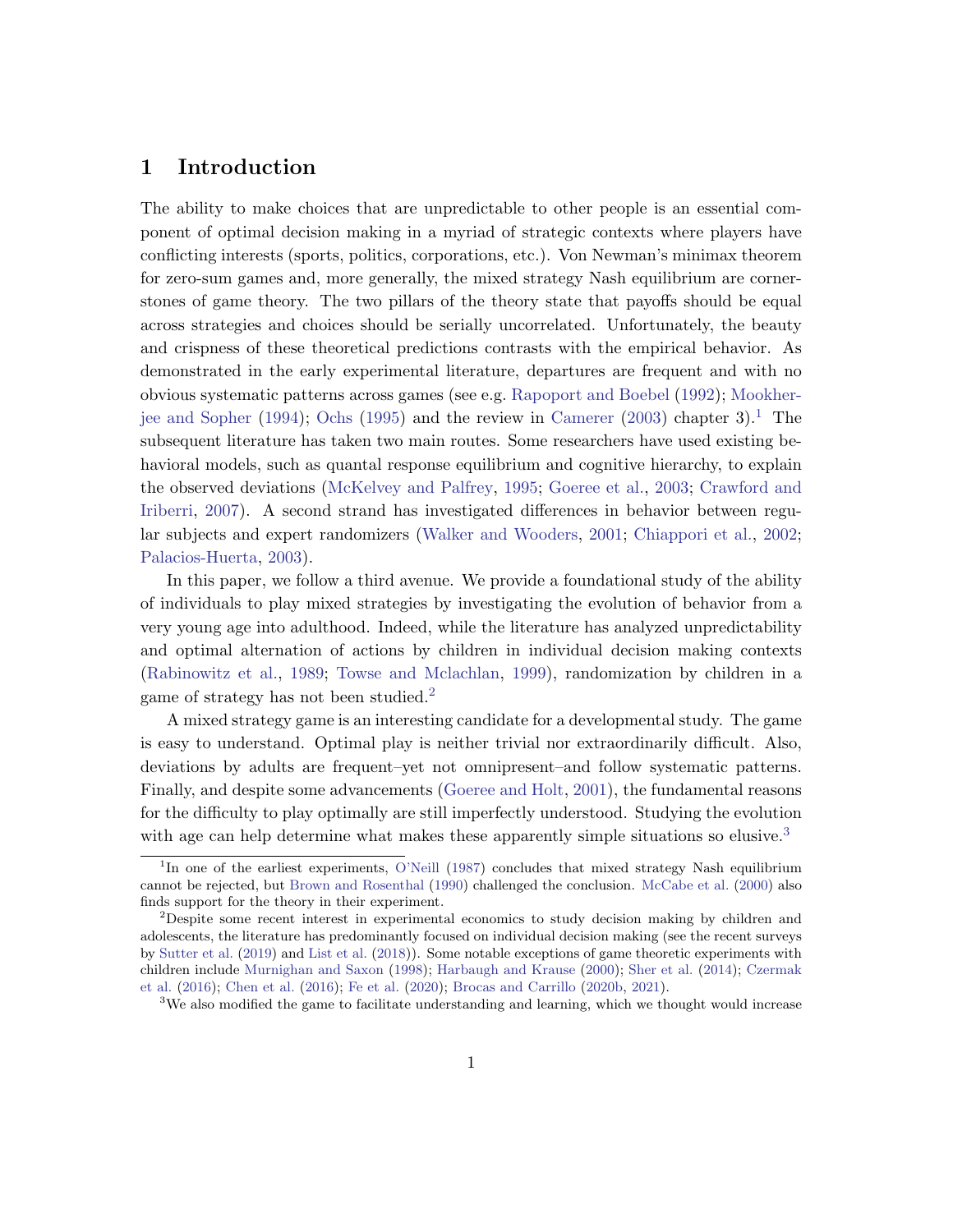### 1 Introduction

The ability to make choices that are unpredictable to other people is an essential component of optimal decision making in a myriad of strategic contexts where players have conflicting interests (sports, politics, corporations, etc.). Von Newman's minimax theorem for zero-sum games and, more generally, the mixed strategy Nash equilibrium are cornerstones of game theory. The two pillars of the theory state that payoffs should be equal across strategies and choices should be serially uncorrelated. Unfortunately, the beauty and crispness of these theoretical predictions contrasts with the empirical behavior. As demonstrated in the early experimental literature, departures are frequent and with no obvious systematic patterns across games (see e.g. [Rapoport and Boebel](#page-34-0) [\(1992\)](#page-34-0); [Mookher](#page-33-0)[jee and Sopher](#page-33-0) [\(1994\)](#page-33-0); [Ochs](#page-33-1) [\(1995\)](#page-33-1) and the review in [Camerer](#page-31-0) [\(2003\)](#page-31-0) chapter 3).<sup>[1](#page-1-0)</sup> The subsequent literature has taken two main routes. Some researchers have used existing behavioral models, such as quantal response equilibrium and cognitive hierarchy, to explain the observed deviations [\(McKelvey and Palfrey,](#page-33-2) [1995;](#page-33-2) [Goeree et al.,](#page-32-0) [2003;](#page-32-0) [Crawford and](#page-32-1) [Iriberri,](#page-32-1) [2007\)](#page-32-1). A second strand has investigated differences in behavior between regular subjects and expert randomizers [\(Walker and Wooders,](#page-34-1) [2001;](#page-34-1) [Chiappori et al.,](#page-32-2) [2002;](#page-32-2) [Palacios-Huerta,](#page-34-2) [2003\)](#page-34-2).

In this paper, we follow a third avenue. We provide a foundational study of the ability of individuals to play mixed strategies by investigating the evolution of behavior from a very young age into adulthood. Indeed, while the literature has analyzed unpredictability and optimal alternation of actions by children in individual decision making contexts [\(Rabinowitz et al.,](#page-34-3) [1989;](#page-34-3) [Towse and Mclachlan,](#page-34-4) [1999\)](#page-34-4), randomization by children in a game of strategy has not been studied.<sup>[2](#page-1-1)</sup>

A mixed strategy game is an interesting candidate for a developmental study. The game is easy to understand. Optimal play is neither trivial nor extraordinarily difficult. Also, deviations by adults are frequent–yet not omnipresent–and follow systematic patterns. Finally, and despite some advancements [\(Goeree and Holt,](#page-32-3) [2001\)](#page-32-3), the fundamental reasons for the difficulty to play optimally are still imperfectly understood. Studying the evolution with age can help determine what makes these apparently simple situations so elusive.<sup>[3](#page-1-2)</sup>

<span id="page-1-0"></span><sup>&</sup>lt;sup>1</sup>In one of the earliest experiments, [O'Neill](#page-33-3) [\(1987\)](#page-33-3) concludes that mixed strategy Nash equilibrium cannot be rejected, but [Brown and Rosenthal](#page-31-1) [\(1990\)](#page-31-1) challenged the conclusion. [McCabe et al.](#page-33-4) [\(2000\)](#page-33-4) also finds support for the theory in their experiment.

<span id="page-1-1"></span><sup>2</sup>Despite some recent interest in experimental economics to study decision making by children and adolescents, the literature has predominantly focused on individual decision making (see the recent surveys by [Sutter et al.](#page-34-5) [\(2019\)](#page-34-5) and [List et al.](#page-33-5) [\(2018\)](#page-33-5)). Some notable exceptions of game theoretic experiments with children include [Murnighan and Saxon](#page-33-6) [\(1998\)](#page-33-6); [Harbaugh and Krause](#page-33-7) [\(2000\)](#page-33-7); [Sher et al.](#page-34-6) [\(2014\)](#page-34-6); [Czermak](#page-32-4) [et al.](#page-32-4) [\(2016\)](#page-32-4); [Chen et al.](#page-31-2) [\(2016\)](#page-31-2); [Fe et al.](#page-32-5) [\(2020\)](#page-32-5); [Brocas and Carrillo](#page-31-3) [\(2020b,](#page-31-3) [2021\)](#page-31-4).

<span id="page-1-2"></span><sup>&</sup>lt;sup>3</sup>We also modified the game to facilitate understanding and learning, which we thought would increase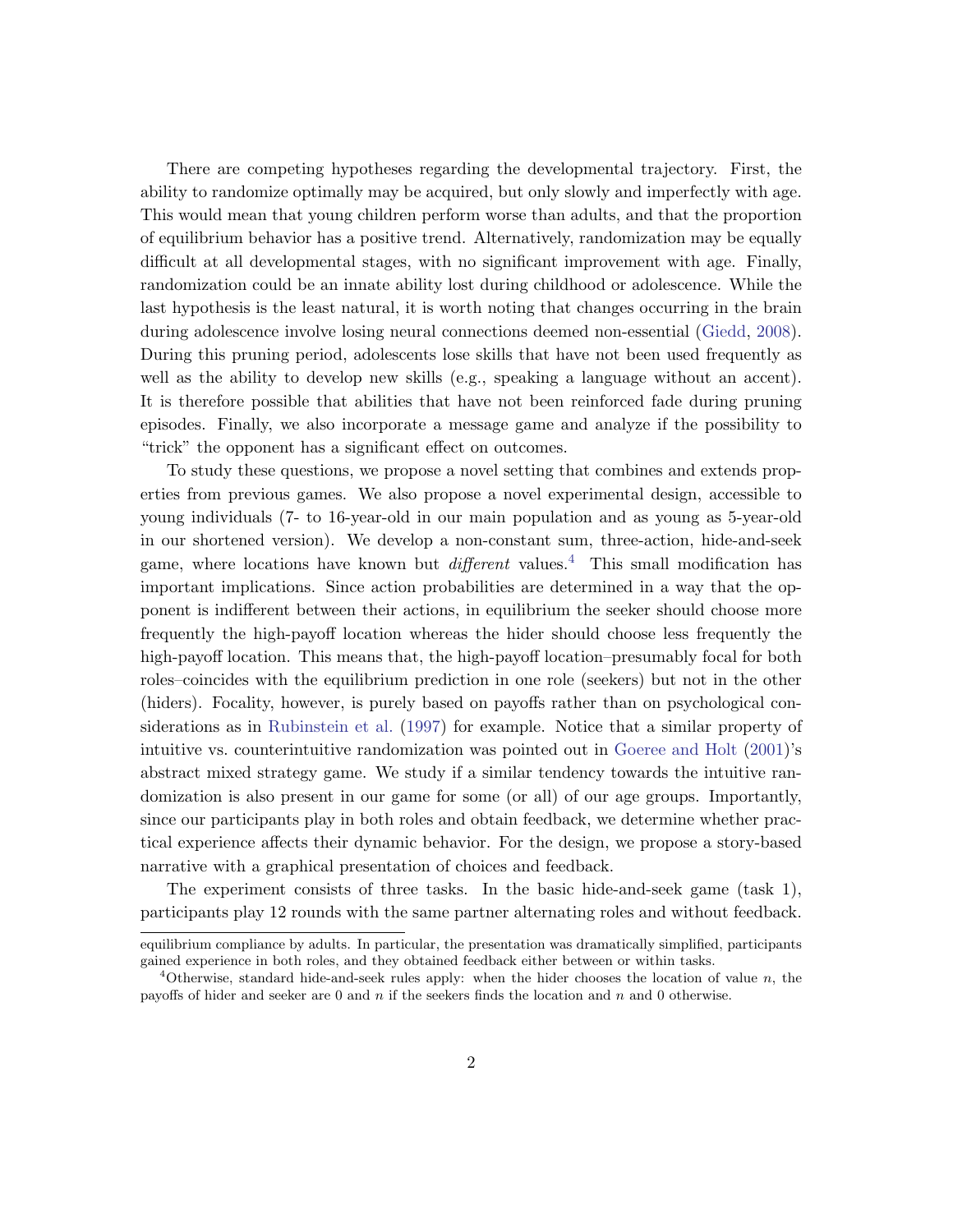There are competing hypotheses regarding the developmental trajectory. First, the ability to randomize optimally may be acquired, but only slowly and imperfectly with age. This would mean that young children perform worse than adults, and that the proportion of equilibrium behavior has a positive trend. Alternatively, randomization may be equally difficult at all developmental stages, with no significant improvement with age. Finally, randomization could be an innate ability lost during childhood or adolescence. While the last hypothesis is the least natural, it is worth noting that changes occurring in the brain during adolescence involve losing neural connections deemed non-essential [\(Giedd,](#page-32-6) [2008\)](#page-32-6). During this pruning period, adolescents lose skills that have not been used frequently as well as the ability to develop new skills (e.g., speaking a language without an accent). It is therefore possible that abilities that have not been reinforced fade during pruning episodes. Finally, we also incorporate a message game and analyze if the possibility to "trick" the opponent has a significant effect on outcomes.

To study these questions, we propose a novel setting that combines and extends properties from previous games. We also propose a novel experimental design, accessible to young individuals (7- to 16-year-old in our main population and as young as 5-year-old in our shortened version). We develop a non-constant sum, three-action, hide-and-seek game, where locations have known but  $differential$  values.<sup>[4](#page-2-0)</sup> This small modification has important implications. Since action probabilities are determined in a way that the opponent is indifferent between their actions, in equilibrium the seeker should choose more frequently the high-payoff location whereas the hider should choose less frequently the high-payoff location. This means that, the high-payoff location–presumably focal for both roles–coincides with the equilibrium prediction in one role (seekers) but not in the other (hiders). Focality, however, is purely based on payoffs rather than on psychological considerations as in [Rubinstein et al.](#page-34-7) [\(1997\)](#page-34-7) for example. Notice that a similar property of intuitive vs. counterintuitive randomization was pointed out in [Goeree and Holt](#page-32-3) [\(2001\)](#page-32-3)'s abstract mixed strategy game. We study if a similar tendency towards the intuitive randomization is also present in our game for some (or all) of our age groups. Importantly, since our participants play in both roles and obtain feedback, we determine whether practical experience affects their dynamic behavior. For the design, we propose a story-based narrative with a graphical presentation of choices and feedback.

The experiment consists of three tasks. In the basic hide-and-seek game (task 1), participants play 12 rounds with the same partner alternating roles and without feedback.

equilibrium compliance by adults. In particular, the presentation was dramatically simplified, participants gained experience in both roles, and they obtained feedback either between or within tasks.

<span id="page-2-0"></span><sup>&</sup>lt;sup>4</sup>Otherwise, standard hide-and-seek rules apply: when the hider chooses the location of value n, the payoffs of hider and seeker are 0 and  $n$  if the seekers finds the location and  $n$  and 0 otherwise.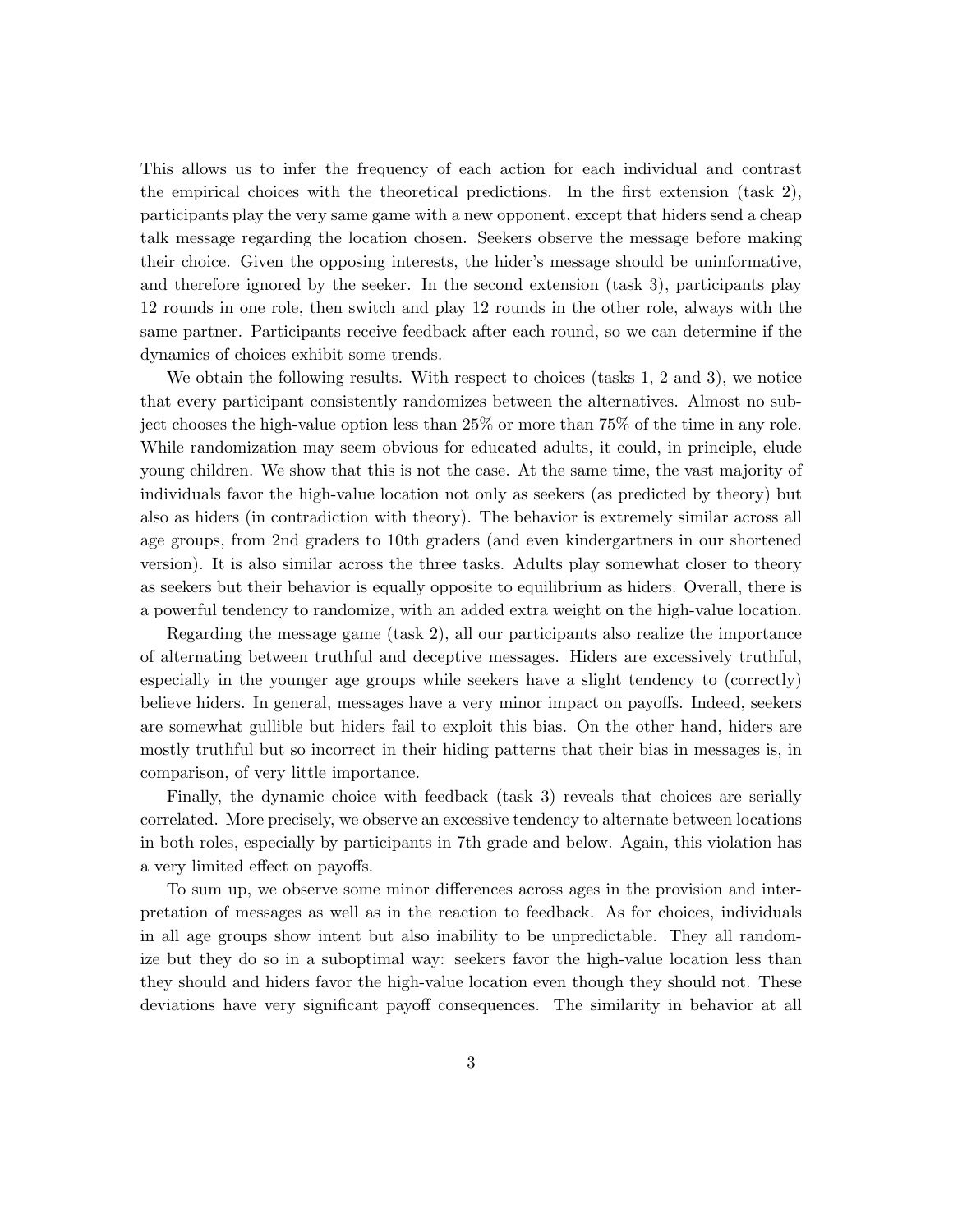This allows us to infer the frequency of each action for each individual and contrast the empirical choices with the theoretical predictions. In the first extension (task 2), participants play the very same game with a new opponent, except that hiders send a cheap talk message regarding the location chosen. Seekers observe the message before making their choice. Given the opposing interests, the hider's message should be uninformative, and therefore ignored by the seeker. In the second extension (task 3), participants play 12 rounds in one role, then switch and play 12 rounds in the other role, always with the same partner. Participants receive feedback after each round, so we can determine if the dynamics of choices exhibit some trends.

We obtain the following results. With respect to choices (tasks 1, 2 and 3), we notice that every participant consistently randomizes between the alternatives. Almost no subject chooses the high-value option less than 25% or more than 75% of the time in any role. While randomization may seem obvious for educated adults, it could, in principle, elude young children. We show that this is not the case. At the same time, the vast majority of individuals favor the high-value location not only as seekers (as predicted by theory) but also as hiders (in contradiction with theory). The behavior is extremely similar across all age groups, from 2nd graders to 10th graders (and even kindergartners in our shortened version). It is also similar across the three tasks. Adults play somewhat closer to theory as seekers but their behavior is equally opposite to equilibrium as hiders. Overall, there is a powerful tendency to randomize, with an added extra weight on the high-value location.

Regarding the message game (task 2), all our participants also realize the importance of alternating between truthful and deceptive messages. Hiders are excessively truthful, especially in the younger age groups while seekers have a slight tendency to (correctly) believe hiders. In general, messages have a very minor impact on payoffs. Indeed, seekers are somewhat gullible but hiders fail to exploit this bias. On the other hand, hiders are mostly truthful but so incorrect in their hiding patterns that their bias in messages is, in comparison, of very little importance.

Finally, the dynamic choice with feedback (task 3) reveals that choices are serially correlated. More precisely, we observe an excessive tendency to alternate between locations in both roles, especially by participants in 7th grade and below. Again, this violation has a very limited effect on payoffs.

To sum up, we observe some minor differences across ages in the provision and interpretation of messages as well as in the reaction to feedback. As for choices, individuals in all age groups show intent but also inability to be unpredictable. They all randomize but they do so in a suboptimal way: seekers favor the high-value location less than they should and hiders favor the high-value location even though they should not. These deviations have very significant payoff consequences. The similarity in behavior at all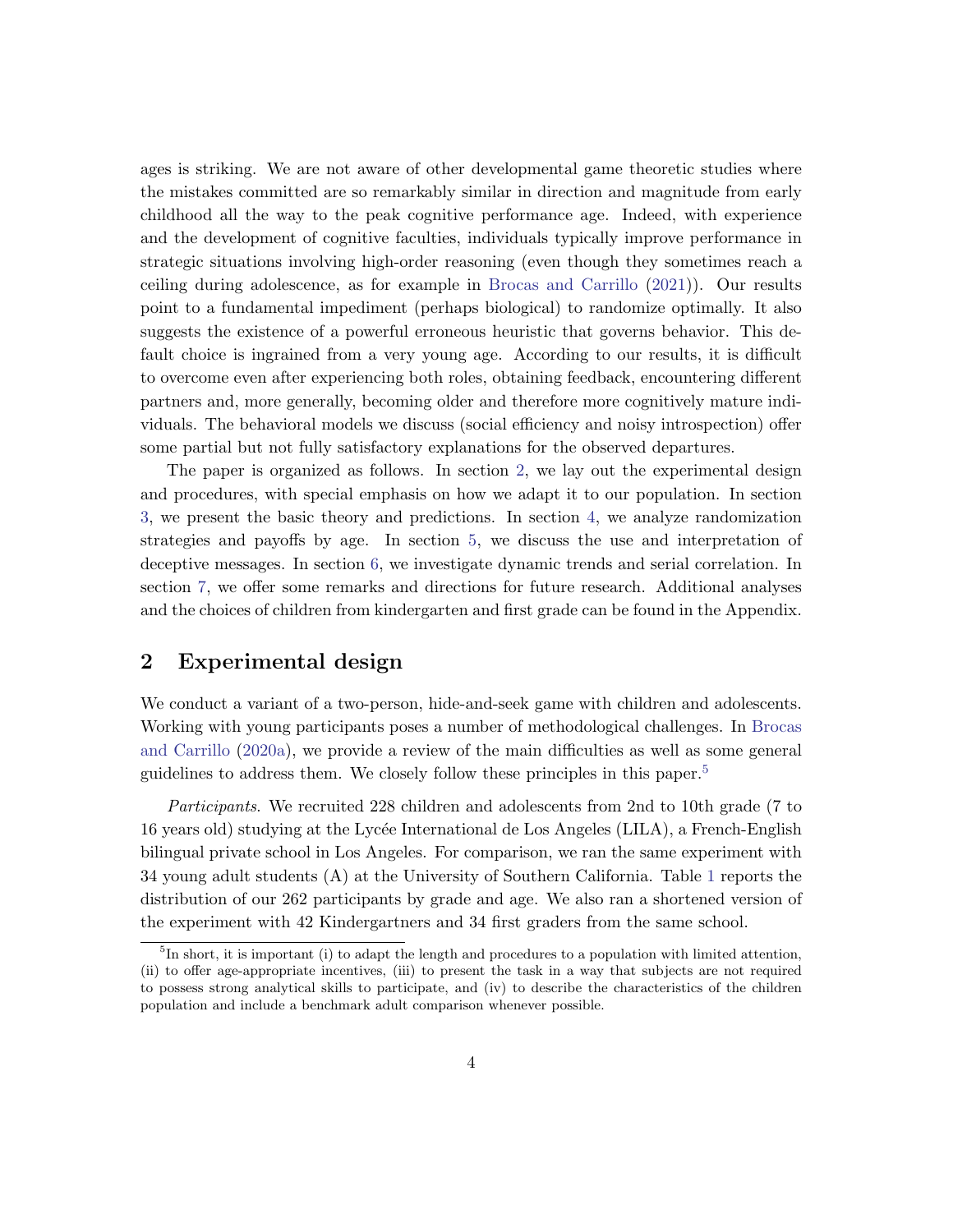ages is striking. We are not aware of other developmental game theoretic studies where the mistakes committed are so remarkably similar in direction and magnitude from early childhood all the way to the peak cognitive performance age. Indeed, with experience and the development of cognitive faculties, individuals typically improve performance in strategic situations involving high-order reasoning (even though they sometimes reach a ceiling during adolescence, as for example in [Brocas and Carrillo](#page-31-4) [\(2021\)](#page-31-4)). Our results point to a fundamental impediment (perhaps biological) to randomize optimally. It also suggests the existence of a powerful erroneous heuristic that governs behavior. This default choice is ingrained from a very young age. According to our results, it is difficult to overcome even after experiencing both roles, obtaining feedback, encountering different partners and, more generally, becoming older and therefore more cognitively mature individuals. The behavioral models we discuss (social efficiency and noisy introspection) offer some partial but not fully satisfactory explanations for the observed departures.

The paper is organized as follows. In section [2,](#page-4-0) we lay out the experimental design and procedures, with special emphasis on how we adapt it to our population. In section [3,](#page-10-0) we present the basic theory and predictions. In section [4,](#page-14-0) we analyze randomization strategies and payoffs by age. In section [5,](#page-23-0) we discuss the use and interpretation of deceptive messages. In section [6,](#page-25-0) we investigate dynamic trends and serial correlation. In section [7,](#page-29-0) we offer some remarks and directions for future research. Additional analyses and the choices of children from kindergarten and first grade can be found in the Appendix.

# <span id="page-4-0"></span>2 Experimental design

We conduct a variant of a two-person, hide-and-seek game with children and adolescents. Working with young participants poses a number of methodological challenges. In [Brocas](#page-31-5) [and Carrillo](#page-31-5) [\(2020a\)](#page-31-5), we provide a review of the main difficulties as well as some general guidelines to address them. We closely follow these principles in this paper.<sup>[5](#page-4-1)</sup>

Participants. We recruited 228 children and adolescents from 2nd to 10th grade (7 to 16 years old) studying at the Lycée International de Los Angeles (LILA), a French-English bilingual private school in Los Angeles. For comparison, we ran the same experiment with 34 young adult students (A) at the University of Southern California. Table [1](#page-5-0) reports the distribution of our 262 participants by grade and age. We also ran a shortened version of the experiment with 42 Kindergartners and 34 first graders from the same school.

<span id="page-4-1"></span> ${}^{5}$ In short, it is important (i) to adapt the length and procedures to a population with limited attention, (ii) to offer age-appropriate incentives, (iii) to present the task in a way that subjects are not required to possess strong analytical skills to participate, and (iv) to describe the characteristics of the children population and include a benchmark adult comparison whenever possible.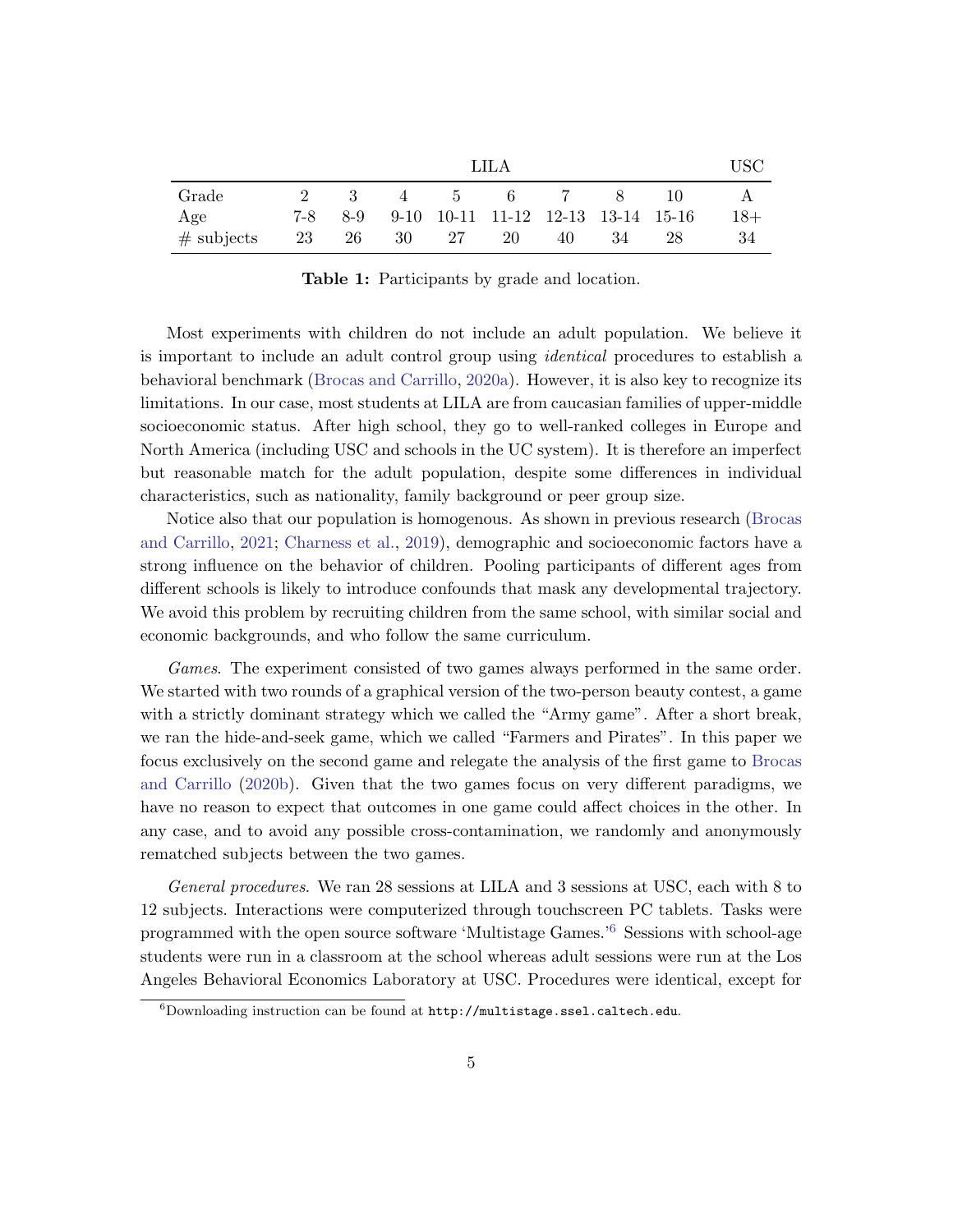<span id="page-5-0"></span>

|               | LH.A |    |  |       |                                            |    |      |    |       |
|---------------|------|----|--|-------|--------------------------------------------|----|------|----|-------|
| Grade         |      |    |  |       | 2 3 4 5 6 7 8                              |    |      | 10 |       |
| Age           |      |    |  |       | 7-8 8-9 9-10 10-11 11-12 12-13 13-14 15-16 |    |      |    | $18+$ |
| $\#$ subjects | 23   | 26 |  | 30 27 | -20                                        | 40 | - 34 | 28 | 34    |

Table 1: Participants by grade and location.

Most experiments with children do not include an adult population. We believe it is important to include an adult control group using identical procedures to establish a behavioral benchmark [\(Brocas and Carrillo,](#page-31-5) [2020a\)](#page-31-5). However, it is also key to recognize its limitations. In our case, most students at LILA are from caucasian families of upper-middle socioeconomic status. After high school, they go to well-ranked colleges in Europe and North America (including USC and schools in the UC system). It is therefore an imperfect but reasonable match for the adult population, despite some differences in individual characteristics, such as nationality, family background or peer group size.

Notice also that our population is homogenous. As shown in previous research [\(Brocas](#page-31-4) [and Carrillo,](#page-31-4) [2021;](#page-31-4) [Charness et al.,](#page-31-6) [2019\)](#page-31-6), demographic and socioeconomic factors have a strong influence on the behavior of children. Pooling participants of different ages from different schools is likely to introduce confounds that mask any developmental trajectory. We avoid this problem by recruiting children from the same school, with similar social and economic backgrounds, and who follow the same curriculum.

Games. The experiment consisted of two games always performed in the same order. We started with two rounds of a graphical version of the two-person beauty contest, a game with a strictly dominant strategy which we called the "Army game". After a short break, we ran the hide-and-seek game, which we called "Farmers and Pirates". In this paper we focus exclusively on the second game and relegate the analysis of the first game to [Brocas](#page-31-3) [and Carrillo](#page-31-3) [\(2020b\)](#page-31-3). Given that the two games focus on very different paradigms, we have no reason to expect that outcomes in one game could affect choices in the other. In any case, and to avoid any possible cross-contamination, we randomly and anonymously rematched subjects between the two games.

General procedures. We ran 28 sessions at LILA and 3 sessions at USC, each with 8 to 12 subjects. Interactions were computerized through touchscreen PC tablets. Tasks were programmed with the open source software 'Multistage Games.'[6](#page-5-1) Sessions with school-age students were run in a classroom at the school whereas adult sessions were run at the Los Angeles Behavioral Economics Laboratory at USC. Procedures were identical, except for

<span id="page-5-1"></span> $6Downloading instruction can be found at <http://multistage.ssel.caltech.edu>.$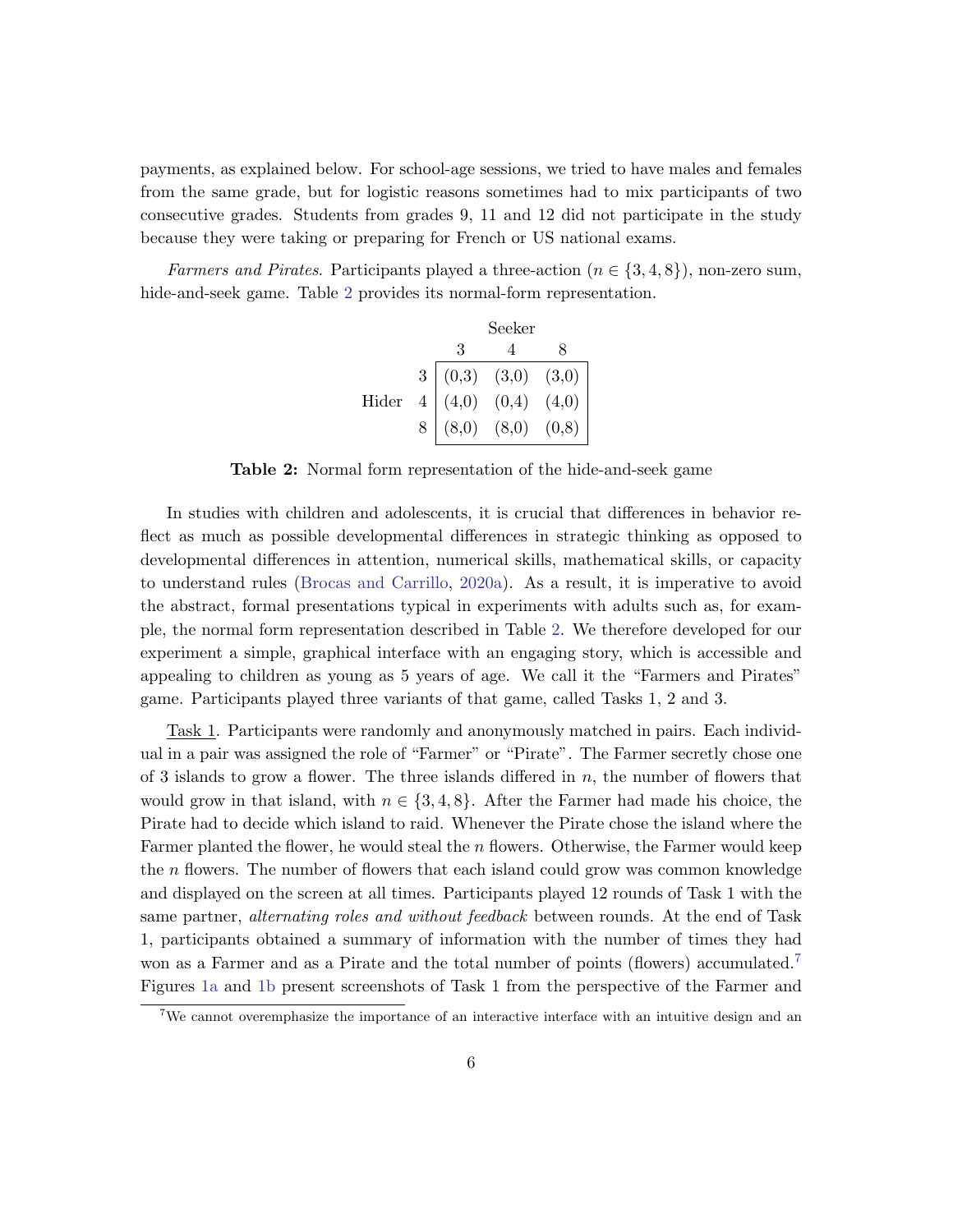payments, as explained below. For school-age sessions, we tried to have males and females from the same grade, but for logistic reasons sometimes had to mix participants of two consecutive grades. Students from grades 9, 11 and 12 did not participate in the study because they were taking or preparing for French or US national exams.

<span id="page-6-0"></span>Farmers and Pirates. Participants played a three-action ( $n \in \{3, 4, 8\}$ ), non-zero sum, hide-and-seek game. Table [2](#page-6-0) provides its normal-form representation.

|       |                                                                                                                               | Seeker |  |
|-------|-------------------------------------------------------------------------------------------------------------------------------|--------|--|
|       | $\mathbf{3}$                                                                                                                  |        |  |
|       |                                                                                                                               |        |  |
| Hider |                                                                                                                               |        |  |
|       | $\begin{tabular}{c ccc} 3 & (0,3) & (3,0) & (3,0) \\ 4 & (4,0) & (0,4) & (4,0) \\ 8 & (8,0) & (8,0) & (0,8) \\ \end{tabular}$ |        |  |

Table 2: Normal form representation of the hide-and-seek game

In studies with children and adolescents, it is crucial that differences in behavior reflect as much as possible developmental differences in strategic thinking as opposed to developmental differences in attention, numerical skills, mathematical skills, or capacity to understand rules [\(Brocas and Carrillo,](#page-31-5) [2020a\)](#page-31-5). As a result, it is imperative to avoid the abstract, formal presentations typical in experiments with adults such as, for example, the normal form representation described in Table [2.](#page-6-0) We therefore developed for our experiment a simple, graphical interface with an engaging story, which is accessible and appealing to children as young as 5 years of age. We call it the "Farmers and Pirates" game. Participants played three variants of that game, called Tasks 1, 2 and 3.

Task 1. Participants were randomly and anonymously matched in pairs. Each individual in a pair was assigned the role of "Farmer" or "Pirate". The Farmer secretly chose one of 3 islands to grow a flower. The three islands differed in  $n$ , the number of flowers that would grow in that island, with  $n \in \{3, 4, 8\}$ . After the Farmer had made his choice, the Pirate had to decide which island to raid. Whenever the Pirate chose the island where the Farmer planted the flower, he would steal the  $n$  flowers. Otherwise, the Farmer would keep the  $n$  flowers. The number of flowers that each island could grow was common knowledge and displayed on the screen at all times. Participants played 12 rounds of Task 1 with the same partner, *alternating roles and without feedback* between rounds. At the end of Task 1, participants obtained a summary of information with the number of times they had won as a Farmer and as a Pirate and the total number of points (flowers) accumulated.<sup>[7](#page-6-1)</sup> Figures [1a](#page-7-0) and [1b](#page-7-0) present screenshots of Task 1 from the perspective of the Farmer and

<span id="page-6-1"></span> $7W$ e cannot overemphasize the importance of an interactive interface with an intuitive design and an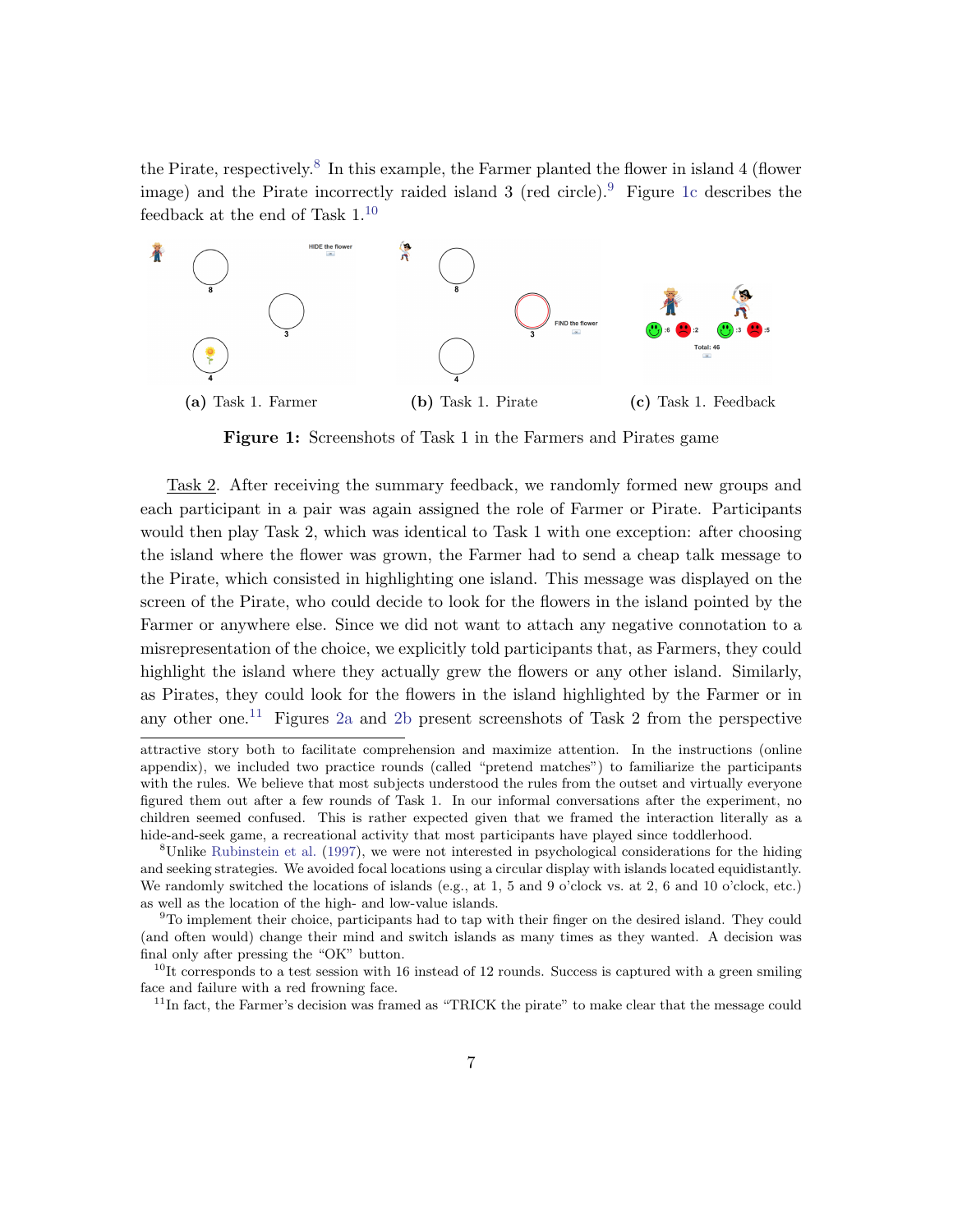the Pirate, respectively.<sup>[8](#page-7-1)</sup> In this example, the Farmer planted the flower in island 4 (flower image) and the Pirate incorrectly raided island  $3$  (red circle).<sup>[9](#page-7-2)</sup> Figure [1c](#page-7-0) describes the feedback at the end of Task 1.[10](#page-7-3)

<span id="page-7-0"></span>

Figure 1: Screenshots of Task 1 in the Farmers and Pirates game

Task 2. After receiving the summary feedback, we randomly formed new groups and each participant in a pair was again assigned the role of Farmer or Pirate. Participants would then play Task 2, which was identical to Task 1 with one exception: after choosing the island where the flower was grown, the Farmer had to send a cheap talk message to the Pirate, which consisted in highlighting one island. This message was displayed on the screen of the Pirate, who could decide to look for the flowers in the island pointed by the Farmer or anywhere else. Since we did not want to attach any negative connotation to a misrepresentation of the choice, we explicitly told participants that, as Farmers, they could highlight the island where they actually grew the flowers or any other island. Similarly, as Pirates, they could look for the flowers in the island highlighted by the Farmer or in any other one.<sup>[11](#page-7-4)</sup> Figures [2a](#page-8-0) and [2b](#page-8-0) present screenshots of Task 2 from the perspective

attractive story both to facilitate comprehension and maximize attention. In the instructions (online appendix), we included two practice rounds (called "pretend matches") to familiarize the participants with the rules. We believe that most subjects understood the rules from the outset and virtually everyone figured them out after a few rounds of Task 1. In our informal conversations after the experiment, no children seemed confused. This is rather expected given that we framed the interaction literally as a hide-and-seek game, a recreational activity that most participants have played since toddlerhood.

<span id="page-7-1"></span><sup>8</sup>Unlike [Rubinstein et al.](#page-34-7) [\(1997\)](#page-34-7), we were not interested in psychological considerations for the hiding and seeking strategies. We avoided focal locations using a circular display with islands located equidistantly. We randomly switched the locations of islands (e.g., at 1, 5 and 9 o'clock vs. at 2, 6 and 10 o'clock, etc.) as well as the location of the high- and low-value islands.

<span id="page-7-2"></span><sup>9</sup>To implement their choice, participants had to tap with their finger on the desired island. They could (and often would) change their mind and switch islands as many times as they wanted. A decision was final only after pressing the "OK" button.

<span id="page-7-3"></span> $10$ It corresponds to a test session with 16 instead of 12 rounds. Success is captured with a green smiling face and failure with a red frowning face.

<span id="page-7-4"></span><sup>&</sup>lt;sup>11</sup>In fact, the Farmer's decision was framed as "TRICK the pirate" to make clear that the message could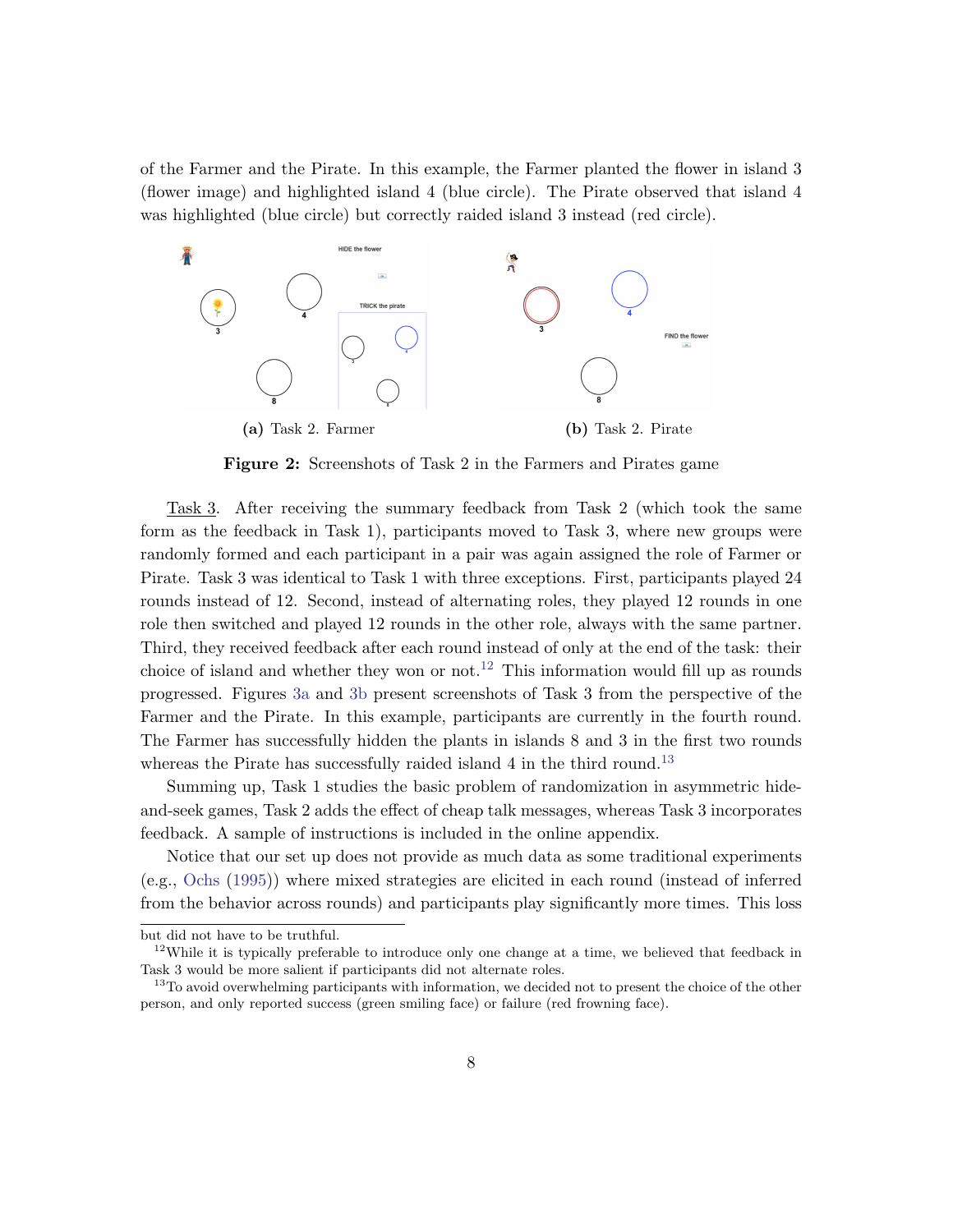of the Farmer and the Pirate. In this example, the Farmer planted the flower in island 3 (flower image) and highlighted island 4 (blue circle). The Pirate observed that island 4 was highlighted (blue circle) but correctly raided island 3 instead (red circle).

<span id="page-8-0"></span>

Figure 2: Screenshots of Task 2 in the Farmers and Pirates game

Task 3. After receiving the summary feedback from Task 2 (which took the same form as the feedback in Task 1), participants moved to Task 3, where new groups were randomly formed and each participant in a pair was again assigned the role of Farmer or Pirate. Task 3 was identical to Task 1 with three exceptions. First, participants played 24 rounds instead of 12. Second, instead of alternating roles, they played 12 rounds in one role then switched and played 12 rounds in the other role, always with the same partner. Third, they received feedback after each round instead of only at the end of the task: their choice of island and whether they won or not.<sup>[12](#page-8-1)</sup> This information would fill up as rounds progressed. Figures [3a](#page-9-0) and [3b](#page-9-0) present screenshots of Task 3 from the perspective of the Farmer and the Pirate. In this example, participants are currently in the fourth round. The Farmer has successfully hidden the plants in islands 8 and 3 in the first two rounds whereas the Pirate has successfully raided island 4 in the third round.<sup>[13](#page-8-2)</sup>

Summing up, Task 1 studies the basic problem of randomization in asymmetric hideand-seek games, Task 2 adds the effect of cheap talk messages, whereas Task 3 incorporates feedback. A sample of instructions is included in the online appendix.

Notice that our set up does not provide as much data as some traditional experiments (e.g., [Ochs](#page-33-1) [\(1995\)](#page-33-1)) where mixed strategies are elicited in each round (instead of inferred from the behavior across rounds) and participants play significantly more times. This loss

but did not have to be truthful.

<span id="page-8-1"></span><sup>&</sup>lt;sup>12</sup>While it is typically preferable to introduce only one change at a time, we believed that feedback in Task 3 would be more salient if participants did not alternate roles.

<span id="page-8-2"></span><sup>&</sup>lt;sup>13</sup>To avoid overwhelming participants with information, we decided not to present the choice of the other person, and only reported success (green smiling face) or failure (red frowning face).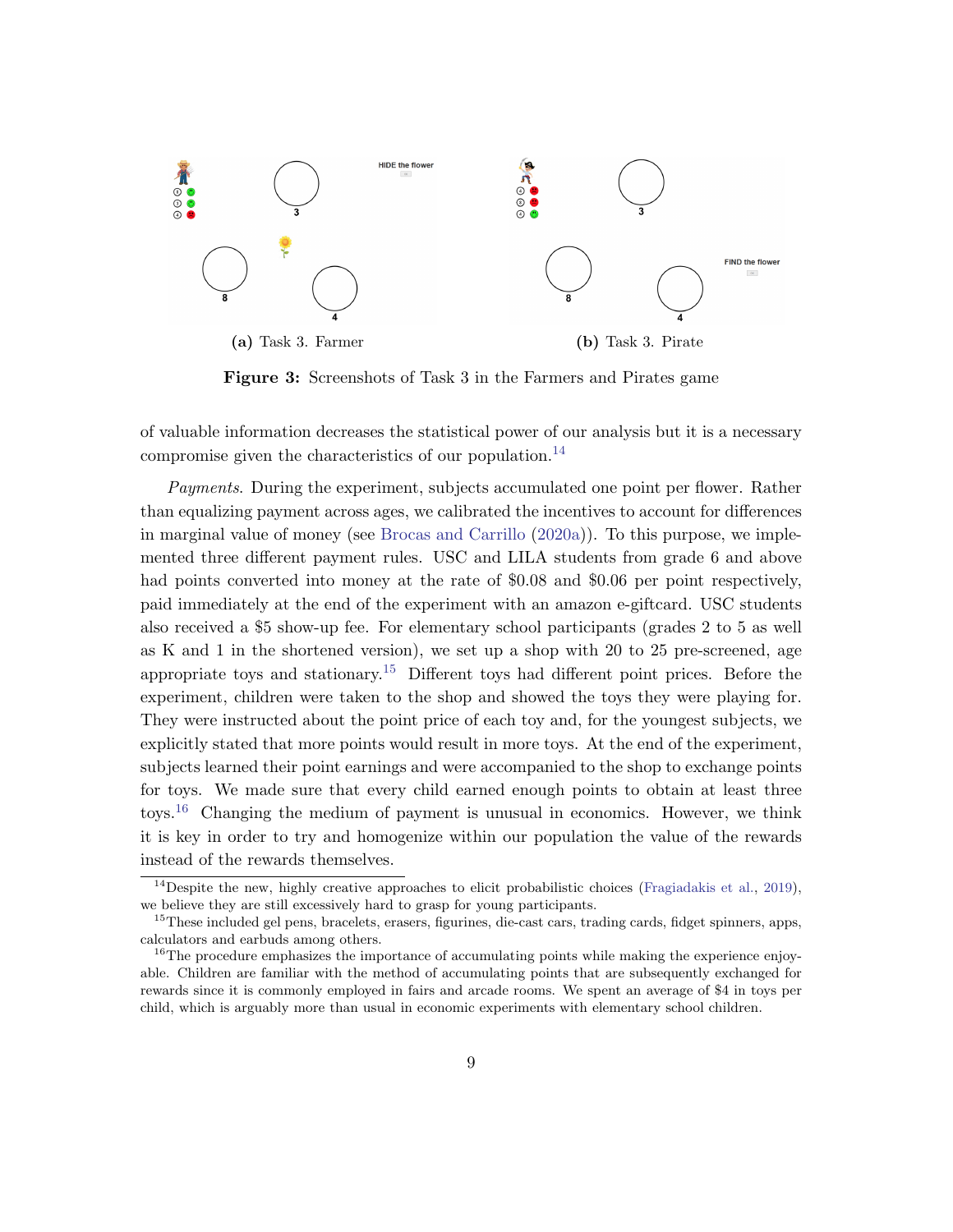<span id="page-9-0"></span>

Figure 3: Screenshots of Task 3 in the Farmers and Pirates game

of valuable information decreases the statistical power of our analysis but it is a necessary compromise given the characteristics of our population.<sup>[14](#page-9-1)</sup>

Payments. During the experiment, subjects accumulated one point per flower. Rather than equalizing payment across ages, we calibrated the incentives to account for differences in marginal value of money (see [Brocas and Carrillo](#page-31-5) [\(2020a\)](#page-31-5)). To this purpose, we implemented three different payment rules. USC and LILA students from grade 6 and above had points converted into money at the rate of \$0.08 and \$0.06 per point respectively, paid immediately at the end of the experiment with an amazon e-giftcard. USC students also received a \$5 show-up fee. For elementary school participants (grades 2 to 5 as well as K and 1 in the shortened version), we set up a shop with 20 to 25 pre-screened, age appropriate toys and stationary.<sup>[15](#page-9-2)</sup> Different toys had different point prices. Before the experiment, children were taken to the shop and showed the toys they were playing for. They were instructed about the point price of each toy and, for the youngest subjects, we explicitly stated that more points would result in more toys. At the end of the experiment, subjects learned their point earnings and were accompanied to the shop to exchange points for toys. We made sure that every child earned enough points to obtain at least three toys.<sup>[16](#page-9-3)</sup> Changing the medium of payment is unusual in economics. However, we think it is key in order to try and homogenize within our population the value of the rewards instead of the rewards themselves.

<span id="page-9-1"></span><sup>&</sup>lt;sup>14</sup>Despite the new, highly creative approaches to elicit probabilistic choices [\(Fragiadakis et al.,](#page-32-7) [2019\)](#page-32-7), we believe they are still excessively hard to grasp for young participants.

<span id="page-9-2"></span><sup>&</sup>lt;sup>15</sup>These included gel pens, bracelets, erasers, figurines, die-cast cars, trading cards, fidget spinners, apps, calculators and earbuds among others.

<span id="page-9-3"></span><sup>&</sup>lt;sup>16</sup>The procedure emphasizes the importance of accumulating points while making the experience enjoyable. Children are familiar with the method of accumulating points that are subsequently exchanged for rewards since it is commonly employed in fairs and arcade rooms. We spent an average of \$4 in toys per child, which is arguably more than usual in economic experiments with elementary school children.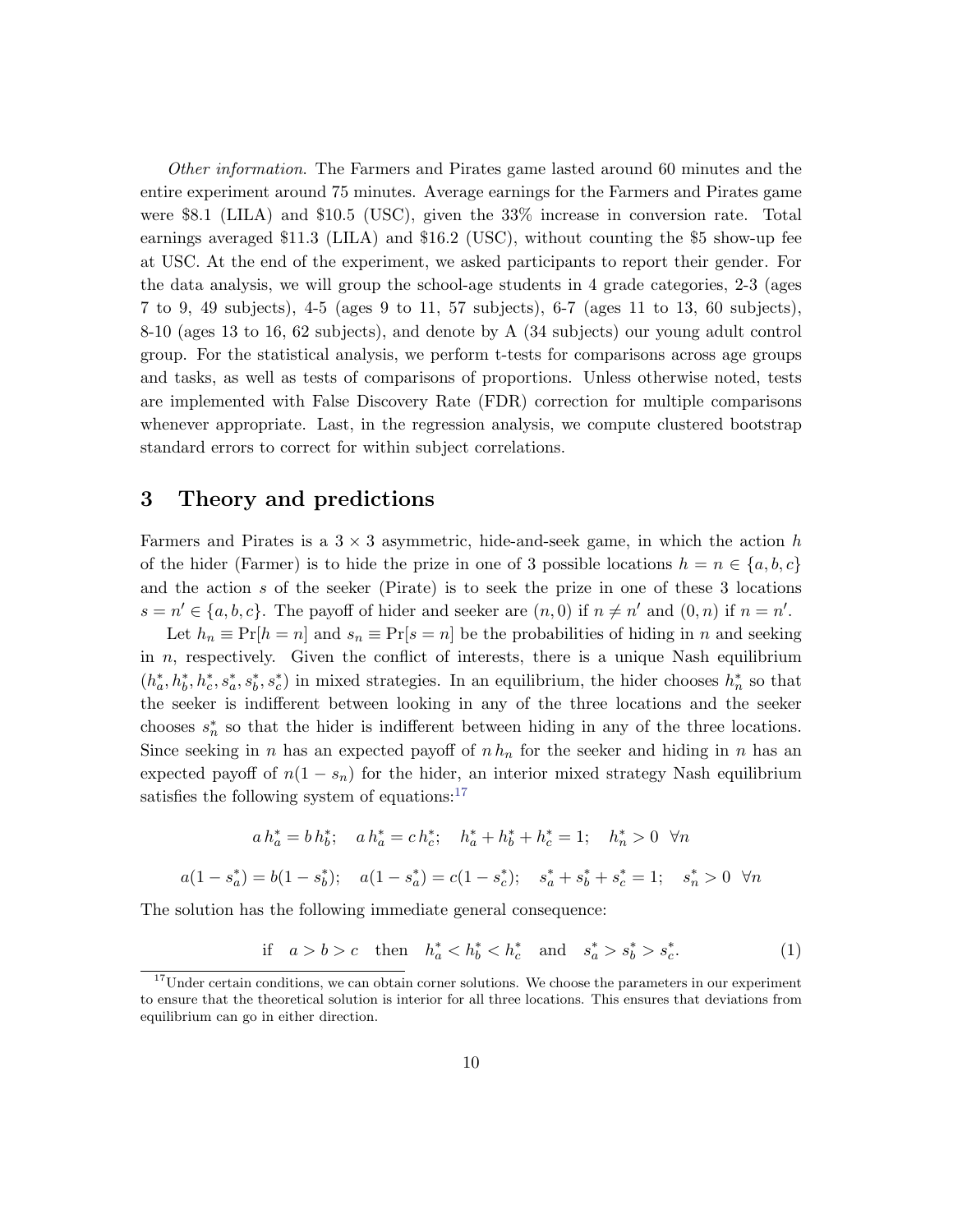Other information. The Farmers and Pirates game lasted around 60 minutes and the entire experiment around 75 minutes. Average earnings for the Farmers and Pirates game were \$8.1 (LILA) and \$10.5 (USC), given the 33% increase in conversion rate. Total earnings averaged \$11.3 (LILA) and \$16.2 (USC), without counting the \$5 show-up fee at USC. At the end of the experiment, we asked participants to report their gender. For the data analysis, we will group the school-age students in 4 grade categories, 2-3 (ages 7 to 9, 49 subjects), 4-5 (ages 9 to 11, 57 subjects), 6-7 (ages 11 to 13, 60 subjects), 8-10 (ages 13 to 16, 62 subjects), and denote by A (34 subjects) our young adult control group. For the statistical analysis, we perform t-tests for comparisons across age groups and tasks, as well as tests of comparisons of proportions. Unless otherwise noted, tests are implemented with False Discovery Rate (FDR) correction for multiple comparisons whenever appropriate. Last, in the regression analysis, we compute clustered bootstrap standard errors to correct for within subject correlations.

## <span id="page-10-0"></span>3 Theory and predictions

Farmers and Pirates is a  $3 \times 3$  asymmetric, hide-and-seek game, in which the action h of the hider (Farmer) is to hide the prize in one of 3 possible locations  $h = n \in \{a, b, c\}$ and the action s of the seeker (Pirate) is to seek the prize in one of these 3 locations  $s = n' \in \{a, b, c\}$ . The payoff of hider and seeker are  $(n, 0)$  if  $n \neq n'$  and  $(0, n)$  if  $n = n'$ .

Let  $h_n \equiv \Pr[h = n]$  and  $s_n \equiv \Pr[s = n]$  be the probabilities of hiding in n and seeking in  $n$ , respectively. Given the conflict of interests, there is a unique Nash equilibrium  $(h_a^*, h_b^*, k_c^*, s_a^*, s_b^*, s_c^*)$  in mixed strategies. In an equilibrium, the hider chooses  $h_n^*$  so that the seeker is indifferent between looking in any of the three locations and the seeker chooses  $s_n^*$  so that the hider is indifferent between hiding in any of the three locations. Since seeking in n has an expected payoff of  $n h_n$  for the seeker and hiding in n has an expected payoff of  $n(1 - s_n)$  for the hider, an interior mixed strategy Nash equilibrium satisfies the following system of equations: $17$ 

$$
a h_a^* = b h_b^*; \quad a h_a^* = c h_c^*; \quad h_a^* + h_b^* + h_c^* = 1; \quad h_n^* > 0 \quad \forall n
$$
  

$$
a(1 - s_a^*) = b(1 - s_b^*); \quad a(1 - s_a^*) = c(1 - s_c^*); \quad s_a^* + s_b^* + s_c^* = 1; \quad s_n^* > 0 \quad \forall n
$$

The solution has the following immediate general consequence:

<span id="page-10-2"></span>
$$
\text{if } a > b > c \quad \text{then } h_a^* < h_b^* < h_c^* \quad \text{and } s_a^* > s_b^* > s_c^* \tag{1}
$$

<span id="page-10-1"></span><sup>&</sup>lt;sup>17</sup>Under certain conditions, we can obtain corner solutions. We choose the parameters in our experiment to ensure that the theoretical solution is interior for all three locations. This ensures that deviations from equilibrium can go in either direction.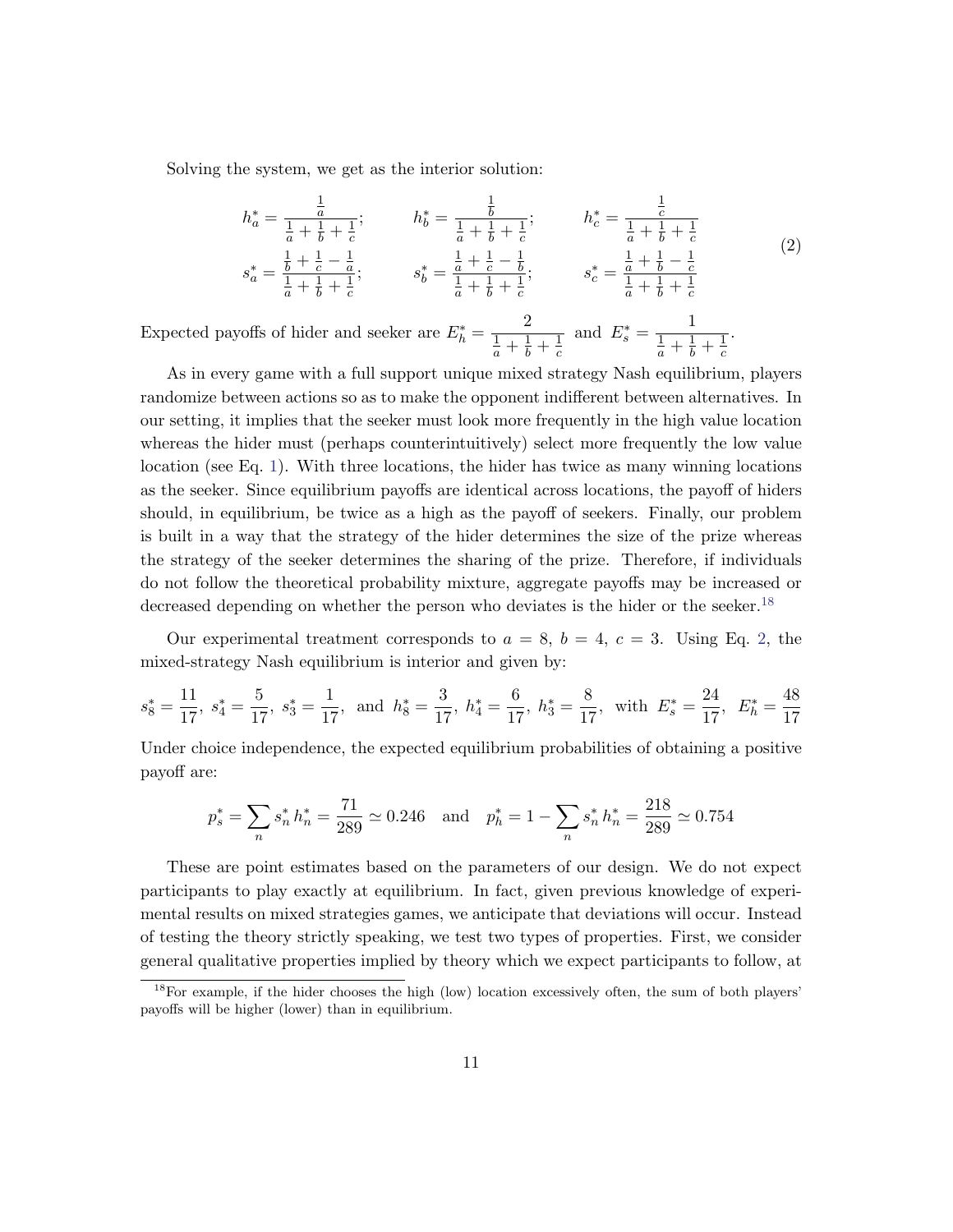Solving the system, we get as the interior solution:

<span id="page-11-1"></span>
$$
h_a^* = \frac{\frac{1}{a}}{\frac{1}{a} + \frac{1}{b} + \frac{1}{c}}; \t h_b^* = \frac{\frac{1}{b}}{\frac{1}{a} + \frac{1}{b} + \frac{1}{c}}; \t h_c^* = \frac{\frac{1}{c}}{\frac{1}{a} + \frac{1}{b} + \frac{1}{c}}s_a^* = \frac{\frac{1}{b} + \frac{1}{c} - \frac{1}{a}}{\frac{1}{a} + \frac{1}{b} + \frac{1}{c}}; \t s_b^* = \frac{\frac{1}{a} + \frac{1}{c} - \frac{1}{b}}{\frac{1}{a} + \frac{1}{b} + \frac{1}{c}}; \t s_c^* = \frac{\frac{1}{a} + \frac{1}{b} - \frac{1}{c}}{\frac{1}{a} + \frac{1}{b} + \frac{1}{c}} \t (2)
$$

Expected payoffs of hider and seeker are  $E_h^* = \frac{2}{1+1}$  $\frac{1}{a} + \frac{1}{b} + \frac{1}{c}$ c and  $E_s^* = \frac{1}{1+1}$  $\frac{1}{a} + \frac{1}{b} + \frac{1}{c}$ c .

As in every game with a full support unique mixed strategy Nash equilibrium, players randomize between actions so as to make the opponent indifferent between alternatives. In our setting, it implies that the seeker must look more frequently in the high value location whereas the hider must (perhaps counterintuitively) select more frequently the low value location (see Eq. [1\)](#page-10-2). With three locations, the hider has twice as many winning locations as the seeker. Since equilibrium payoffs are identical across locations, the payoff of hiders should, in equilibrium, be twice as a high as the payoff of seekers. Finally, our problem is built in a way that the strategy of the hider determines the size of the prize whereas the strategy of the seeker determines the sharing of the prize. Therefore, if individuals do not follow the theoretical probability mixture, aggregate payoffs may be increased or decreased depending on whether the person who deviates is the hider or the seeker.<sup>[18](#page-11-0)</sup>

Our experimental treatment corresponds to  $a = 8$ ,  $b = 4$ ,  $c = 3$ . Using Eq. [2,](#page-11-1) the mixed-strategy Nash equilibrium is interior and given by:

$$
s_8^* = \frac{11}{17}, \ s_4^* = \frac{5}{17}, \ s_3^* = \frac{1}{17}, \text{ and } h_8^* = \frac{3}{17}, \ h_4^* = \frac{6}{17}, \ h_3^* = \frac{8}{17}, \text{ with } E_s^* = \frac{24}{17}, \ E_h^* = \frac{48}{17}
$$

Under choice independence, the expected equilibrium probabilities of obtaining a positive payoff are:

$$
p_s^* = \sum_n s_n^* h_n^* = \frac{71}{289} \simeq 0.246 \quad \text{and} \quad p_h^* = 1 - \sum_n s_n^* h_n^* = \frac{218}{289} \simeq 0.754
$$

These are point estimates based on the parameters of our design. We do not expect participants to play exactly at equilibrium. In fact, given previous knowledge of experimental results on mixed strategies games, we anticipate that deviations will occur. Instead of testing the theory strictly speaking, we test two types of properties. First, we consider general qualitative properties implied by theory which we expect participants to follow, at

<span id="page-11-0"></span><sup>&</sup>lt;sup>18</sup>For example, if the hider chooses the high (low) location excessively often, the sum of both players' payoffs will be higher (lower) than in equilibrium.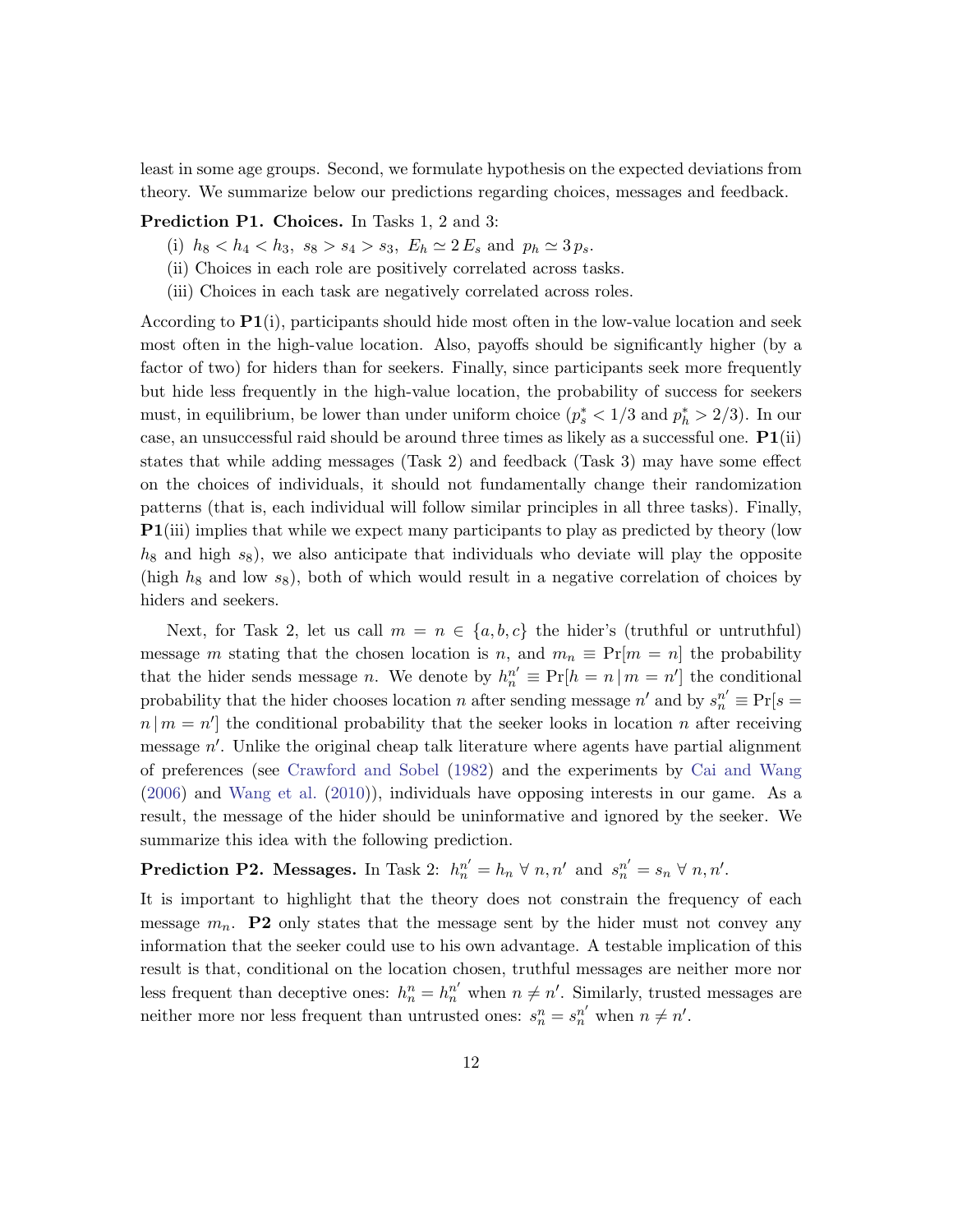least in some age groups. Second, we formulate hypothesis on the expected deviations from theory. We summarize below our predictions regarding choices, messages and feedback.

Prediction P1. Choices. In Tasks 1, 2 and 3:

- (i)  $h_8 < h_4 < h_3$ ,  $s_8 > s_4 > s_3$ ,  $E_h \simeq 2 E_s$  and  $p_h \simeq 3 p_s$ .
- (ii) Choices in each role are positively correlated across tasks.
- (iii) Choices in each task are negatively correlated across roles.

According to  $P1(i)$ , participants should hide most often in the low-value location and seek most often in the high-value location. Also, payoffs should be significantly higher (by a factor of two) for hiders than for seekers. Finally, since participants seek more frequently but hide less frequently in the high-value location, the probability of success for seekers must, in equilibrium, be lower than under uniform choice  $(p_s^* < 1/3$  and  $p_h^* > 2/3)$ . In our case, an unsuccessful raid should be around three times as likely as a successful one.  $P1(ii)$ states that while adding messages (Task 2) and feedback (Task 3) may have some effect on the choices of individuals, it should not fundamentally change their randomization patterns (that is, each individual will follow similar principles in all three tasks). Finally, **P1**(iii) implies that while we expect many participants to play as predicted by theory (low  $h_8$  and high  $s_8$ ), we also anticipate that individuals who deviate will play the opposite (high  $h_8$  and low  $s_8$ ), both of which would result in a negative correlation of choices by hiders and seekers.

Next, for Task 2, let us call  $m = n \in \{a, b, c\}$  the hider's (truthful or untruthful) message m stating that the chosen location is n, and  $m_n \equiv \Pr[m = n]$  the probability that the hider sends message n. We denote by  $h_n^{n'} \equiv Pr[h = n | m = n']$  the conditional probability that the hider chooses location n after sending message  $n'$  and by  $s_n^{n'} \equiv Pr[s]$  $n | m = n'$  the conditional probability that the seeker looks in location n after receiving message  $n'$ . Unlike the original cheap talk literature where agents have partial alignment of preferences (see [Crawford and Sobel](#page-32-8) [\(1982\)](#page-32-8) and the experiments by [Cai and Wang](#page-31-7) [\(2006\)](#page-31-7) and [Wang et al.](#page-34-8) [\(2010\)](#page-34-8)), individuals have opposing interests in our game. As a result, the message of the hider should be uninformative and ignored by the seeker. We summarize this idea with the following prediction.

**Prediction P2. Messages.** In Task 2:  $h_n^{n'} = h_n \forall n, n'$  and  $s_n^{n'} = s_n \forall n, n'.$ 

It is important to highlight that the theory does not constrain the frequency of each message  $m_n$ . **P2** only states that the message sent by the hider must not convey any information that the seeker could use to his own advantage. A testable implication of this result is that, conditional on the location chosen, truthful messages are neither more nor less frequent than deceptive ones:  $h_n^n = h_n^{n'}$  when  $n \neq n'$ . Similarly, trusted messages are neither more nor less frequent than untrusted ones:  $s_n^n = s_n^{n'}$  when  $n \neq n'$ .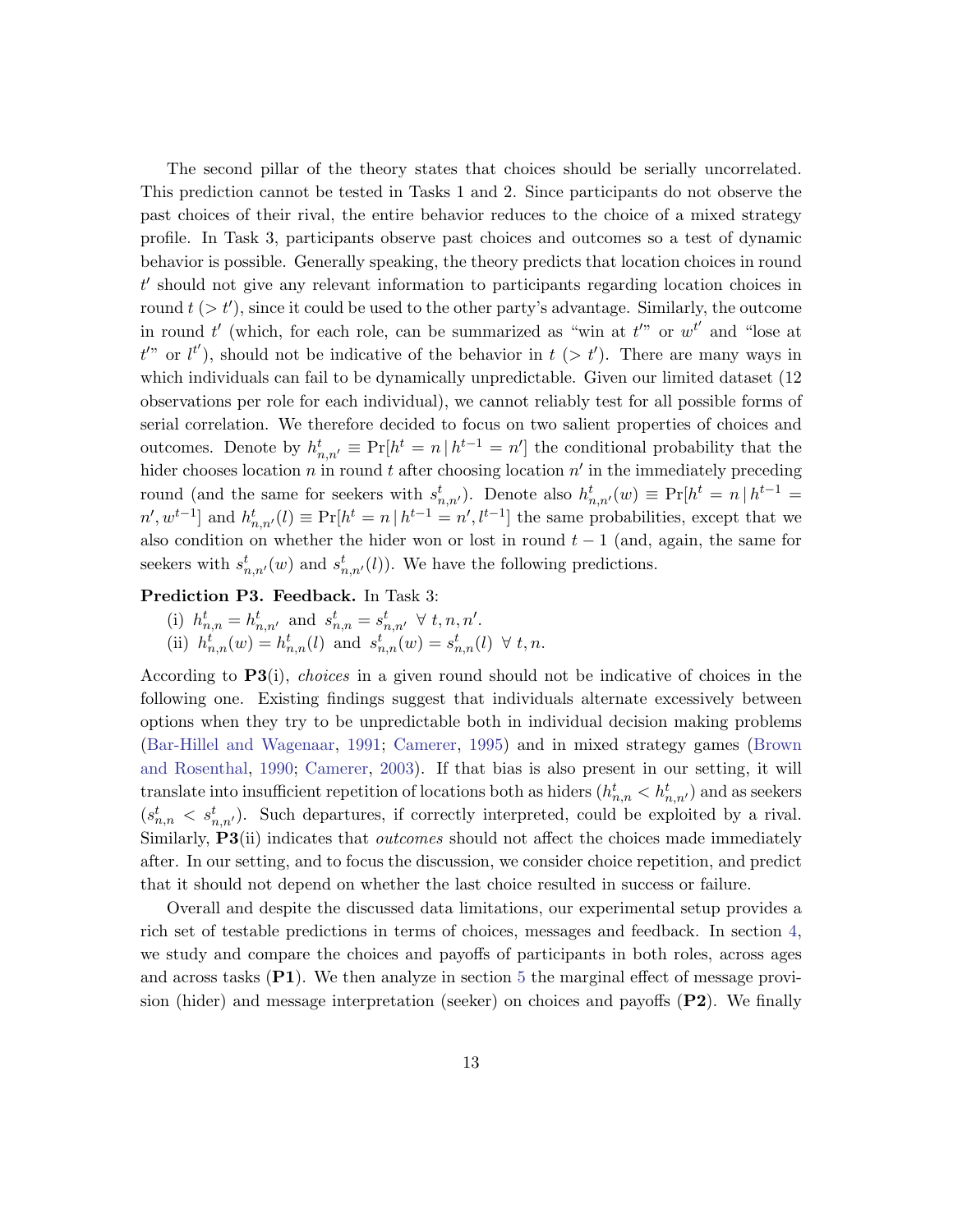The second pillar of the theory states that choices should be serially uncorrelated. This prediction cannot be tested in Tasks 1 and 2. Since participants do not observe the past choices of their rival, the entire behavior reduces to the choice of a mixed strategy profile. In Task 3, participants observe past choices and outcomes so a test of dynamic behavior is possible. Generally speaking, the theory predicts that location choices in round  $t'$  should not give any relevant information to participants regarding location choices in round  $t > t'$ , since it could be used to the other party's advantage. Similarly, the outcome in round t' (which, for each role, can be summarized as "win at  $t''$ " or  $w^{t'}$  and "lose at  $t^{\prime\prime}$  or  $l^{t'}$ ), should not be indicative of the behavior in  $t$  (>  $t'$ ). There are many ways in which individuals can fail to be dynamically unpredictable. Given our limited dataset (12 observations per role for each individual), we cannot reliably test for all possible forms of serial correlation. We therefore decided to focus on two salient properties of choices and outcomes. Denote by  $h_{n,n'}^t \equiv \Pr[h^t = n | h^{t-1} = n']$  the conditional probability that the hider chooses location n in round t after choosing location  $n'$  in the immediately preceding round (and the same for seekers with  $s_{n,n'}^t$ ). Denote also  $h_{n,n'}^t(w) \equiv Pr[h^t = n | h^{t-1} =$  $n', w^{t-1}$  and  $h_{n,n'}^t(l) \equiv \Pr[h^t = n | h^{t-1} = n', l^{t-1}]$  the same probabilities, except that we also condition on whether the hider won or lost in round  $t - 1$  (and, again, the same for seekers with  $s_{n,n'}^t(w)$  and  $s_{n,n'}^t(l)$ ). We have the following predictions.

### Prediction P3. Feedback. In Task 3:

- (i)  $h_{n,n}^t = h_{n,n'}^t$  and  $s_{n,n}^t = s_{n,n'}^t \forall t, n, n'.$
- (ii)  $h_{n,n}^t(w) = h_{n,n}^t(l)$  and  $s_{n,n}^t(w) = s_{n,n}^t(l) \forall t, n$ .

According to P3(i), choices in a given round should not be indicative of choices in the following one. Existing findings suggest that individuals alternate excessively between options when they try to be unpredictable both in individual decision making problems [\(Bar-Hillel and Wagenaar,](#page-31-8) [1991;](#page-31-8) [Camerer,](#page-31-9) [1995\)](#page-31-9) and in mixed strategy games [\(Brown](#page-31-1) [and Rosenthal,](#page-31-1) [1990;](#page-31-1) [Camerer,](#page-31-0) [2003\)](#page-31-0). If that bias is also present in our setting, it will translate into insufficient repetition of locations both as hiders  $(h_{n,n}^t < h_{n,n'}^t)$  and as seekers  $(s_{n,n}^t < s_{n,n'}^t)$ . Such departures, if correctly interpreted, could be exploited by a rival. Similarly, P3(ii) indicates that *outcomes* should not affect the choices made immediately after. In our setting, and to focus the discussion, we consider choice repetition, and predict that it should not depend on whether the last choice resulted in success or failure.

Overall and despite the discussed data limitations, our experimental setup provides a rich set of testable predictions in terms of choices, messages and feedback. In section [4,](#page-14-0) we study and compare the choices and payoffs of participants in both roles, across ages and across tasks  $(P1)$ . We then analyze in section [5](#page-23-0) the marginal effect of message provision (hider) and message interpretation (seeker) on choices and payoffs  $(P2)$ . We finally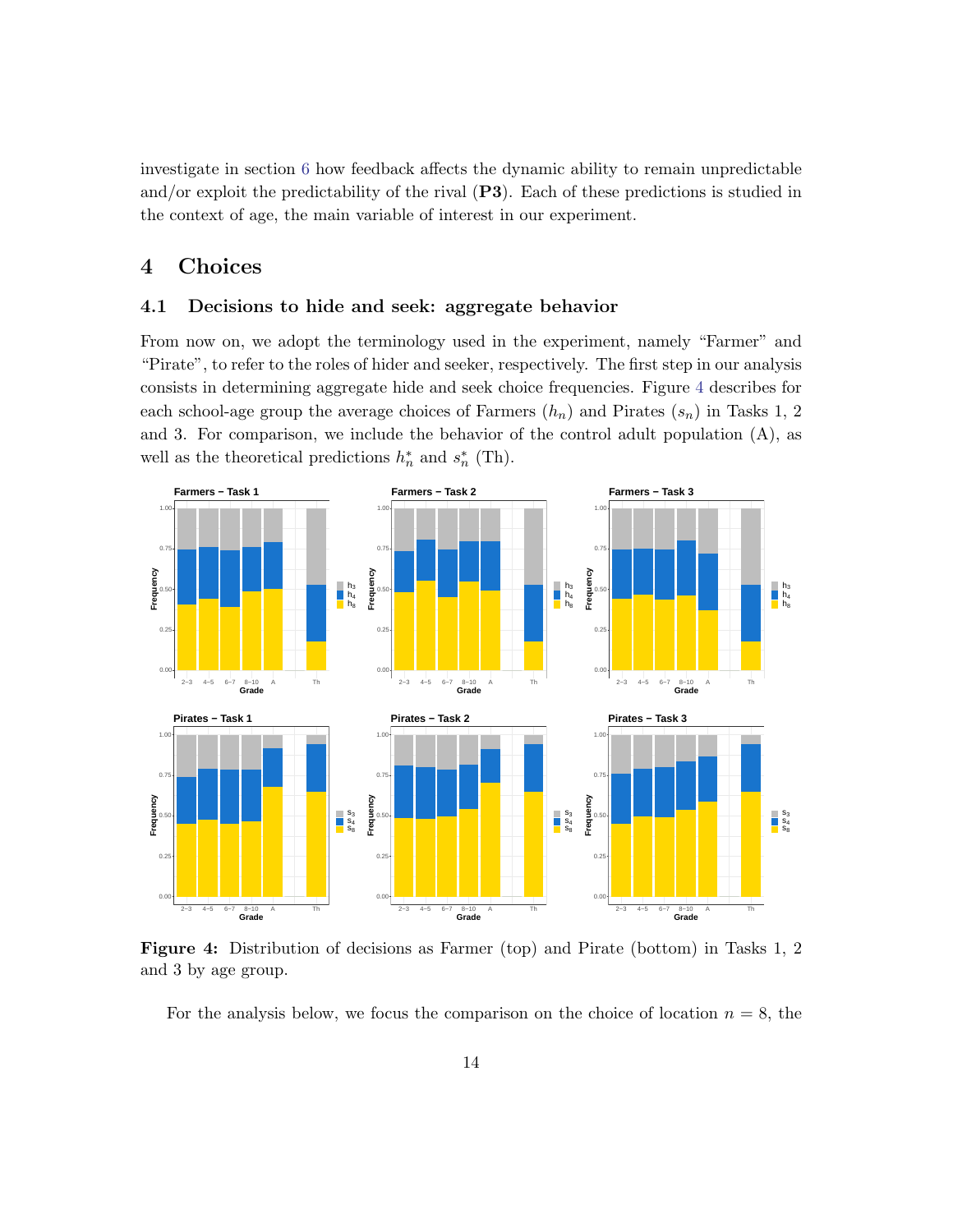investigate in section [6](#page-25-0) how feedback affects the dynamic ability to remain unpredictable and/or exploit the predictability of the rival  $(P3)$ . Each of these predictions is studied in the context of age, the main variable of interest in our experiment.

# <span id="page-14-0"></span>4 Choices

### <span id="page-14-2"></span>4.1 Decisions to hide and seek: aggregate behavior

From now on, we adopt the terminology used in the experiment, namely "Farmer" and "Pirate", to refer to the roles of hider and seeker, respectively. The first step in our analysis consists in determining aggregate hide and seek choice frequencies. Figure [4](#page-14-1) describes for each school-age group the average choices of Farmers  $(h_n)$  and Pirates  $(s_n)$  in Tasks 1, 2 and 3. For comparison, we include the behavior of the control adult population (A), as well as the theoretical predictions  $h_n^*$  and  $s_n^*$  (Th).

<span id="page-14-1"></span>

Figure 4: Distribution of decisions as Farmer (top) and Pirate (bottom) in Tasks 1, 2 and 3 by age group.

For the analysis below, we focus the comparison on the choice of location  $n = 8$ , the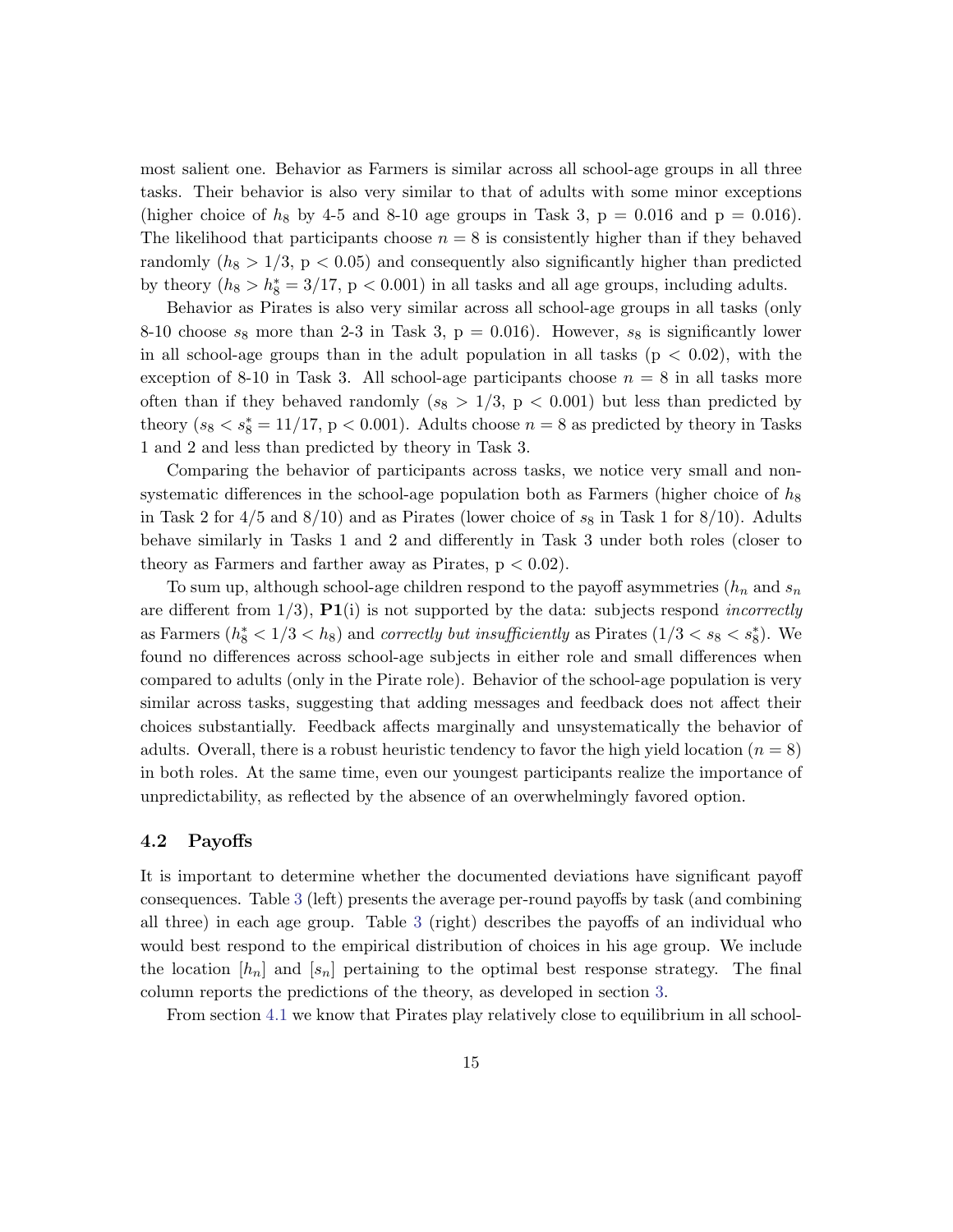most salient one. Behavior as Farmers is similar across all school-age groups in all three tasks. Their behavior is also very similar to that of adults with some minor exceptions (higher choice of  $h_8$  by 4-5 and 8-10 age groups in Task 3, p = 0.016 and p = 0.016). The likelihood that participants choose  $n = 8$  is consistently higher than if they behaved randomly  $(h_8 > 1/3, p < 0.05)$  and consequently also significantly higher than predicted by theory  $(h_8 > h_8^* = 3/17, p < 0.001)$  in all tasks and all age groups, including adults.

Behavior as Pirates is also very similar across all school-age groups in all tasks (only 8-10 choose  $s_8$  more than 2-3 in Task 3,  $p = 0.016$ ). However,  $s_8$  is significantly lower in all school-age groups than in the adult population in all tasks ( $p < 0.02$ ), with the exception of 8-10 in Task 3. All school-age participants choose  $n = 8$  in all tasks more often than if they behaved randomly  $(s_8 > 1/3, p < 0.001)$  but less than predicted by theory  $(s_8 < s_8^* = 11/17, p < 0.001)$ . Adults choose  $n = 8$  as predicted by theory in Tasks 1 and 2 and less than predicted by theory in Task 3.

Comparing the behavior of participants across tasks, we notice very small and nonsystematic differences in the school-age population both as Farmers (higher choice of  $h_8$ in Task 2 for  $4/5$  and  $8/10$ ) and as Pirates (lower choice of  $s_8$  in Task 1 for  $8/10$ ). Adults behave similarly in Tasks 1 and 2 and differently in Task 3 under both roles (closer to theory as Farmers and farther away as Pirates,  $p < 0.02$ .

To sum up, although school-age children respond to the payoff asymmetries  $(h_n \text{ and } s_n)$ are different from  $1/3$ ,  $\mathbf{P1}$ (i) is not supported by the data: subjects respond *incorrectly* as Farmers  $(h_8^* < 1/3 < h_8)$  and *correctly but insufficiently* as Pirates  $(1/3 < s_8 < s_8^*)$ . We found no differences across school-age subjects in either role and small differences when compared to adults (only in the Pirate role). Behavior of the school-age population is very similar across tasks, suggesting that adding messages and feedback does not affect their choices substantially. Feedback affects marginally and unsystematically the behavior of adults. Overall, there is a robust heuristic tendency to favor the high yield location ( $n = 8$ ) in both roles. At the same time, even our youngest participants realize the importance of unpredictability, as reflected by the absence of an overwhelmingly favored option.

### 4.2 Payoffs

It is important to determine whether the documented deviations have significant payoff consequences. Table [3](#page-16-0) (left) presents the average per-round payoffs by task (and combining all three) in each age group. Table [3](#page-16-0) (right) describes the payoffs of an individual who would best respond to the empirical distribution of choices in his age group. We include the location  $[h_n]$  and  $[s_n]$  pertaining to the optimal best response strategy. The final column reports the predictions of the theory, as developed in section [3.](#page-10-0)

From section [4.1](#page-14-2) we know that Pirates play relatively close to equilibrium in all school-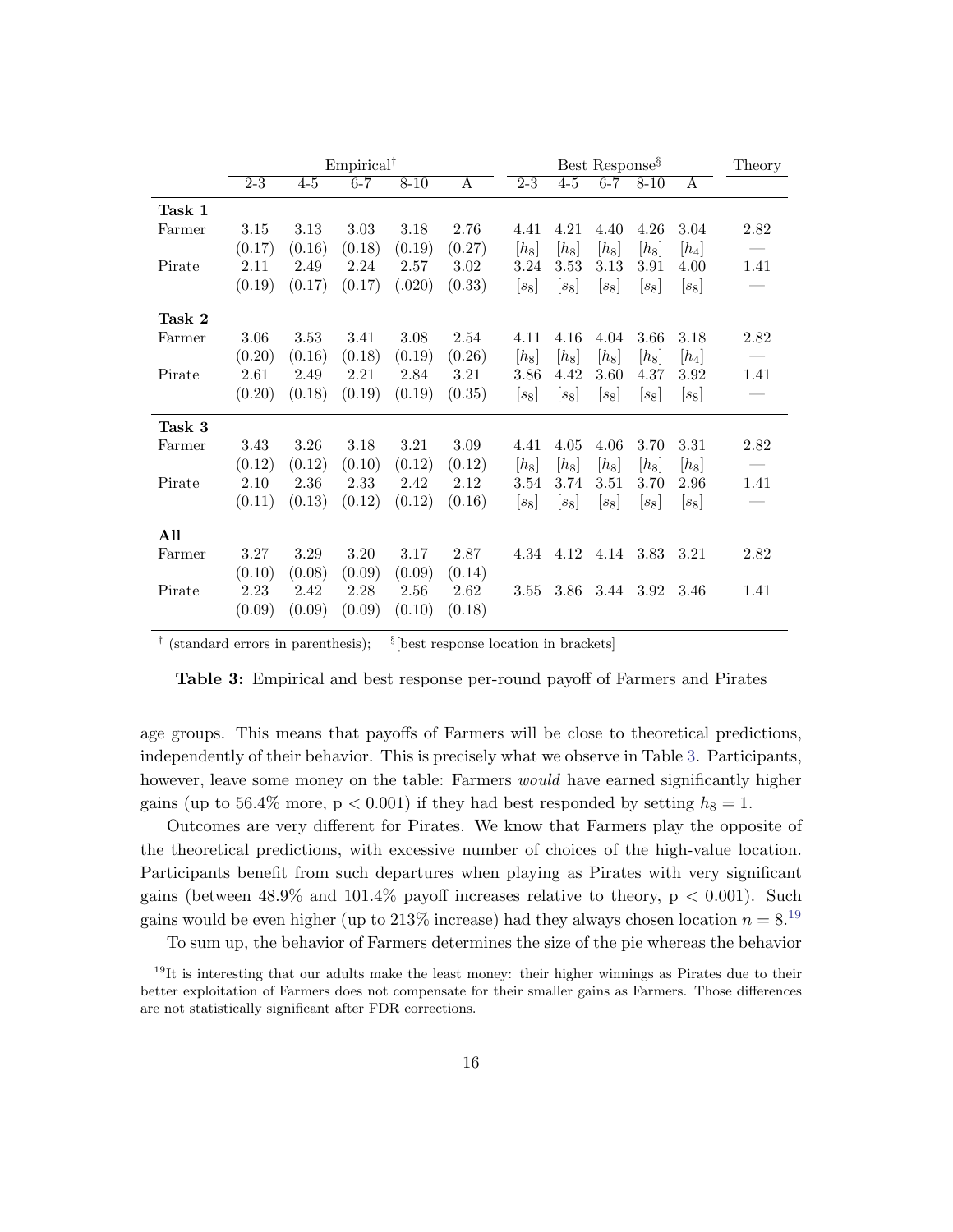<span id="page-16-0"></span>

|        | $Empirical^{\dagger}$ |         |         |          |              | Best Response <sup>§</sup> |                      |         |           | Theory       |      |
|--------|-----------------------|---------|---------|----------|--------------|----------------------------|----------------------|---------|-----------|--------------|------|
|        | $\overline{2-3}$      | $4 - 5$ | $6 - 7$ | $8 - 10$ | $\mathsf{A}$ | $2-3$                      | $4-5$                | $6 - 7$ | $8 - 10$  | $\mathsf{A}$ |      |
| Task 1 |                       |         |         |          |              |                            |                      |         |           |              |      |
| Farmer | 3.15                  | 3.13    | 3.03    | 3.18     | 2.76         | 4.41                       | 4.21                 | 4.40    | 4.26      | 3.04         | 2.82 |
|        | (0.17)                | (0.16)  | (0.18)  | (0.19)   | (0.27)       | $[h_8]$                    | $\left[ h_8 \right]$ | $[h_8]$ | $[h_8]$   | $[h_4]$      |      |
| Pirate | 2.11                  | 2.49    | 2.24    | 2.57     | 3.02         | 3.24                       | 3.53                 | 3.13    | 3.91      | 4.00         | 1.41 |
|        | (0.19)                | (0.17)  | (0.17)  | (.020)   | (0.33)       | $[s_8]$                    | $[s_8]$              | $[s_8]$ | $ s_8 $   | $[s_8]$      |      |
| Task 2 |                       |         |         |          |              |                            |                      |         |           |              |      |
| Farmer | 3.06                  | 3.53    | 3.41    | 3.08     | 2.54         | 4.11                       | 4.16                 | 4.04    | 3.66      | 3.18         | 2.82 |
|        | (0.20)                | (0.16)  | (0.18)  | (0.19)   | (0.26)       | $[h_8]$                    | $\left[ h_8 \right]$ | $[h_8]$ | $[h_8]$   | $[h_4]$      |      |
| Pirate | 2.61                  | 2.49    | 2.21    | 2.84     | 3.21         | 3.86                       | 4.42                 | 3.60    | 4.37      | 3.92         | 1.41 |
|        | (0.20)                | (0.18)  | (0.19)  | (0.19)   | (0.35)       | $[s_8]$                    | $[s_8]$              | $[s_8]$ | $[s_8]$   | $[s_8]$      |      |
| Task 3 |                       |         |         |          |              |                            |                      |         |           |              |      |
| Farmer | 3.43                  | 3.26    | 3.18    | 3.21     | 3.09         | 4.41                       | 4.05                 | 4.06    | 3.70      | 3.31         | 2.82 |
|        | (0.12)                | (0.12)  | (0.10)  | (0.12)   | (0.12)       | $[h_8]$                    | $[h_8]$              | $[h_8]$ | $[h_8]$   | $[h_8]$      |      |
| Pirate | 2.10                  | 2.36    | 2.33    | 2.42     | 2.12         | 3.54                       | 3.74                 | 3.51    | 3.70      | 2.96         | 1.41 |
|        | (0.11)                | (0.13)  | (0.12)  | (0.12)   | (0.16)       | $[s_8]$                    | $ s_8 $              | $[s_8]$ | $[s_8]$   | $[s_8]$      |      |
| All    |                       |         |         |          |              |                            |                      |         |           |              |      |
| Farmer | 3.27                  | 3.29    | 3.20    | 3.17     | 2.87         | 4.34                       | 4.12                 |         | 4.14 3.83 | 3.21         | 2.82 |
|        | (0.10)                | (0.08)  | (0.09)  | (0.09)   | (0.14)       |                            |                      |         |           |              |      |
| Pirate | 2.23                  | 2.42    | 2.28    | 2.56     | 2.62         | 3.55                       | 3.86                 |         | 3.44 3.92 | 3.46         | 1.41 |
|        | (0.09)                | (0.09)  | (0.09)  | (0.10)   | (0.18)       |                            |                      |         |           |              |      |

<sup> $\dagger$ </sup> (standard errors in parenthesis);  $\frac{8}{3}$  $§$ [best response location in brackets]

Table 3: Empirical and best response per-round payoff of Farmers and Pirates

age groups. This means that payoffs of Farmers will be close to theoretical predictions, independently of their behavior. This is precisely what we observe in Table [3.](#page-16-0) Participants, however, leave some money on the table: Farmers *would* have earned significantly higher gains (up to 56.4% more,  $p < 0.001$ ) if they had best responded by setting  $h_8 = 1$ .

Outcomes are very different for Pirates. We know that Farmers play the opposite of the theoretical predictions, with excessive number of choices of the high-value location. Participants benefit from such departures when playing as Pirates with very significant gains (between  $48.9\%$  and  $101.4\%$  payoff increases relative to theory,  $p < 0.001$ ). Such gains would be even higher (up to 213\% increase) had they always chosen location  $n = 8$ .<sup>[19](#page-16-1)</sup>

To sum up, the behavior of Farmers determines the size of the pie whereas the behavior

<span id="page-16-1"></span> $19$ It is interesting that our adults make the least money: their higher winnings as Pirates due to their better exploitation of Farmers does not compensate for their smaller gains as Farmers. Those differences are not statistically significant after FDR corrections.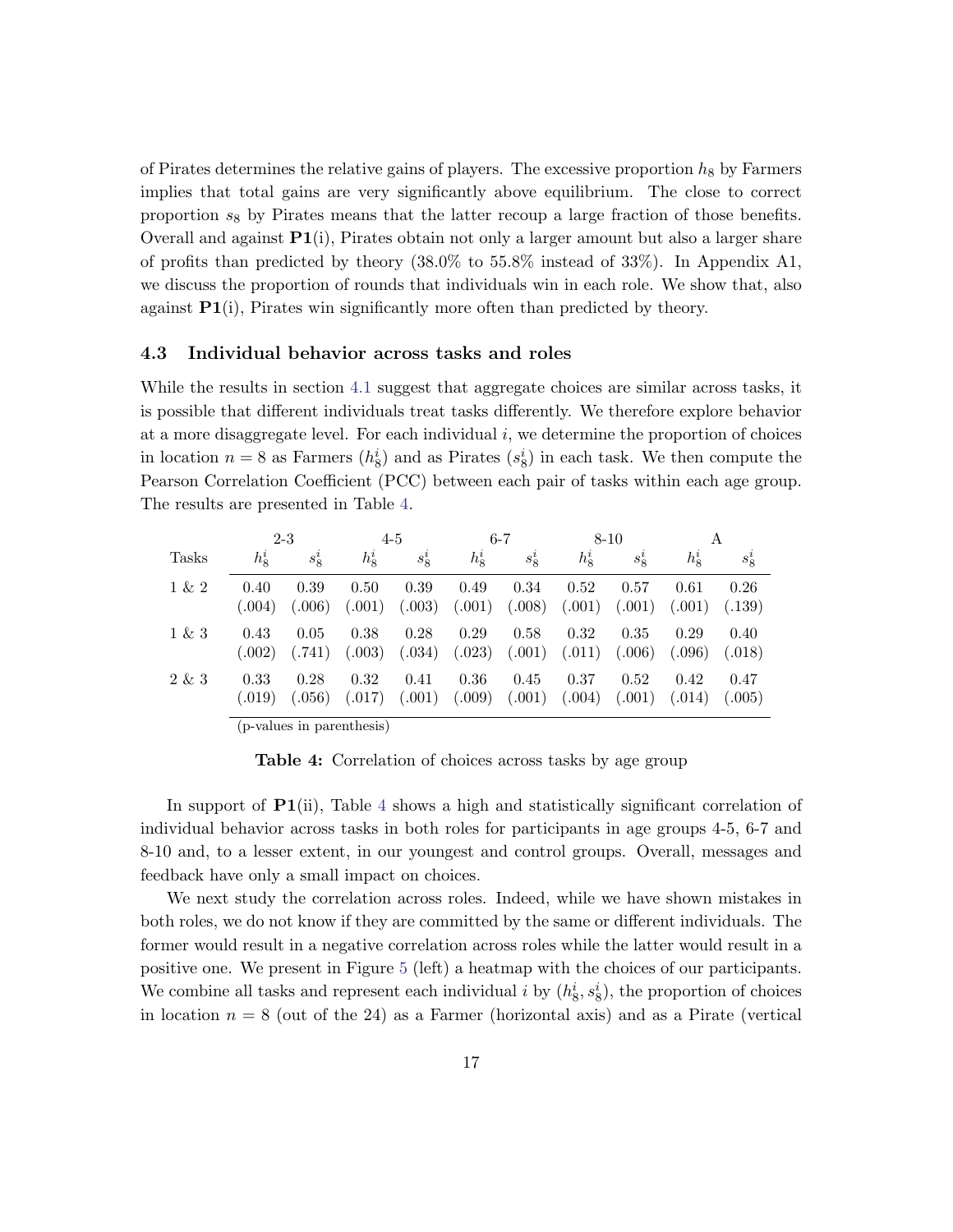of Pirates determines the relative gains of players. The excessive proportion  $h_8$  by Farmers implies that total gains are very significantly above equilibrium. The close to correct proportion  $s_8$  by Pirates means that the latter recoup a large fraction of those benefits. Overall and against  $P1(i)$ , Pirates obtain not only a larger amount but also a larger share of profits than predicted by theory (38.0% to 55.8% instead of 33%). In Appendix A1, we discuss the proportion of rounds that individuals win in each role. We show that, also against  $P1(i)$ , Pirates win significantly more often than predicted by theory.

#### 4.3 Individual behavior across tasks and roles

While the results in section [4.1](#page-14-2) suggest that aggregate choices are similar across tasks, it is possible that different individuals treat tasks differently. We therefore explore behavior at a more disaggregate level. For each individual  $i$ , we determine the proportion of choices in location  $n = 8$  as Farmers  $(h_8^i)$  and as Pirates  $(s_8^i)$  in each task. We then compute the Pearson Correlation Coefficient (PCC) between each pair of tasks within each age group. The results are presented in Table [4.](#page-17-0)

<span id="page-17-0"></span>

|              | $2 - 3$     |         |                                                           | $4 - 5$ | $6 - 7$     |         |         | $8 - 10$  |             | A       |
|--------------|-------------|---------|-----------------------------------------------------------|---------|-------------|---------|---------|-----------|-------------|---------|
| <b>Tasks</b> | $h_{8}^{i}$ | $s^i_8$ | $h^i_{\mathcal{R}}$                                       | $s_8^i$ | $h_{8}^{i}$ | $s_8^i$ | $h^i_8$ | $s^i_{8}$ | $h_{8}^{i}$ | $s_8^i$ |
| $1 \& 2$     | 0.40        | 0.39    | 0.50                                                      | 0.39    | 0.49        | 0.34    | 0.52    | 0.57      | 0.61        | 0.26    |
|              | (.004)      | (.006)  | (.001)                                                    | (.003)  | (.001)      | (.008)  | (.001)  | (.001)    | (.001)      | (.139)  |
| $1 \& 3$     | 0.43        | 0.05    | 0.38                                                      | 0.28    | 0.29        | 0.58    | 0.32    | 0.35      | 0.29        | 0.40    |
|              | (.002)      | (.741)  | (.003)                                                    | (.034)  | (.023)      | (.001)  | (.011)  | (.006)    | (.096)      | (.018)  |
| 2 & 3        | 0.33        | 0.28    | 0.32                                                      | 0.41    | 0.36        | 0.45    | 0.37    | 0.52      | 0.42        | 0.47    |
|              | (.019)      | (.056)  | (.017)                                                    | (.001)  | (.009)      | (.001)  | (.004)  | (.001)    | (.014)      | (.005)  |
|              |             |         | $\left( \begin{array}{ccc} 1 & 1 & 1 \end{array} \right)$ |         |             |         |         |           |             |         |

(p-values in parenthesis)

Table 4: Correlation of choices across tasks by age group

In support of  $P1(i)$ , Table [4](#page-17-0) shows a high and statistically significant correlation of individual behavior across tasks in both roles for participants in age groups 4-5, 6-7 and 8-10 and, to a lesser extent, in our youngest and control groups. Overall, messages and feedback have only a small impact on choices.

We next study the correlation across roles. Indeed, while we have shown mistakes in both roles, we do not know if they are committed by the same or different individuals. The former would result in a negative correlation across roles while the latter would result in a positive one. We present in Figure [5](#page-18-0) (left) a heatmap with the choices of our participants. We combine all tasks and represent each individual i by  $(h_8^i, s_8^i)$ , the proportion of choices in location  $n = 8$  (out of the 24) as a Farmer (horizontal axis) and as a Pirate (vertical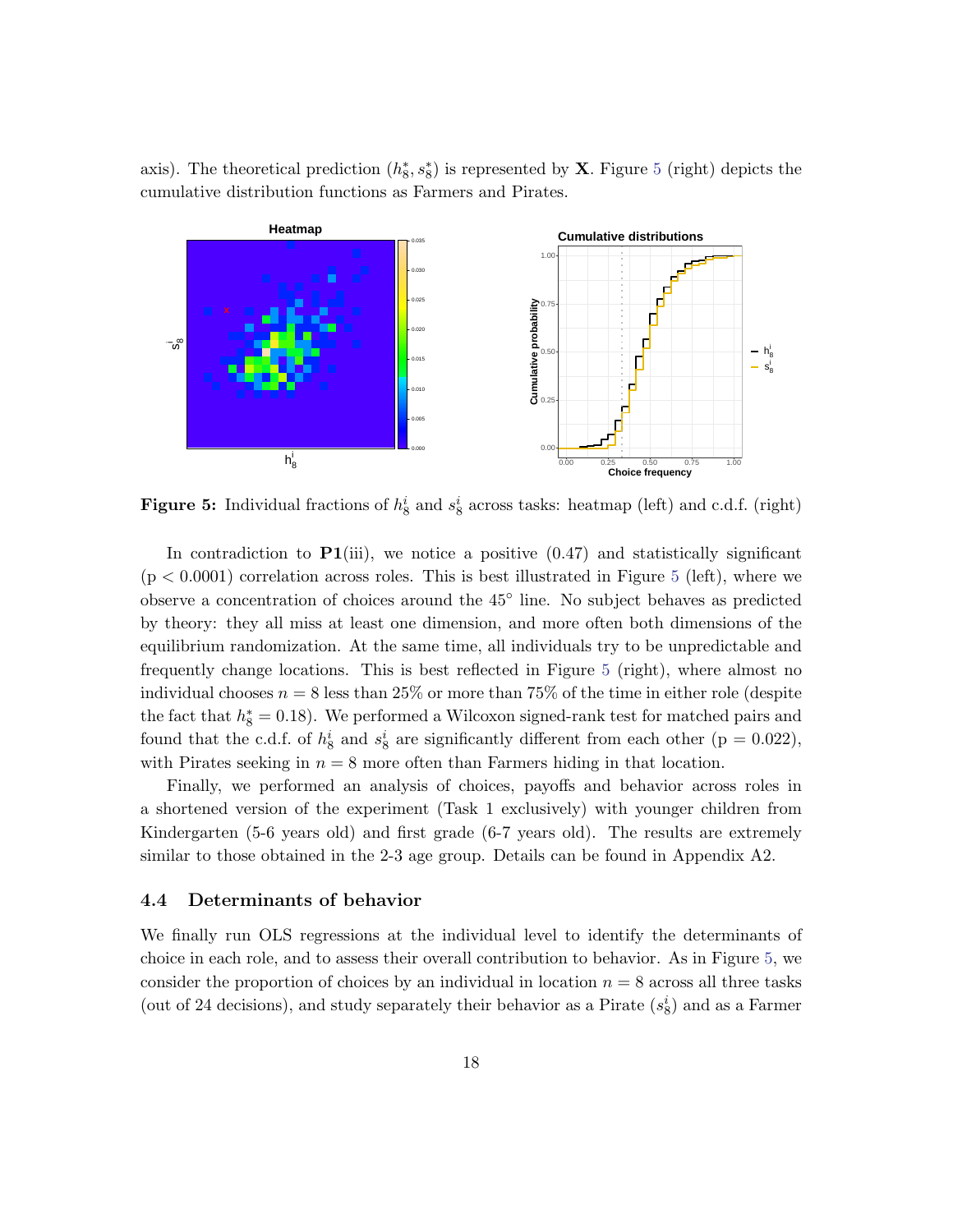axis). The theoretical prediction  $(h_8^*, s_8^*)$  is represented by **X**. Figure [5](#page-18-0) (right) depicts the cumulative distribution functions as Farmers and Pirates.

<span id="page-18-0"></span>

**Figure 5:** Individual fractions of  $h_8^i$  and  $s_8^i$  across tasks: heatmap (left) and c.d.f. (right)

In contradiction to  $P1(iii)$ , we notice a positive  $(0.47)$  and statistically significant  $(p < 0.0001)$  correlation across roles. This is best illustrated in Figure [5](#page-18-0) (left), where we observe a concentration of choices around the 45◦ line. No subject behaves as predicted by theory: they all miss at least one dimension, and more often both dimensions of the equilibrium randomization. At the same time, all individuals try to be unpredictable and frequently change locations. This is best reflected in Figure [5](#page-18-0) (right), where almost no individual chooses  $n = 8$  less than 25% or more than 75% of the time in either role (despite the fact that  $h_8^* = 0.18$ ). We performed a Wilcoxon signed-rank test for matched pairs and found that the c.d.f. of  $h_8^i$  and  $s_8^i$  are significantly different from each other (p = 0.022), with Pirates seeking in  $n = 8$  more often than Farmers hiding in that location.

Finally, we performed an analysis of choices, payoffs and behavior across roles in a shortened version of the experiment (Task 1 exclusively) with younger children from Kindergarten (5-6 years old) and first grade (6-7 years old). The results are extremely similar to those obtained in the 2-3 age group. Details can be found in Appendix A2.

### 4.4 Determinants of behavior

We finally run OLS regressions at the individual level to identify the determinants of choice in each role, and to assess their overall contribution to behavior. As in Figure [5,](#page-18-0) we consider the proportion of choices by an individual in location  $n = 8$  across all three tasks (out of 24 decisions), and study separately their behavior as a Pirate  $(s_8^i)$  and as a Farmer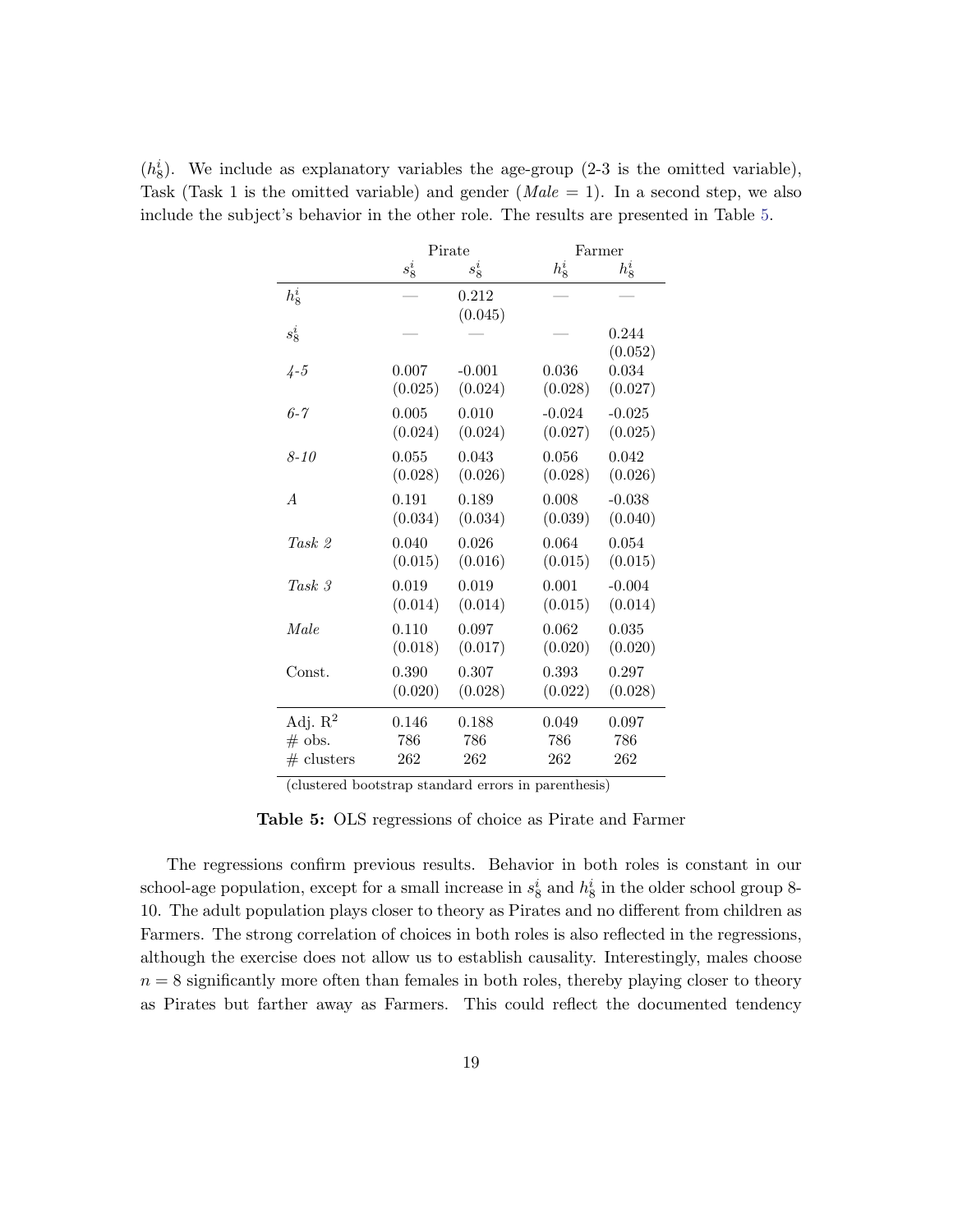|                     |         | Pirate   | Farmer   |                  |  |  |
|---------------------|---------|----------|----------|------------------|--|--|
|                     | $s^i_8$ | $s^i_8$  | $h_8^i$  | $h_8^i$          |  |  |
| $h^i_{\mathbf{8}}$  |         | 0.212    |          |                  |  |  |
| $s^i_8$             |         | (0.045)  |          | 0.244<br>(0.052) |  |  |
| $4 - 5$             | 0.007   | $-0.001$ | 0.036    | 0.034            |  |  |
|                     | (0.025) | (0.024)  | (0.028)  | (0.027)          |  |  |
| $6 - 7$             | 0.005   | 0.010    | $-0.024$ | $-0.025$         |  |  |
|                     | (0.024) | (0.024)  | (0.027)  | (0.025)          |  |  |
| $8 - 10$            | 0.055   | 0.043    | 0.056    | 0.042            |  |  |
|                     | (0.028) | (0.026)  | (0.028)  | (0.026)          |  |  |
| $\overline{A}$      | 0.191   | 0.189    | 0.008    | $-0.038$         |  |  |
|                     | (0.034) | (0.034)  | (0.039)  | (0.040)          |  |  |
| Task <sub>2</sub>   | 0.040   | 0.026    | 0.064    | 0.054            |  |  |
|                     | (0.015) | (0.016)  | (0.015)  | (0.015)          |  |  |
| Task 3              | 0.019   | 0.019    | 0.001    | $-0.004$         |  |  |
|                     | (0.014) | (0.014)  | (0.015)  | (0.014)          |  |  |
| Male                | 0.110   | 0.097    | 0.062    | 0.035            |  |  |
|                     | (0.018) | (0.017)  | (0.020)  | (0.020)          |  |  |
| Const.              | 0.390   | 0.307    | 0.393    | 0.297            |  |  |
|                     | (0.020) | (0.028)  | (0.022)  | (0.028)          |  |  |
| Adj. $\mathbb{R}^2$ | 0.146   | 0.188    | 0.049    | 0.097            |  |  |
| $\#$ obs.           | 786     | 786      | 786      | 786              |  |  |
| $#$ clusters        | 262     | 262      | 262      | 262              |  |  |

<span id="page-19-0"></span> $(h_8^i)$ . We include as explanatory variables the age-group (2-3 is the omitted variable), Task (Task 1 is the omitted variable) and gender  $(Male = 1)$ . In a second step, we also include the subject's behavior in the other role. The results are presented in Table [5.](#page-19-0)

(clustered bootstrap standard errors in parenthesis)

Table 5: OLS regressions of choice as Pirate and Farmer

The regressions confirm previous results. Behavior in both roles is constant in our school-age population, except for a small increase in  $s_8^i$  and  $h_8^i$  in the older school group 8-10. The adult population plays closer to theory as Pirates and no different from children as Farmers. The strong correlation of choices in both roles is also reflected in the regressions, although the exercise does not allow us to establish causality. Interestingly, males choose  $n = 8$  significantly more often than females in both roles, thereby playing closer to theory as Pirates but farther away as Farmers. This could reflect the documented tendency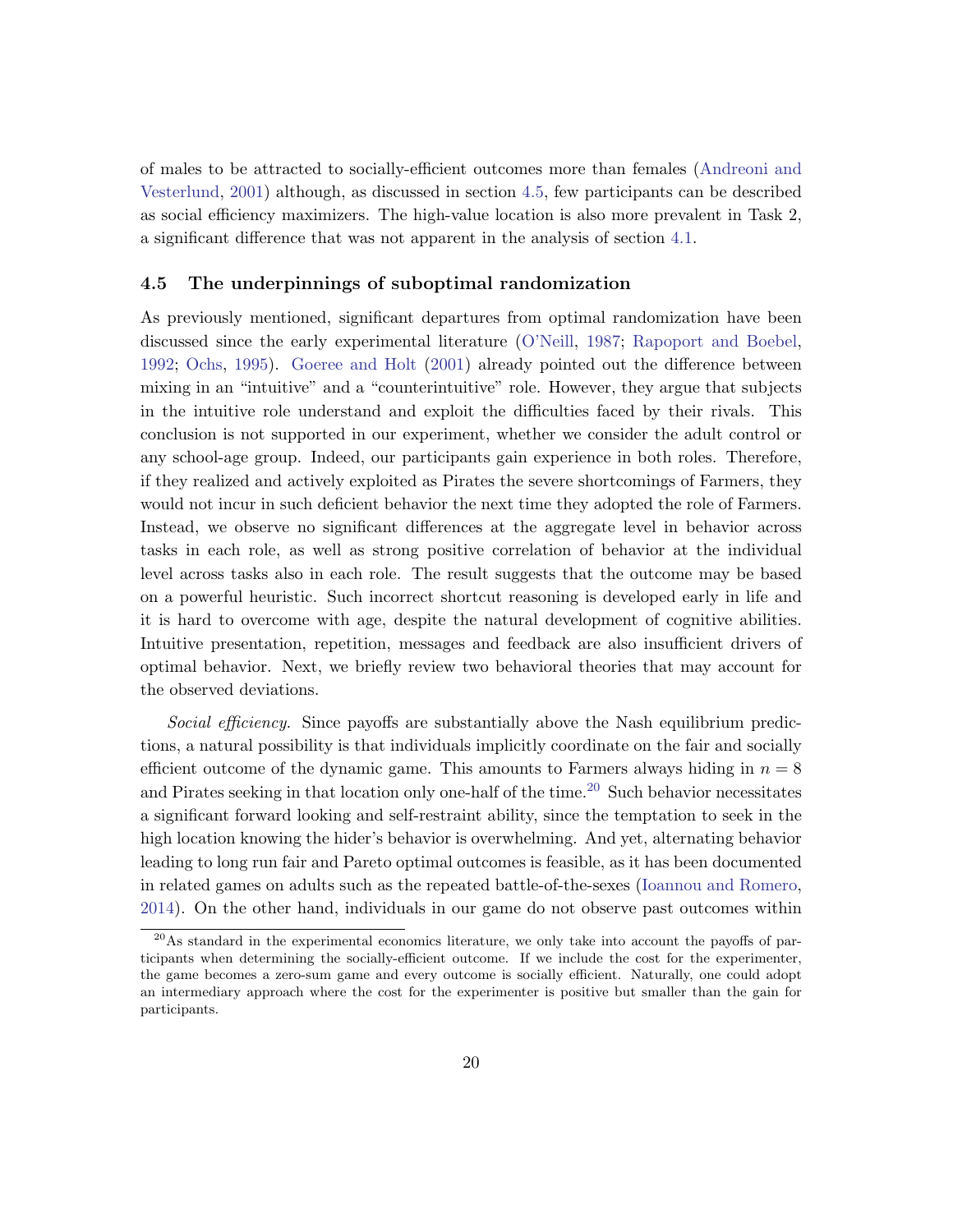of males to be attracted to socially-efficient outcomes more than females [\(Andreoni and](#page-31-10) [Vesterlund,](#page-31-10) [2001\)](#page-31-10) although, as discussed in section [4.5,](#page-20-0) few participants can be described as social efficiency maximizers. The high-value location is also more prevalent in Task 2, a significant difference that was not apparent in the analysis of section [4.1.](#page-14-2)

### <span id="page-20-0"></span>4.5 The underpinnings of suboptimal randomization

As previously mentioned, significant departures from optimal randomization have been discussed since the early experimental literature [\(O'Neill,](#page-33-3) [1987;](#page-33-3) [Rapoport and Boebel,](#page-34-0) [1992;](#page-34-0) [Ochs,](#page-33-1) [1995\)](#page-33-1). [Goeree and Holt](#page-32-3) [\(2001\)](#page-32-3) already pointed out the difference between mixing in an "intuitive" and a "counterintuitive" role. However, they argue that subjects in the intuitive role understand and exploit the difficulties faced by their rivals. This conclusion is not supported in our experiment, whether we consider the adult control or any school-age group. Indeed, our participants gain experience in both roles. Therefore, if they realized and actively exploited as Pirates the severe shortcomings of Farmers, they would not incur in such deficient behavior the next time they adopted the role of Farmers. Instead, we observe no significant differences at the aggregate level in behavior across tasks in each role, as well as strong positive correlation of behavior at the individual level across tasks also in each role. The result suggests that the outcome may be based on a powerful heuristic. Such incorrect shortcut reasoning is developed early in life and it is hard to overcome with age, despite the natural development of cognitive abilities. Intuitive presentation, repetition, messages and feedback are also insufficient drivers of optimal behavior. Next, we briefly review two behavioral theories that may account for the observed deviations.

Social efficiency. Since payoffs are substantially above the Nash equilibrium predictions, a natural possibility is that individuals implicitly coordinate on the fair and socially efficient outcome of the dynamic game. This amounts to Farmers always hiding in  $n = 8$ and Pirates seeking in that location only one-half of the time.<sup>[20](#page-20-1)</sup> Such behavior necessitates a significant forward looking and self-restraint ability, since the temptation to seek in the high location knowing the hider's behavior is overwhelming. And yet, alternating behavior leading to long run fair and Pareto optimal outcomes is feasible, as it has been documented in related games on adults such as the repeated battle-of-the-sexes [\(Ioannou and Romero,](#page-33-8) [2014\)](#page-33-8). On the other hand, individuals in our game do not observe past outcomes within

<span id="page-20-1"></span><sup>&</sup>lt;sup>20</sup>As standard in the experimental economics literature, we only take into account the payoffs of participants when determining the socially-efficient outcome. If we include the cost for the experimenter, the game becomes a zero-sum game and every outcome is socially efficient. Naturally, one could adopt an intermediary approach where the cost for the experimenter is positive but smaller than the gain for participants.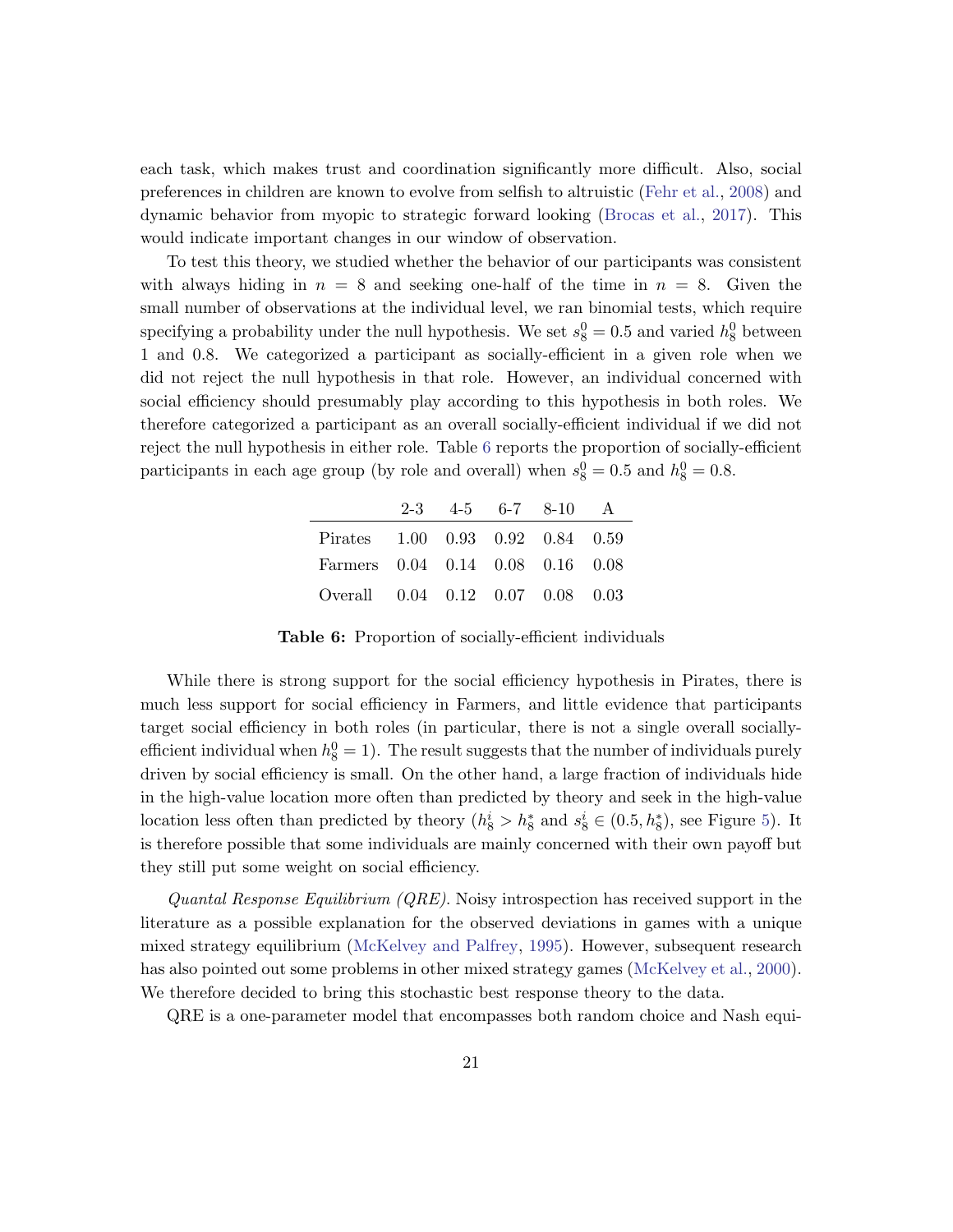each task, which makes trust and coordination significantly more difficult. Also, social preferences in children are known to evolve from selfish to altruistic [\(Fehr et al.,](#page-32-9) [2008\)](#page-32-9) and dynamic behavior from myopic to strategic forward looking [\(Brocas et al.,](#page-31-11) [2017\)](#page-31-11). This would indicate important changes in our window of observation.

To test this theory, we studied whether the behavior of our participants was consistent with always hiding in  $n = 8$  and seeking one-half of the time in  $n = 8$ . Given the small number of observations at the individual level, we ran binomial tests, which require specifying a probability under the null hypothesis. We set  $s_8^0 = 0.5$  and varied  $h_8^0$  between 1 and 0.8. We categorized a participant as socially-efficient in a given role when we did not reject the null hypothesis in that role. However, an individual concerned with social efficiency should presumably play according to this hypothesis in both roles. We therefore categorized a participant as an overall socially-efficient individual if we did not reject the null hypothesis in either role. Table [6](#page-21-0) reports the proportion of socially-efficient participants in each age group (by role and overall) when  $s_8^0 = 0.5$  and  $h_8^0 = 0.8$ .

<span id="page-21-0"></span>

|                                  |  | $2-3$ $4-5$ $6-7$ $8-10$ A |  |
|----------------------------------|--|----------------------------|--|
| Pirates 1.00 0.93 0.92 0.84 0.59 |  |                            |  |
| Farmers 0.04 0.14 0.08 0.16 0.08 |  |                            |  |
| Overall 0.04 0.12 0.07 0.08 0.03 |  |                            |  |

Table 6: Proportion of socially-efficient individuals

While there is strong support for the social efficiency hypothesis in Pirates, there is much less support for social efficiency in Farmers, and little evidence that participants target social efficiency in both roles (in particular, there is not a single overall sociallyefficient individual when  $h_8^0 = 1$ ). The result suggests that the number of individuals purely driven by social efficiency is small. On the other hand, a large fraction of individuals hide in the high-value location more often than predicted by theory and seek in the high-value location less often than predicted by theory  $(h_8^i > h_8^*$  and  $s_8^i \in (0.5, h_8^*)$ , see Figure [5\)](#page-18-0). It is therefore possible that some individuals are mainly concerned with their own payoff but they still put some weight on social efficiency.

Quantal Response Equilibrium  $(QRE)$ . Noisy introspection has received support in the literature as a possible explanation for the observed deviations in games with a unique mixed strategy equilibrium [\(McKelvey and Palfrey,](#page-33-2) [1995\)](#page-33-2). However, subsequent research has also pointed out some problems in other mixed strategy games [\(McKelvey et al.,](#page-33-9) [2000\)](#page-33-9). We therefore decided to bring this stochastic best response theory to the data.

QRE is a one-parameter model that encompasses both random choice and Nash equi-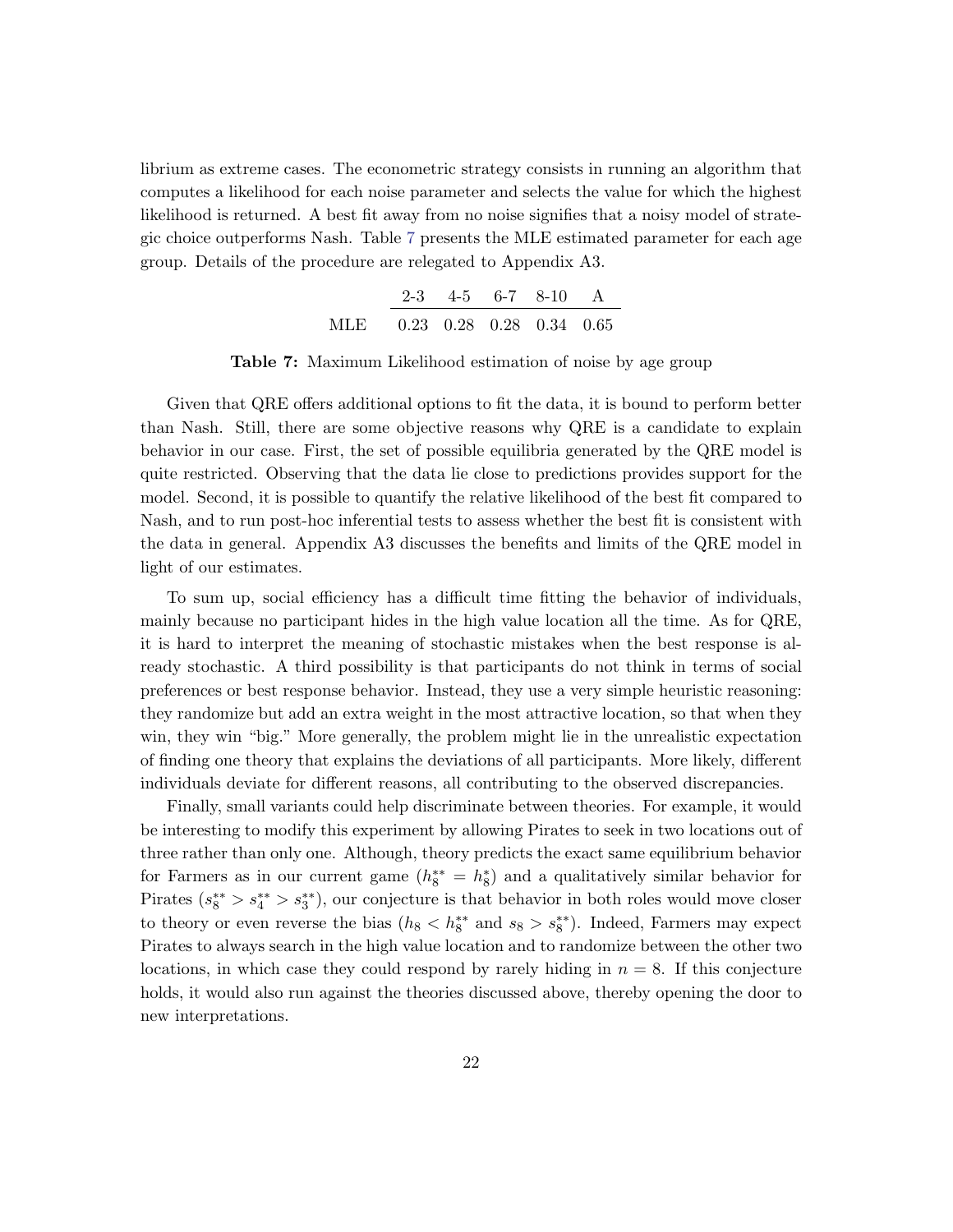<span id="page-22-0"></span>librium as extreme cases. The econometric strategy consists in running an algorithm that computes a likelihood for each noise parameter and selects the value for which the highest likelihood is returned. A best fit away from no noise signifies that a noisy model of strategic choice outperforms Nash. Table [7](#page-22-0) presents the MLE estimated parameter for each age group. Details of the procedure are relegated to Appendix A3.

|                              |  | $2-3$ 4-5 6-7 8-10 A |  |
|------------------------------|--|----------------------|--|
| MLE 0.23 0.28 0.28 0.34 0.65 |  |                      |  |

Table 7: Maximum Likelihood estimation of noise by age group

Given that QRE offers additional options to fit the data, it is bound to perform better than Nash. Still, there are some objective reasons why QRE is a candidate to explain behavior in our case. First, the set of possible equilibria generated by the QRE model is quite restricted. Observing that the data lie close to predictions provides support for the model. Second, it is possible to quantify the relative likelihood of the best fit compared to Nash, and to run post-hoc inferential tests to assess whether the best fit is consistent with the data in general. Appendix A3 discusses the benefits and limits of the QRE model in light of our estimates.

To sum up, social efficiency has a difficult time fitting the behavior of individuals, mainly because no participant hides in the high value location all the time. As for QRE, it is hard to interpret the meaning of stochastic mistakes when the best response is already stochastic. A third possibility is that participants do not think in terms of social preferences or best response behavior. Instead, they use a very simple heuristic reasoning: they randomize but add an extra weight in the most attractive location, so that when they win, they win "big." More generally, the problem might lie in the unrealistic expectation of finding one theory that explains the deviations of all participants. More likely, different individuals deviate for different reasons, all contributing to the observed discrepancies.

Finally, small variants could help discriminate between theories. For example, it would be interesting to modify this experiment by allowing Pirates to seek in two locations out of three rather than only one. Although, theory predicts the exact same equilibrium behavior for Farmers as in our current game  $(h_8^{**} = h_8^*)$  and a qualitatively similar behavior for Pirates  $(s_8^{**} > s_4^{**} > s_3^{**})$ , our conjecture is that behavior in both roles would move closer to theory or even reverse the bias  $(h_8 < h_8^{**}$  and  $s_8 > s_8^{**}$ ). Indeed, Farmers may expect Pirates to always search in the high value location and to randomize between the other two locations, in which case they could respond by rarely hiding in  $n = 8$ . If this conjecture holds, it would also run against the theories discussed above, thereby opening the door to new interpretations.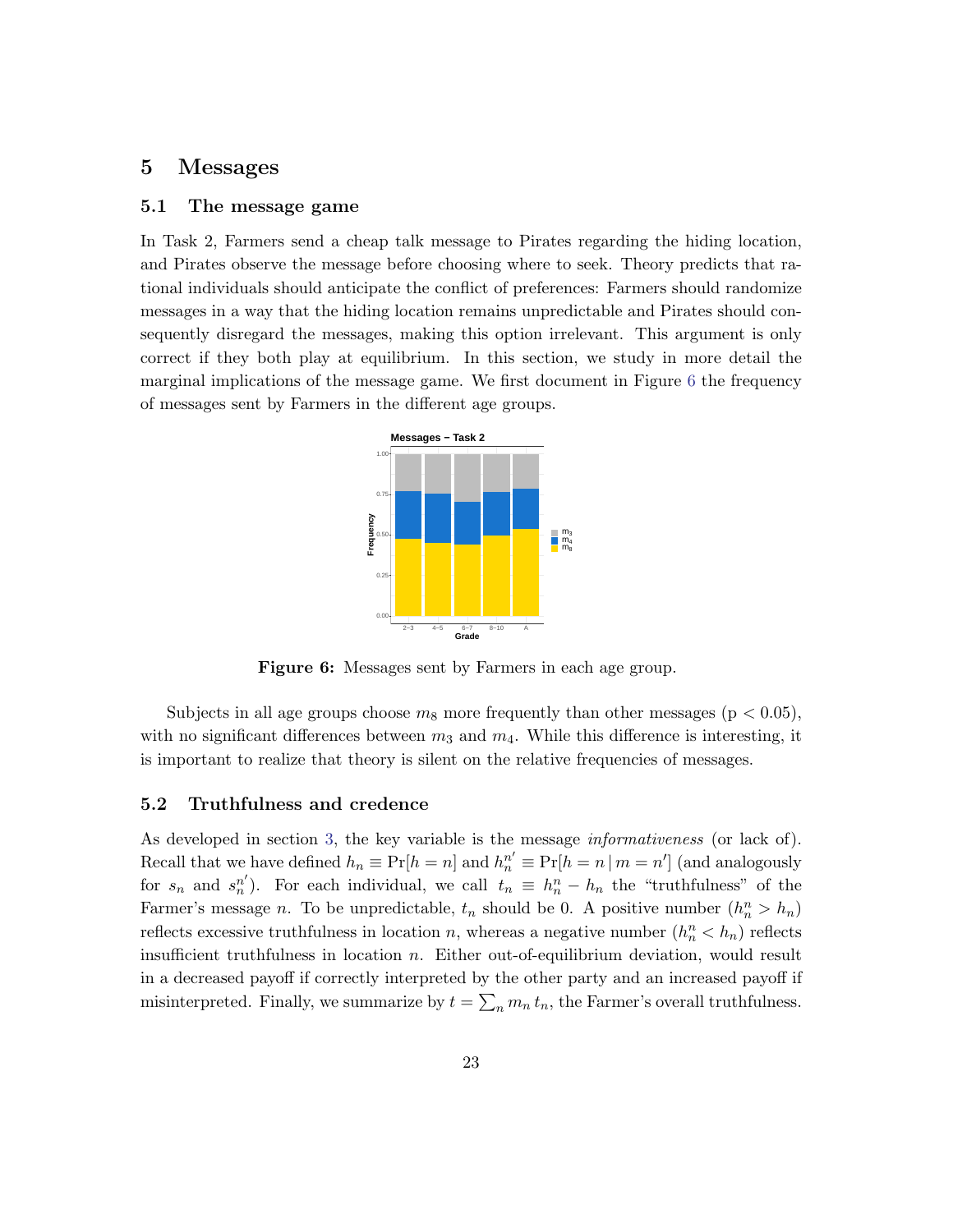### <span id="page-23-0"></span>5 Messages

#### 5.1 The message game

<span id="page-23-1"></span>In Task 2, Farmers send a cheap talk message to Pirates regarding the hiding location, and Pirates observe the message before choosing where to seek. Theory predicts that rational individuals should anticipate the conflict of preferences: Farmers should randomize messages in a way that the hiding location remains unpredictable and Pirates should consequently disregard the messages, making this option irrelevant. This argument is only correct if they both play at equilibrium. In this section, we study in more detail the marginal implications of the message game. We first document in Figure [6](#page-23-1) the frequency of messages sent by Farmers in the different age groups.



Figure 6: Messages sent by Farmers in each age group.

Subjects in all age groups choose  $m_8$  more frequently than other messages ( $p < 0.05$ ), with no significant differences between  $m_3$  and  $m_4$ . While this difference is interesting, it is important to realize that theory is silent on the relative frequencies of messages.

### 5.2 Truthfulness and credence

As developed in section [3,](#page-10-0) the key variable is the message informativeness (or lack of). Recall that we have defined  $h_n \equiv \Pr[h = n]$  and  $h_n^{n'} \equiv \Pr[h = n | m = n']$  (and analogously for  $s_n$  and  $s_n^{n'}$ ). For each individual, we call  $t_n \equiv h_n^n - h_n$  the "truthfulness" of the Farmer's message *n*. To be unpredictable,  $t_n$  should be 0. A positive number  $(h_n^n > h_n)$ reflects excessive truthfulness in location n, whereas a negative number  $(h_n^n < h_n)$  reflects insufficient truthfulness in location  $n$ . Either out-of-equilibrium deviation, would result in a decreased payoff if correctly interpreted by the other party and an increased payoff if misinterpreted. Finally, we summarize by  $t = \sum_n m_n t_n$ , the Farmer's overall truthfulness.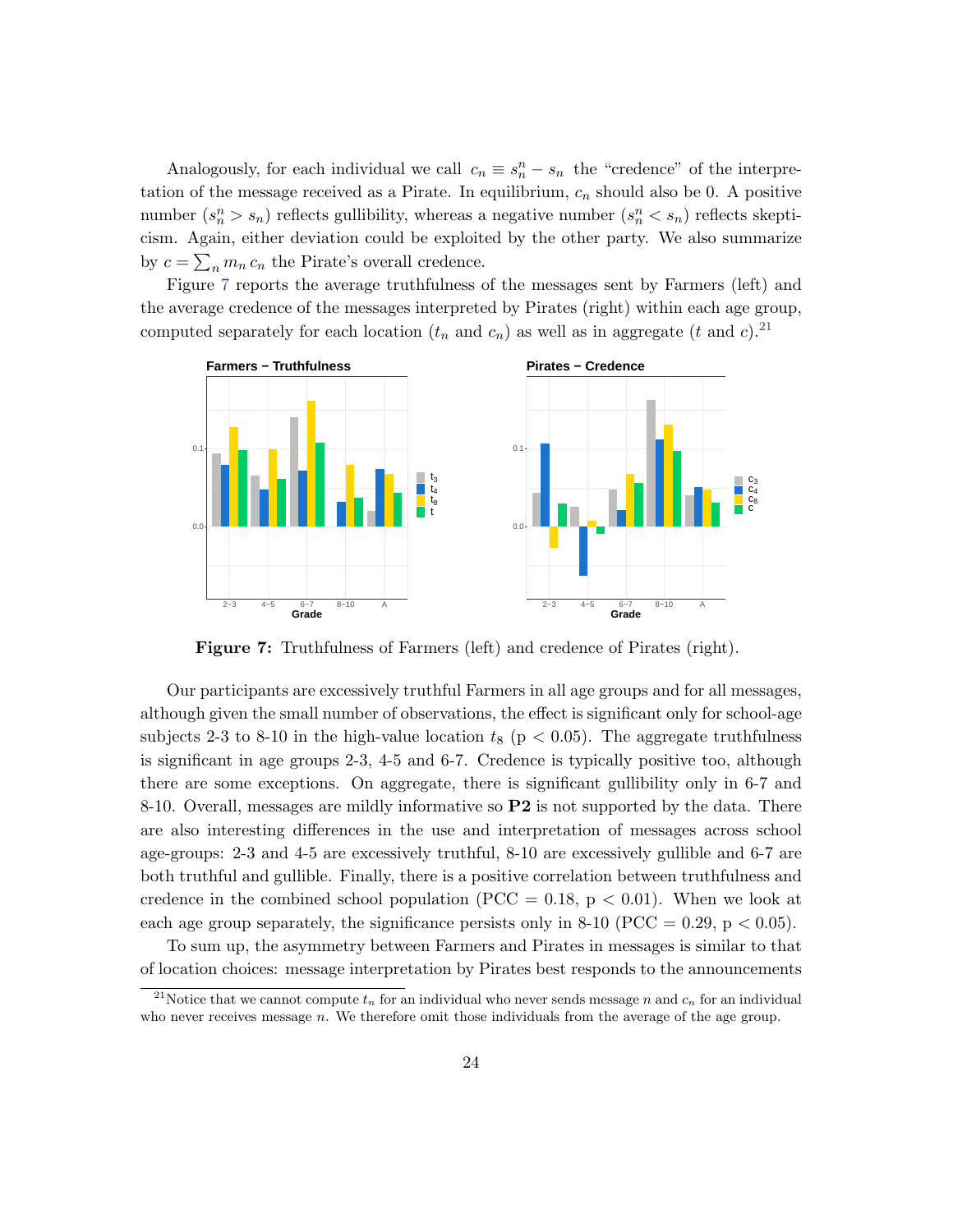Analogously, for each individual we call  $c_n \equiv s_n^n - s_n$  the "credence" of the interpretation of the message received as a Pirate. In equilibrium,  $c_n$  should also be 0. A positive number  $(s_n^n > s_n)$  reflects gullibility, whereas a negative number  $(s_n^n < s_n)$  reflects skepticism. Again, either deviation could be exploited by the other party. We also summarize by  $c = \sum_n m_n c_n$  the Pirate's overall credence.

Figure [7](#page-24-0) reports the average truthfulness of the messages sent by Farmers (left) and the average credence of the messages interpreted by Pirates (right) within each age group, computed separately for each location  $(t_n$  and  $c_n$ ) as well as in aggregate  $(t \text{ and } c)$ .<sup>[21](#page-24-1)</sup>

<span id="page-24-0"></span>

Figure 7: Truthfulness of Farmers (left) and credence of Pirates (right).

Our participants are excessively truthful Farmers in all age groups and for all messages, although given the small number of observations, the effect is significant only for school-age subjects 2-3 to 8-10 in the high-value location  $t_8$  (p < 0.05). The aggregate truthfulness is significant in age groups 2-3, 4-5 and 6-7. Credence is typically positive too, although there are some exceptions. On aggregate, there is significant gullibility only in 6-7 and 8-10. Overall, messages are mildly informative so  $P2$  is not supported by the data. There are also interesting differences in the use and interpretation of messages across school age-groups: 2-3 and 4-5 are excessively truthful, 8-10 are excessively gullible and 6-7 are both truthful and gullible. Finally, there is a positive correlation between truthfulness and credence in the combined school population (PCC = 0.18,  $p < 0.01$ ). When we look at each age group separately, the significance persists only in 8-10 (PCC = 0.29,  $p < 0.05$ ).

To sum up, the asymmetry between Farmers and Pirates in messages is similar to that of location choices: message interpretation by Pirates best responds to the announcements

<span id="page-24-1"></span><sup>&</sup>lt;sup>21</sup>Notice that we cannot compute  $t_n$  for an individual who never sends message n and  $c_n$  for an individual who never receives message  $n$ . We therefore omit those individuals from the average of the age group.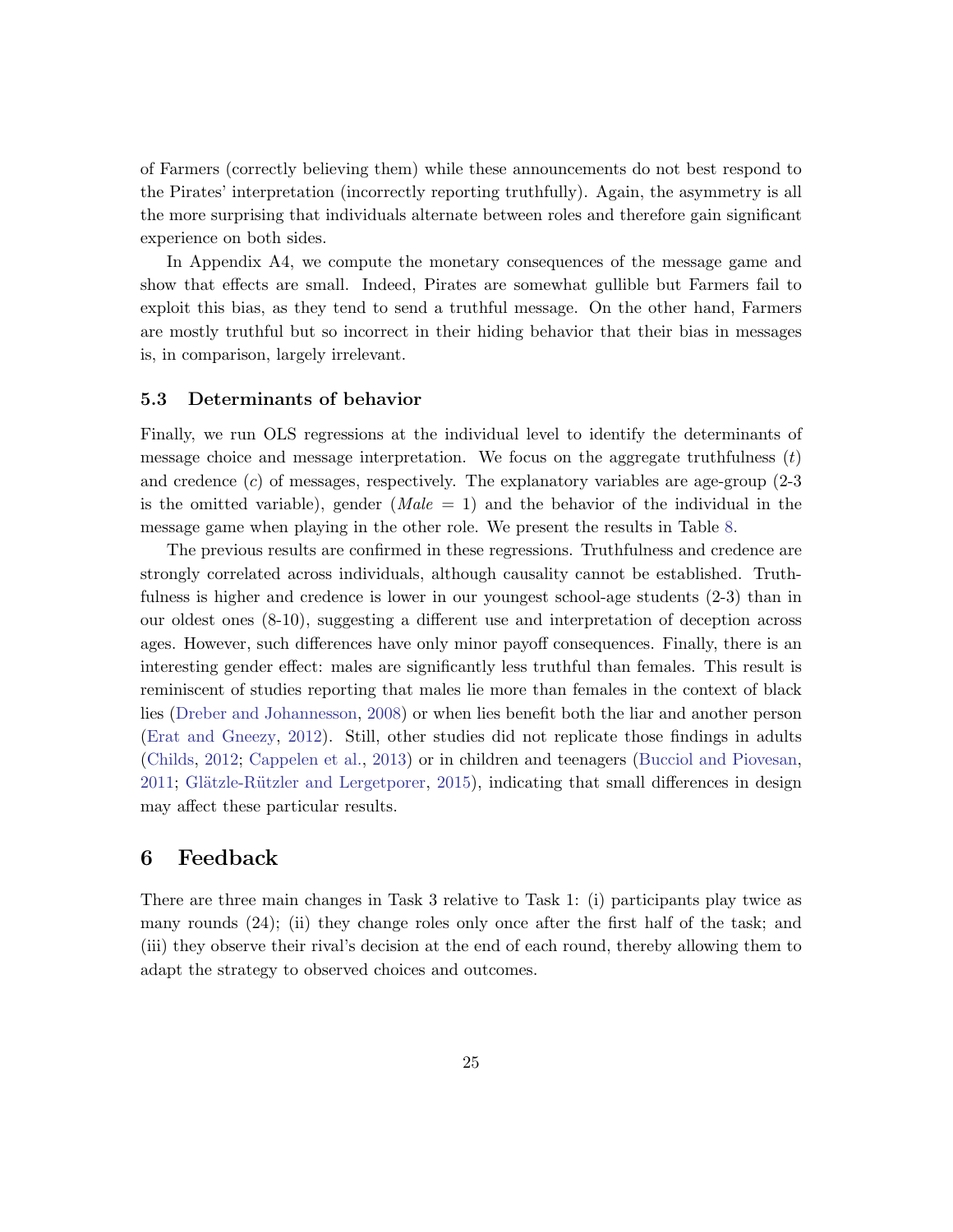of Farmers (correctly believing them) while these announcements do not best respond to the Pirates' interpretation (incorrectly reporting truthfully). Again, the asymmetry is all the more surprising that individuals alternate between roles and therefore gain significant experience on both sides.

In Appendix A4, we compute the monetary consequences of the message game and show that effects are small. Indeed, Pirates are somewhat gullible but Farmers fail to exploit this bias, as they tend to send a truthful message. On the other hand, Farmers are mostly truthful but so incorrect in their hiding behavior that their bias in messages is, in comparison, largely irrelevant.

### 5.3 Determinants of behavior

Finally, we run OLS regressions at the individual level to identify the determinants of message choice and message interpretation. We focus on the aggregate truthfulness  $(t)$ and credence  $(c)$  of messages, respectively. The explanatory variables are age-group  $(2-3)$ is the omitted variable), gender  $(Male = 1)$  and the behavior of the individual in the message game when playing in the other role. We present the results in Table [8.](#page-26-0)

The previous results are confirmed in these regressions. Truthfulness and credence are strongly correlated across individuals, although causality cannot be established. Truthfulness is higher and credence is lower in our youngest school-age students (2-3) than in our oldest ones (8-10), suggesting a different use and interpretation of deception across ages. However, such differences have only minor payoff consequences. Finally, there is an interesting gender effect: males are significantly less truthful than females. This result is reminiscent of studies reporting that males lie more than females in the context of black lies [\(Dreber and Johannesson,](#page-32-10) [2008\)](#page-32-10) or when lies benefit both the liar and another person [\(Erat and Gneezy,](#page-32-11) [2012\)](#page-32-11). Still, other studies did not replicate those findings in adults [\(Childs,](#page-32-12) [2012;](#page-32-12) [Cappelen et al.,](#page-31-12) [2013\)](#page-31-12) or in children and teenagers [\(Bucciol and Piovesan,](#page-31-13)  $2011$ ; Glätzle-Rützler and Lergetporer,  $2015$ ), indicating that small differences in design may affect these particular results.

### <span id="page-25-0"></span>6 Feedback

There are three main changes in Task 3 relative to Task 1: (i) participants play twice as many rounds (24); (ii) they change roles only once after the first half of the task; and (iii) they observe their rival's decision at the end of each round, thereby allowing them to adapt the strategy to observed choices and outcomes.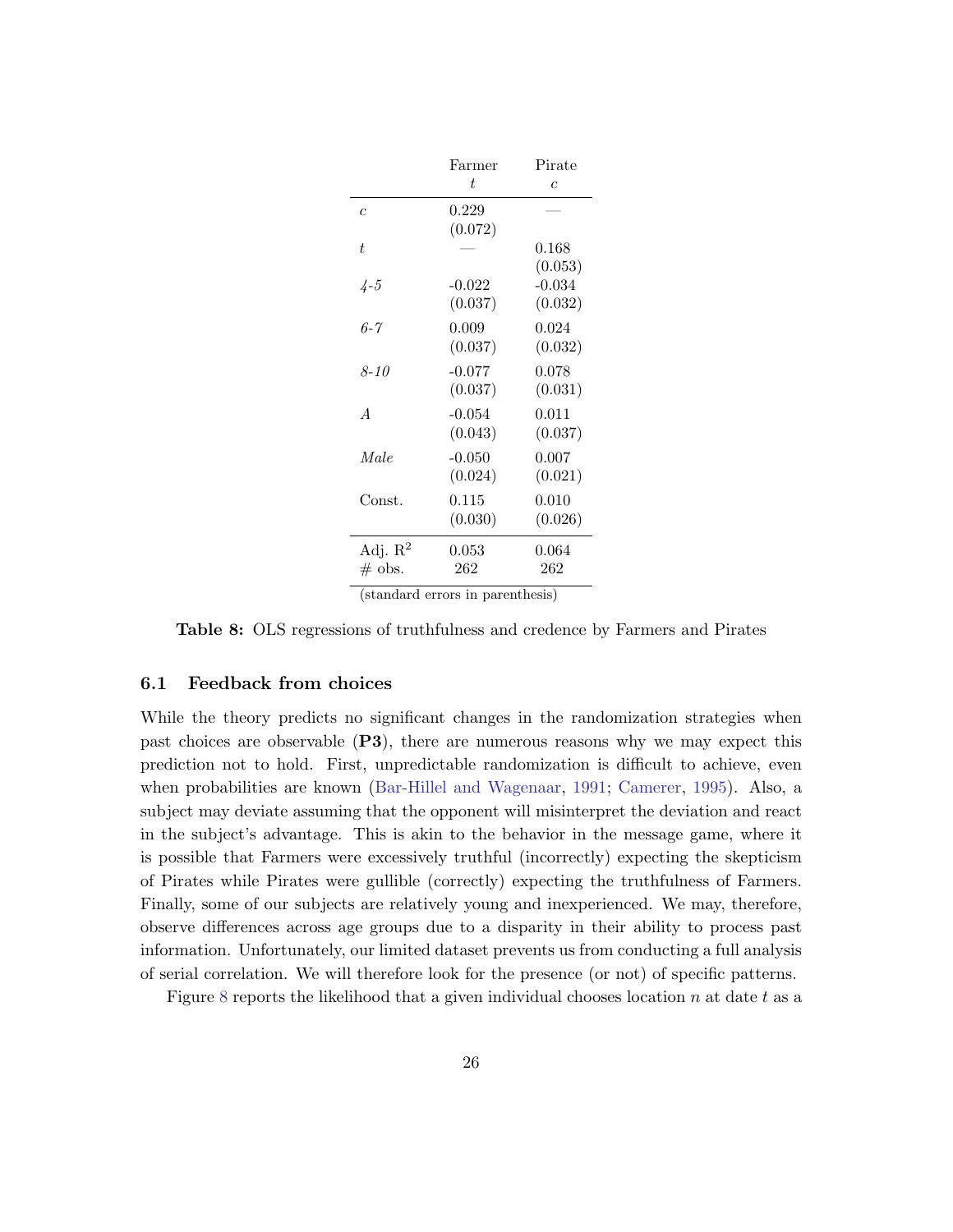<span id="page-26-0"></span>

|                     | Farmer   | Pirate         |
|---------------------|----------|----------------|
|                     | t.       | $\overline{c}$ |
| $\overline{c}$      | 0.229    |                |
|                     | (0.072)  |                |
| t.                  |          | 0.168          |
|                     |          | (0.053)        |
| $\frac{1}{4} - 5$   | $-0.022$ | $-0.034$       |
|                     | (0.037)  | (0.032)        |
| 6-7                 | 0.009    | 0.024          |
|                     | (0.037)  | (0.032)        |
| 8-10                | $-0.077$ | 0.078          |
|                     | (0.037)  | (0.031)        |
| $\overline{A}$      | $-0.054$ | 0.011          |
|                     | (0.043)  | (0.037)        |
| Male                | $-0.050$ | 0.007          |
|                     | (0.024)  | (0.021)        |
| Const.              | 0.115    | 0.010          |
|                     | (0.030)  | (0.026)        |
| Adj. $\mathbb{R}^2$ | 0.053    | 0.064          |
| $\#$ obs.           | 262      | 262            |

(standard errors in parenthesis)

Table 8: OLS regressions of truthfulness and credence by Farmers and Pirates

### <span id="page-26-1"></span>6.1 Feedback from choices

While the theory predicts no significant changes in the randomization strategies when past choices are observable (P3), there are numerous reasons why we may expect this prediction not to hold. First, unpredictable randomization is difficult to achieve, even when probabilities are known [\(Bar-Hillel and Wagenaar,](#page-31-8) [1991;](#page-31-8) [Camerer,](#page-31-9) [1995\)](#page-31-9). Also, a subject may deviate assuming that the opponent will misinterpret the deviation and react in the subject's advantage. This is akin to the behavior in the message game, where it is possible that Farmers were excessively truthful (incorrectly) expecting the skepticism of Pirates while Pirates were gullible (correctly) expecting the truthfulness of Farmers. Finally, some of our subjects are relatively young and inexperienced. We may, therefore, observe differences across age groups due to a disparity in their ability to process past information. Unfortunately, our limited dataset prevents us from conducting a full analysis of serial correlation. We will therefore look for the presence (or not) of specific patterns.

Figure [8](#page-27-0) reports the likelihood that a given individual chooses location n at date t as a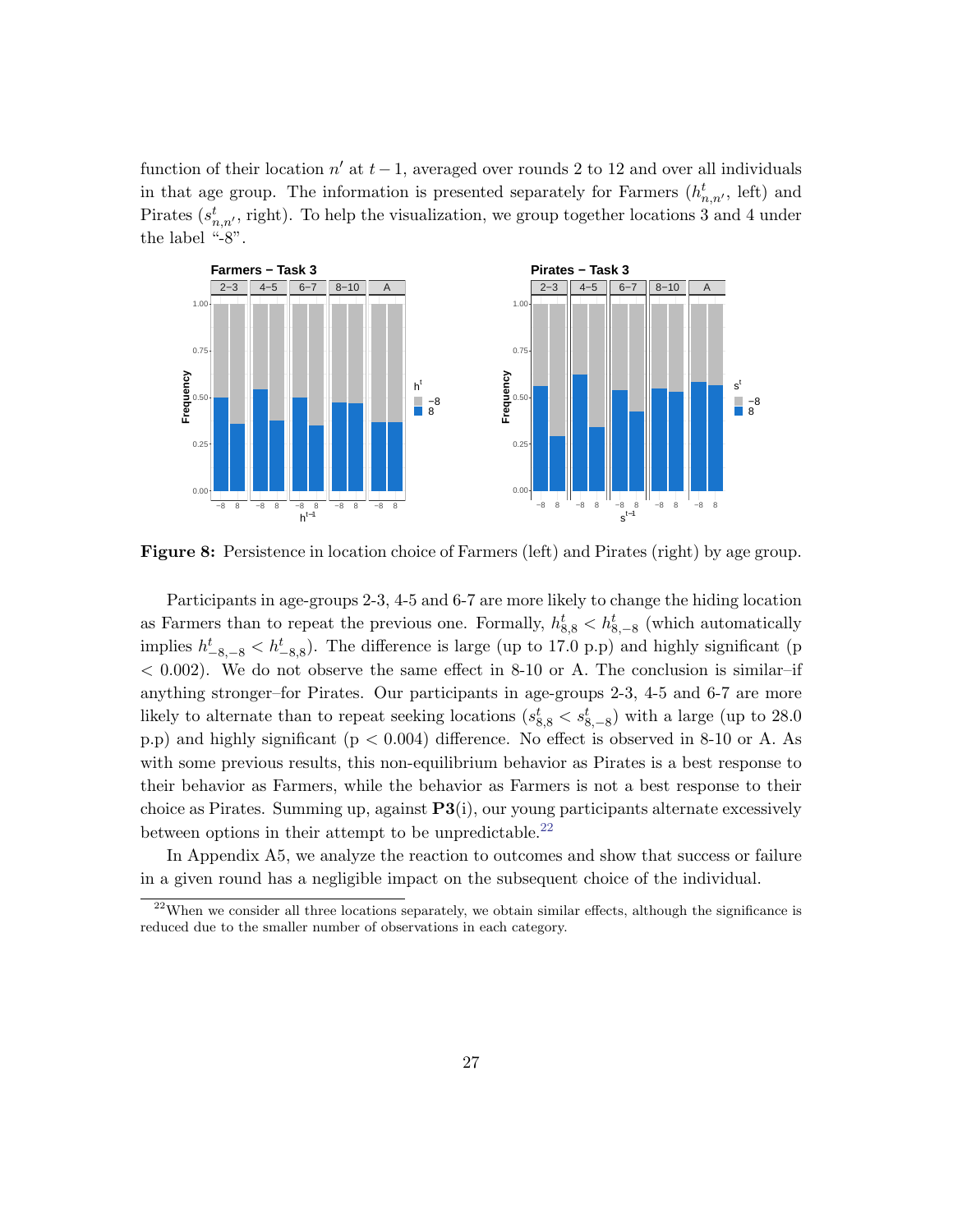function of their location  $n'$  at  $t - 1$ , averaged over rounds 2 to 12 and over all individuals in that age group. The information is presented separately for Farmers  $(h_{n,n}^t, \text{ left})$  and Pirates  $(s_{n,n'}^t)$ , right). To help the visualization, we group together locations 3 and 4 under the label "-8".

<span id="page-27-0"></span>

Figure 8: Persistence in location choice of Farmers (left) and Pirates (right) by age group.

Participants in age-groups 2-3, 4-5 and 6-7 are more likely to change the hiding location as Farmers than to repeat the previous one. Formally,  $h_{8,8}^t < h_{8,-8}^t$  (which automatically implies  $h_{-8,-8}^t < h_{-8,8}^t$ ). The difference is large (up to 17.0 p.p) and highly significant (p  $< 0.002$ ). We do not observe the same effect in 8-10 or A. The conclusion is similar–if anything stronger–for Pirates. Our participants in age-groups 2-3, 4-5 and 6-7 are more likely to alternate than to repeat seeking locations  $(s_{8,8}^t < s_{8,-8}^t)$  with a large (up to 28.0) p.p) and highly significant (p < 0.004) difference. No effect is observed in 8-10 or A. As with some previous results, this non-equilibrium behavior as Pirates is a best response to their behavior as Farmers, while the behavior as Farmers is not a best response to their choice as Pirates. Summing up, against  $\mathbf{P3}(i)$ , our young participants alternate excessively between options in their attempt to be unpredictable.<sup>[22](#page-27-1)</sup>

In Appendix A5, we analyze the reaction to outcomes and show that success or failure in a given round has a negligible impact on the subsequent choice of the individual.

<span id="page-27-1"></span> $^{22}$ When we consider all three locations separately, we obtain similar effects, although the significance is reduced due to the smaller number of observations in each category.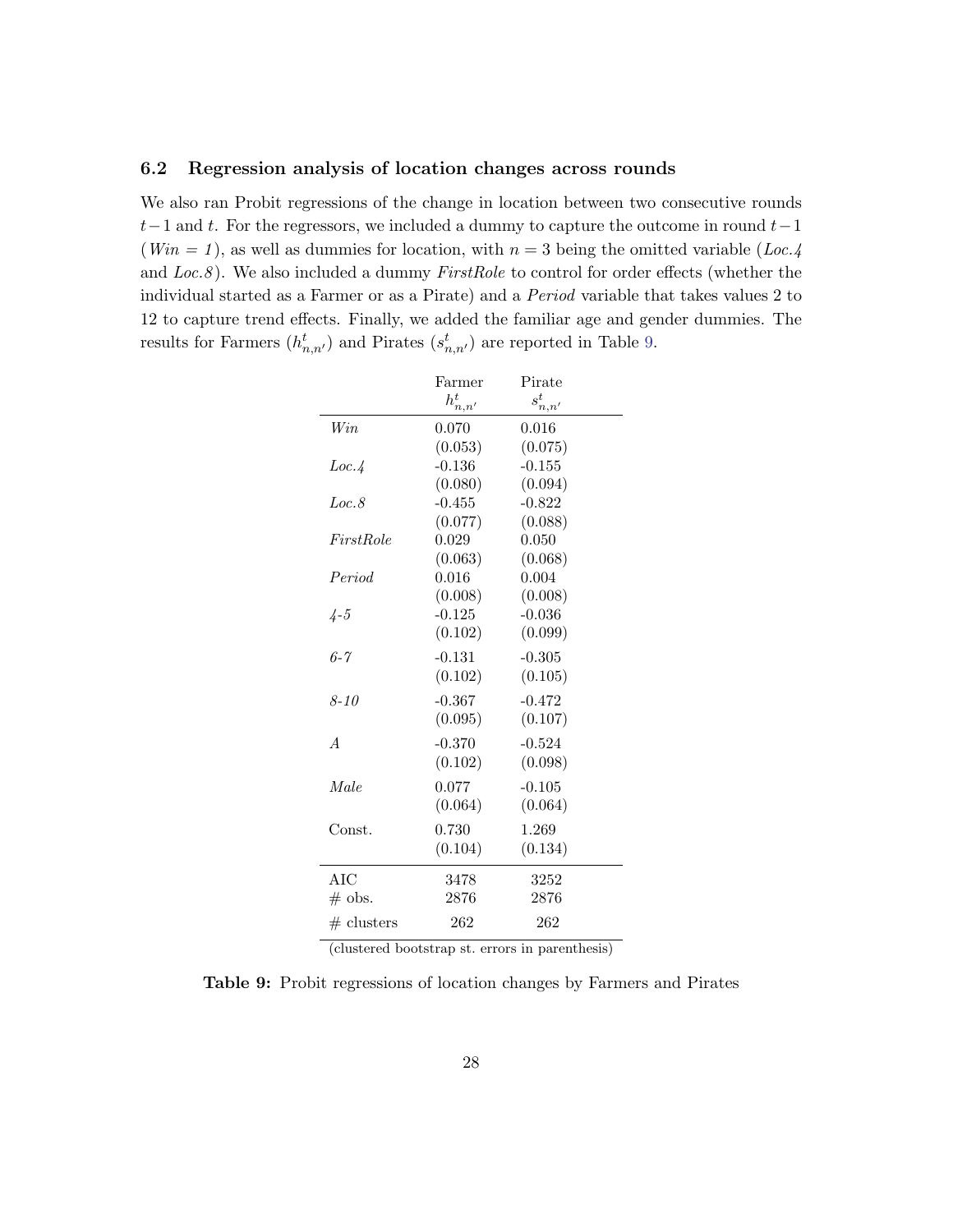### 6.2 Regression analysis of location changes across rounds

<span id="page-28-0"></span>We also ran Probit regressions of the change in location between two consecutive rounds  $t-1$  and t. For the regressors, we included a dummy to capture the outcome in round  $t-1$ (Win = 1), as well as dummies for location, with  $n = 3$  being the omitted variable (Loc.4) and  $Loc.8$ ). We also included a dummy  $FirstRole$  to control for order effects (whether the individual started as a Farmer or as a Pirate) and a Period variable that takes values 2 to 12 to capture trend effects. Finally, we added the familiar age and gender dummies. The results for Farmers  $(h_{n,n'}^t)$  and Pirates  $(s_{n,n'}^t)$  are reported in Table [9.](#page-28-0)

|                | Farmer                   | Pirate       |  |
|----------------|--------------------------|--------------|--|
|                | $h_{n,\underline{n}'}^t$ | $s_{n,n'}^t$ |  |
| Win            | 0.070                    | 0.016        |  |
|                | (0.053)                  | (0.075)      |  |
| Loc.4          | $-0.136$                 | $-0.155$     |  |
|                | (0.080)                  | (0.094)      |  |
| Loc.8          | $-0.455$                 | $-0.822$     |  |
|                | (0.077)                  | (0.088)      |  |
| FirstRole      | 0.029                    | 0.050        |  |
|                | (0.063)                  | (0.068)      |  |
| Period         | 0.016                    | 0.004        |  |
|                | (0.008)                  | (0.008)      |  |
| $4 - 5$        | $-0.125$                 | $-0.036$     |  |
|                | (0.102)                  | (0.099)      |  |
| $6 - 7$        | $-0.131$                 | $-0.305$     |  |
|                | (0.102)                  | (0.105)      |  |
| $8 - 10$       | $-0.367$                 | $-0.472$     |  |
|                | (0.095)                  | (0.107)      |  |
| $\overline{A}$ | $-0.370$                 | $-0.524$     |  |
|                | (0.102)                  | (0.098)      |  |
| Male           | 0.077                    | $-0.105$     |  |
|                | (0.064)                  | (0.064)      |  |
|                |                          |              |  |
| Const.         | 0.730                    | 1.269        |  |
|                | (0.104)                  | (0.134)      |  |
| AIC            | 3478                     | 3252         |  |
| $\#$ obs.      | 2876                     | 2876         |  |
| $#$ clusters   | 262                      | 262          |  |
|                |                          |              |  |

|  |  |  | (clustered bootstrap st. errors in parenthesis) |  |
|--|--|--|-------------------------------------------------|--|
|  |  |  |                                                 |  |

Table 9: Probit regressions of location changes by Farmers and Pirates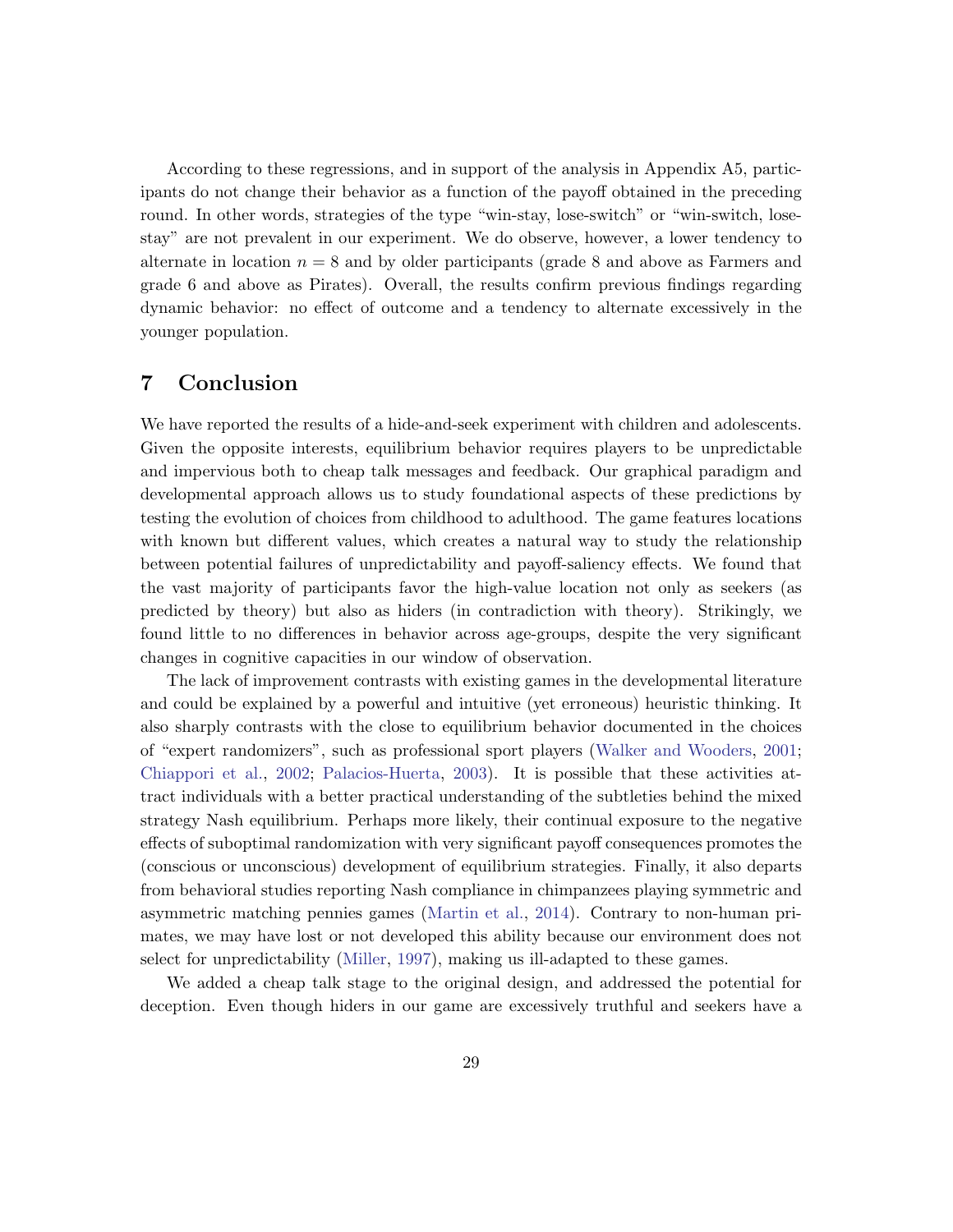According to these regressions, and in support of the analysis in Appendix A5, participants do not change their behavior as a function of the payoff obtained in the preceding round. In other words, strategies of the type "win-stay, lose-switch" or "win-switch, losestay" are not prevalent in our experiment. We do observe, however, a lower tendency to alternate in location  $n = 8$  and by older participants (grade 8 and above as Farmers and grade 6 and above as Pirates). Overall, the results confirm previous findings regarding dynamic behavior: no effect of outcome and a tendency to alternate excessively in the younger population.

### <span id="page-29-0"></span>7 Conclusion

We have reported the results of a hide-and-seek experiment with children and adolescents. Given the opposite interests, equilibrium behavior requires players to be unpredictable and impervious both to cheap talk messages and feedback. Our graphical paradigm and developmental approach allows us to study foundational aspects of these predictions by testing the evolution of choices from childhood to adulthood. The game features locations with known but different values, which creates a natural way to study the relationship between potential failures of unpredictability and payoff-saliency effects. We found that the vast majority of participants favor the high-value location not only as seekers (as predicted by theory) but also as hiders (in contradiction with theory). Strikingly, we found little to no differences in behavior across age-groups, despite the very significant changes in cognitive capacities in our window of observation.

The lack of improvement contrasts with existing games in the developmental literature and could be explained by a powerful and intuitive (yet erroneous) heuristic thinking. It also sharply contrasts with the close to equilibrium behavior documented in the choices of "expert randomizers", such as professional sport players [\(Walker and Wooders,](#page-34-1) [2001;](#page-34-1) [Chiappori et al.,](#page-32-2) [2002;](#page-32-2) [Palacios-Huerta,](#page-34-2) [2003\)](#page-34-2). It is possible that these activities attract individuals with a better practical understanding of the subtleties behind the mixed strategy Nash equilibrium. Perhaps more likely, their continual exposure to the negative effects of suboptimal randomization with very significant payoff consequences promotes the (conscious or unconscious) development of equilibrium strategies. Finally, it also departs from behavioral studies reporting Nash compliance in chimpanzees playing symmetric and asymmetric matching pennies games [\(Martin et al.,](#page-33-10) [2014\)](#page-33-10). Contrary to non-human primates, we may have lost or not developed this ability because our environment does not select for unpredictability [\(Miller,](#page-33-11) [1997\)](#page-33-11), making us ill-adapted to these games.

We added a cheap talk stage to the original design, and addressed the potential for deception. Even though hiders in our game are excessively truthful and seekers have a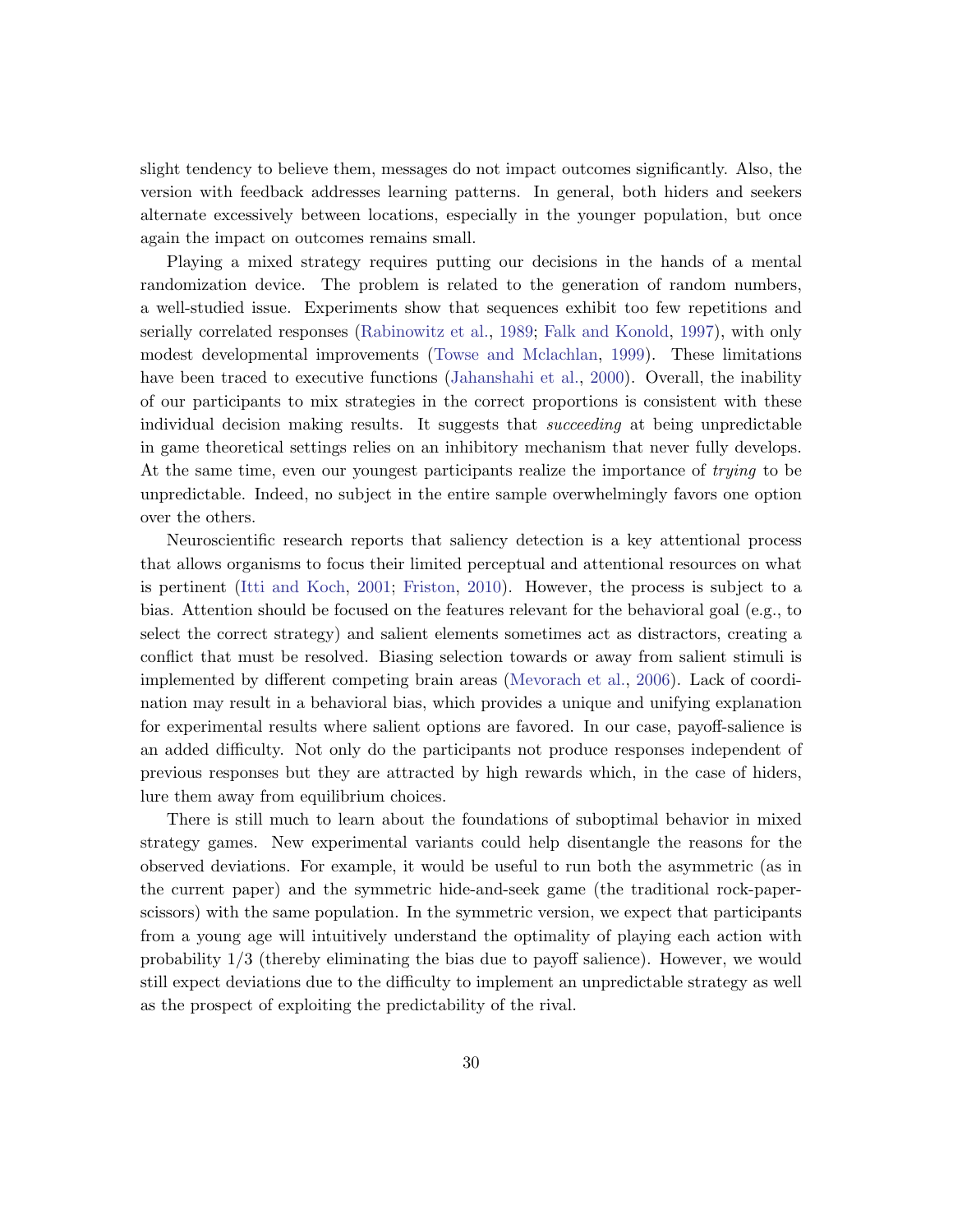slight tendency to believe them, messages do not impact outcomes significantly. Also, the version with feedback addresses learning patterns. In general, both hiders and seekers alternate excessively between locations, especially in the younger population, but once again the impact on outcomes remains small.

Playing a mixed strategy requires putting our decisions in the hands of a mental randomization device. The problem is related to the generation of random numbers, a well-studied issue. Experiments show that sequences exhibit too few repetitions and serially correlated responses [\(Rabinowitz et al.,](#page-34-3) [1989;](#page-34-3) [Falk and Konold,](#page-32-14) [1997\)](#page-32-14), with only modest developmental improvements [\(Towse and Mclachlan,](#page-34-4) [1999\)](#page-34-4). These limitations have been traced to executive functions [\(Jahanshahi et al.,](#page-33-12) [2000\)](#page-33-12). Overall, the inability of our participants to mix strategies in the correct proportions is consistent with these individual decision making results. It suggests that *succeeding* at being unpredictable in game theoretical settings relies on an inhibitory mechanism that never fully develops. At the same time, even our youngest participants realize the importance of trying to be unpredictable. Indeed, no subject in the entire sample overwhelmingly favors one option over the others.

Neuroscientific research reports that saliency detection is a key attentional process that allows organisms to focus their limited perceptual and attentional resources on what is pertinent [\(Itti and Koch,](#page-33-13) [2001;](#page-33-13) [Friston,](#page-32-15) [2010\)](#page-32-15). However, the process is subject to a bias. Attention should be focused on the features relevant for the behavioral goal (e.g., to select the correct strategy) and salient elements sometimes act as distractors, creating a conflict that must be resolved. Biasing selection towards or away from salient stimuli is implemented by different competing brain areas [\(Mevorach et al.,](#page-33-14) [2006\)](#page-33-14). Lack of coordination may result in a behavioral bias, which provides a unique and unifying explanation for experimental results where salient options are favored. In our case, payoff-salience is an added difficulty. Not only do the participants not produce responses independent of previous responses but they are attracted by high rewards which, in the case of hiders, lure them away from equilibrium choices.

There is still much to learn about the foundations of suboptimal behavior in mixed strategy games. New experimental variants could help disentangle the reasons for the observed deviations. For example, it would be useful to run both the asymmetric (as in the current paper) and the symmetric hide-and-seek game (the traditional rock-paperscissors) with the same population. In the symmetric version, we expect that participants from a young age will intuitively understand the optimality of playing each action with probability 1/3 (thereby eliminating the bias due to payoff salience). However, we would still expect deviations due to the difficulty to implement an unpredictable strategy as well as the prospect of exploiting the predictability of the rival.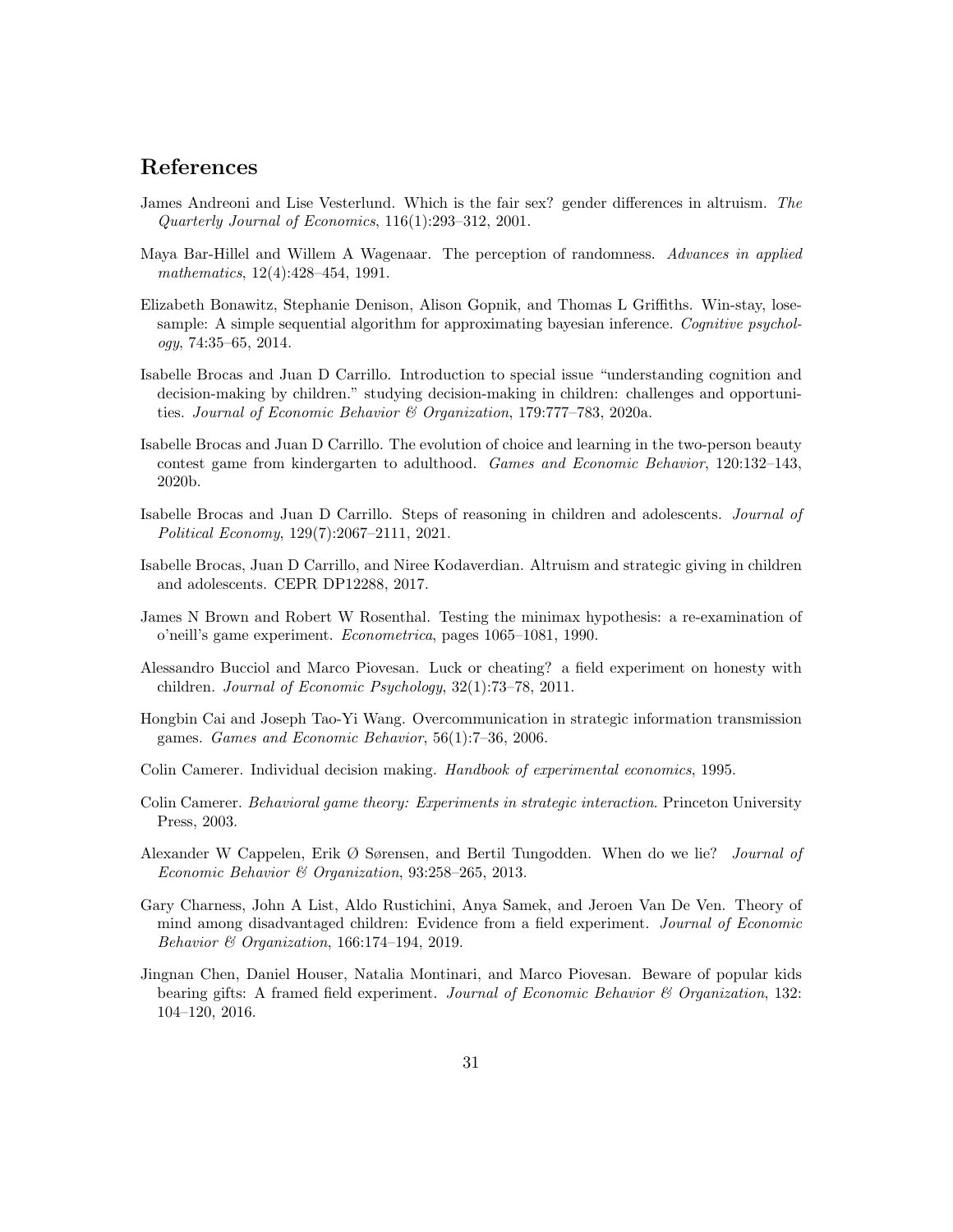# References

- <span id="page-31-10"></span>James Andreoni and Lise Vesterlund. Which is the fair sex? gender differences in altruism. The Quarterly Journal of Economics, 116(1):293–312, 2001.
- <span id="page-31-8"></span>Maya Bar-Hillel and Willem A Wagenaar. The perception of randomness. Advances in applied mathematics, 12(4):428–454, 1991.
- <span id="page-31-14"></span>Elizabeth Bonawitz, Stephanie Denison, Alison Gopnik, and Thomas L Griffiths. Win-stay, losesample: A simple sequential algorithm for approximating bayesian inference. Cognitive psychology, 74:35–65, 2014.
- <span id="page-31-5"></span>Isabelle Brocas and Juan D Carrillo. Introduction to special issue "understanding cognition and decision-making by children." studying decision-making in children: challenges and opportunities. Journal of Economic Behavior & Organization, 179:777–783, 2020a.
- <span id="page-31-3"></span>Isabelle Brocas and Juan D Carrillo. The evolution of choice and learning in the two-person beauty contest game from kindergarten to adulthood. Games and Economic Behavior, 120:132–143, 2020b.
- <span id="page-31-4"></span>Isabelle Brocas and Juan D Carrillo. Steps of reasoning in children and adolescents. Journal of Political Economy, 129(7):2067–2111, 2021.
- <span id="page-31-11"></span>Isabelle Brocas, Juan D Carrillo, and Niree Kodaverdian. Altruism and strategic giving in children and adolescents. CEPR DP12288, 2017.
- <span id="page-31-1"></span>James N Brown and Robert W Rosenthal. Testing the minimax hypothesis: a re-examination of o'neill's game experiment. Econometrica, pages 1065–1081, 1990.
- <span id="page-31-13"></span>Alessandro Bucciol and Marco Piovesan. Luck or cheating? a field experiment on honesty with children. Journal of Economic Psychology, 32(1):73–78, 2011.
- <span id="page-31-7"></span>Hongbin Cai and Joseph Tao-Yi Wang. Overcommunication in strategic information transmission games. Games and Economic Behavior, 56(1):7–36, 2006.
- <span id="page-31-9"></span>Colin Camerer. Individual decision making. Handbook of experimental economics, 1995.
- <span id="page-31-0"></span>Colin Camerer. Behavioral game theory: Experiments in strategic interaction. Princeton University Press, 2003.
- <span id="page-31-12"></span>Alexander W Cappelen, Erik Ø Sørensen, and Bertil Tungodden. When do we lie? Journal of Economic Behavior & Organization, 93:258–265, 2013.
- <span id="page-31-6"></span>Gary Charness, John A List, Aldo Rustichini, Anya Samek, and Jeroen Van De Ven. Theory of mind among disadvantaged children: Evidence from a field experiment. Journal of Economic Behavior & Organization, 166:174–194, 2019.
- <span id="page-31-2"></span>Jingnan Chen, Daniel Houser, Natalia Montinari, and Marco Piovesan. Beware of popular kids bearing gifts: A framed field experiment. Journal of Economic Behavior & Organization, 132: 104–120, 2016.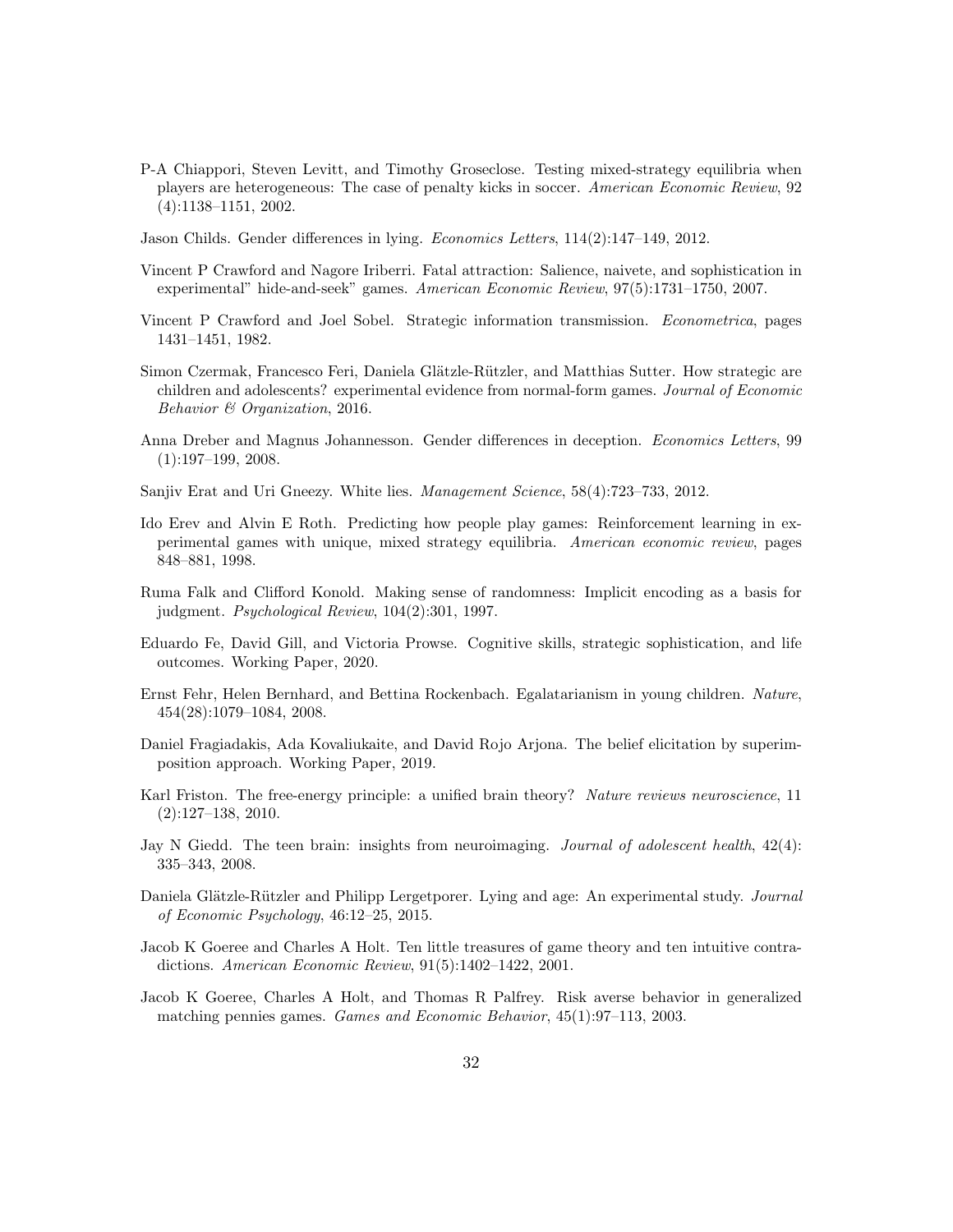- <span id="page-32-2"></span>P-A Chiappori, Steven Levitt, and Timothy Groseclose. Testing mixed-strategy equilibria when players are heterogeneous: The case of penalty kicks in soccer. American Economic Review, 92 (4):1138–1151, 2002.
- <span id="page-32-12"></span>Jason Childs. Gender differences in lying. Economics Letters, 114(2):147–149, 2012.
- <span id="page-32-1"></span>Vincent P Crawford and Nagore Iriberri. Fatal attraction: Salience, naivete, and sophistication in experimental" hide-and-seek" games. American Economic Review, 97(5):1731–1750, 2007.
- <span id="page-32-8"></span>Vincent P Crawford and Joel Sobel. Strategic information transmission. Econometrica, pages 1431–1451, 1982.
- <span id="page-32-4"></span>Simon Czermak, Francesco Feri, Daniela Glätzle-Rützler, and Matthias Sutter. How strategic are children and adolescents? experimental evidence from normal-form games. Journal of Economic Behavior & Organization, 2016.
- <span id="page-32-10"></span>Anna Dreber and Magnus Johannesson. Gender differences in deception. Economics Letters, 99 (1):197–199, 2008.
- <span id="page-32-11"></span>Sanjiv Erat and Uri Gneezy. White lies. Management Science, 58(4):723–733, 2012.
- <span id="page-32-16"></span>Ido Erev and Alvin E Roth. Predicting how people play games: Reinforcement learning in experimental games with unique, mixed strategy equilibria. American economic review, pages 848–881, 1998.
- <span id="page-32-14"></span>Ruma Falk and Clifford Konold. Making sense of randomness: Implicit encoding as a basis for judgment. Psychological Review, 104(2):301, 1997.
- <span id="page-32-5"></span>Eduardo Fe, David Gill, and Victoria Prowse. Cognitive skills, strategic sophistication, and life outcomes. Working Paper, 2020.
- <span id="page-32-9"></span>Ernst Fehr, Helen Bernhard, and Bettina Rockenbach. Egalatarianism in young children. Nature, 454(28):1079–1084, 2008.
- <span id="page-32-7"></span>Daniel Fragiadakis, Ada Kovaliukaite, and David Rojo Arjona. The belief elicitation by superimposition approach. Working Paper, 2019.
- <span id="page-32-15"></span>Karl Friston. The free-energy principle: a unified brain theory? Nature reviews neuroscience, 11 (2):127–138, 2010.
- <span id="page-32-6"></span>Jay N Giedd. The teen brain: insights from neuroimaging. *Journal of adolescent health*,  $42(4)$ : 335–343, 2008.
- <span id="page-32-13"></span>Daniela Glätzle-Rützler and Philipp Lergetporer. Lying and age: An experimental study. Journal of Economic Psychology, 46:12–25, 2015.
- <span id="page-32-3"></span>Jacob K Goeree and Charles A Holt. Ten little treasures of game theory and ten intuitive contradictions. American Economic Review, 91(5):1402–1422, 2001.
- <span id="page-32-0"></span>Jacob K Goeree, Charles A Holt, and Thomas R Palfrey. Risk averse behavior in generalized matching pennies games. Games and Economic Behavior, 45(1):97–113, 2003.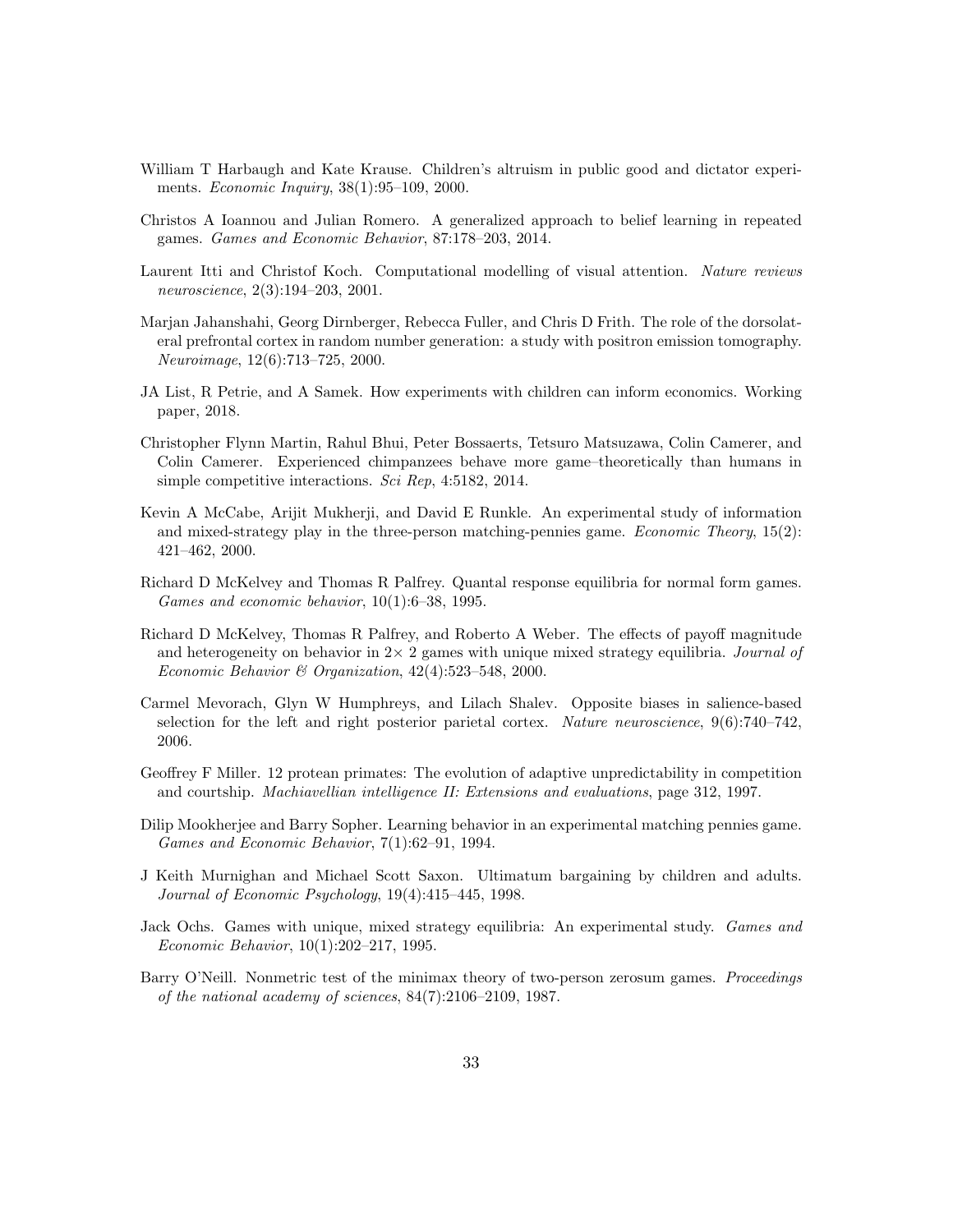- <span id="page-33-7"></span>William T Harbaugh and Kate Krause. Children's altruism in public good and dictator experiments. Economic Inquiry, 38(1):95–109, 2000.
- <span id="page-33-8"></span>Christos A Ioannou and Julian Romero. A generalized approach to belief learning in repeated games. Games and Economic Behavior, 87:178–203, 2014.
- <span id="page-33-13"></span>Laurent Itti and Christof Koch. Computational modelling of visual attention. Nature reviews neuroscience, 2(3):194–203, 2001.
- <span id="page-33-12"></span>Marjan Jahanshahi, Georg Dirnberger, Rebecca Fuller, and Chris D Frith. The role of the dorsolateral prefrontal cortex in random number generation: a study with positron emission tomography. Neuroimage, 12(6):713–725, 2000.
- <span id="page-33-5"></span>JA List, R Petrie, and A Samek. How experiments with children can inform economics. Working paper, 2018.
- <span id="page-33-10"></span>Christopher Flynn Martin, Rahul Bhui, Peter Bossaerts, Tetsuro Matsuzawa, Colin Camerer, and Colin Camerer. Experienced chimpanzees behave more game–theoretically than humans in simple competitive interactions. Sci Rep, 4:5182, 2014.
- <span id="page-33-4"></span>Kevin A McCabe, Arijit Mukherji, and David E Runkle. An experimental study of information and mixed-strategy play in the three-person matching-pennies game. Economic Theory, 15(2): 421–462, 2000.
- <span id="page-33-2"></span>Richard D McKelvey and Thomas R Palfrey. Quantal response equilibria for normal form games. Games and economic behavior, 10(1):6–38, 1995.
- <span id="page-33-9"></span>Richard D McKelvey, Thomas R Palfrey, and Roberto A Weber. The effects of payoff magnitude and heterogeneity on behavior in  $2 \times 2$  games with unique mixed strategy equilibria. Journal of Economic Behavior & Organization, 42(4):523–548, 2000.
- <span id="page-33-14"></span>Carmel Mevorach, Glyn W Humphreys, and Lilach Shalev. Opposite biases in salience-based selection for the left and right posterior parietal cortex. Nature neuroscience,  $9(6)$ :740–742, 2006.
- <span id="page-33-11"></span>Geoffrey F Miller. 12 protean primates: The evolution of adaptive unpredictability in competition and courtship. Machiavellian intelligence II: Extensions and evaluations, page 312, 1997.
- <span id="page-33-0"></span>Dilip Mookherjee and Barry Sopher. Learning behavior in an experimental matching pennies game. Games and Economic Behavior, 7(1):62–91, 1994.
- <span id="page-33-6"></span>J Keith Murnighan and Michael Scott Saxon. Ultimatum bargaining by children and adults. Journal of Economic Psychology, 19(4):415–445, 1998.
- <span id="page-33-1"></span>Jack Ochs. Games with unique, mixed strategy equilibria: An experimental study. Games and Economic Behavior, 10(1):202–217, 1995.
- <span id="page-33-3"></span>Barry O'Neill. Nonmetric test of the minimax theory of two-person zerosum games. Proceedings of the national academy of sciences, 84(7):2106–2109, 1987.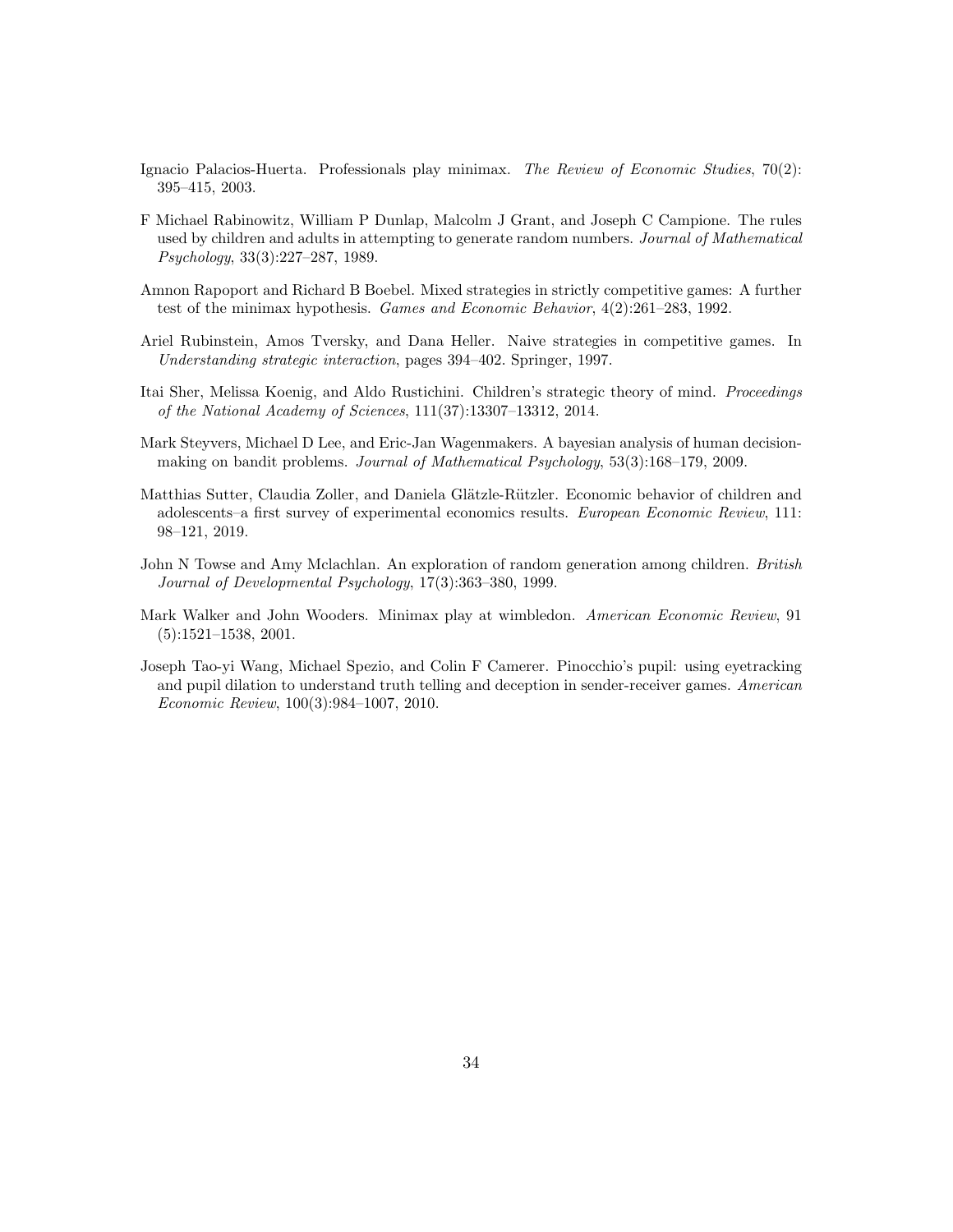- <span id="page-34-2"></span>Ignacio Palacios-Huerta. Professionals play minimax. The Review of Economic Studies, 70(2): 395–415, 2003.
- <span id="page-34-3"></span>F Michael Rabinowitz, William P Dunlap, Malcolm J Grant, and Joseph C Campione. The rules used by children and adults in attempting to generate random numbers. Journal of Mathematical Psychology, 33(3):227–287, 1989.
- <span id="page-34-0"></span>Amnon Rapoport and Richard B Boebel. Mixed strategies in strictly competitive games: A further test of the minimax hypothesis. Games and Economic Behavior, 4(2):261–283, 1992.
- <span id="page-34-7"></span>Ariel Rubinstein, Amos Tversky, and Dana Heller. Naive strategies in competitive games. In Understanding strategic interaction, pages 394–402. Springer, 1997.
- <span id="page-34-6"></span>Itai Sher, Melissa Koenig, and Aldo Rustichini. Children's strategic theory of mind. Proceedings of the National Academy of Sciences, 111(37):13307–13312, 2014.
- <span id="page-34-9"></span>Mark Steyvers, Michael D Lee, and Eric-Jan Wagenmakers. A bayesian analysis of human decisionmaking on bandit problems. Journal of Mathematical Psychology, 53(3):168–179, 2009.
- <span id="page-34-5"></span>Matthias Sutter, Claudia Zoller, and Daniela Glätzle-Rützler. Economic behavior of children and adolescents–a first survey of experimental economics results. European Economic Review, 111: 98–121, 2019.
- <span id="page-34-4"></span>John N Towse and Amy Mclachlan. An exploration of random generation among children. British Journal of Developmental Psychology, 17(3):363–380, 1999.
- <span id="page-34-1"></span>Mark Walker and John Wooders. Minimax play at wimbledon. American Economic Review, 91 (5):1521–1538, 2001.
- <span id="page-34-8"></span>Joseph Tao-yi Wang, Michael Spezio, and Colin F Camerer. Pinocchio's pupil: using eyetracking and pupil dilation to understand truth telling and deception in sender-receiver games. American Economic Review, 100(3):984–1007, 2010.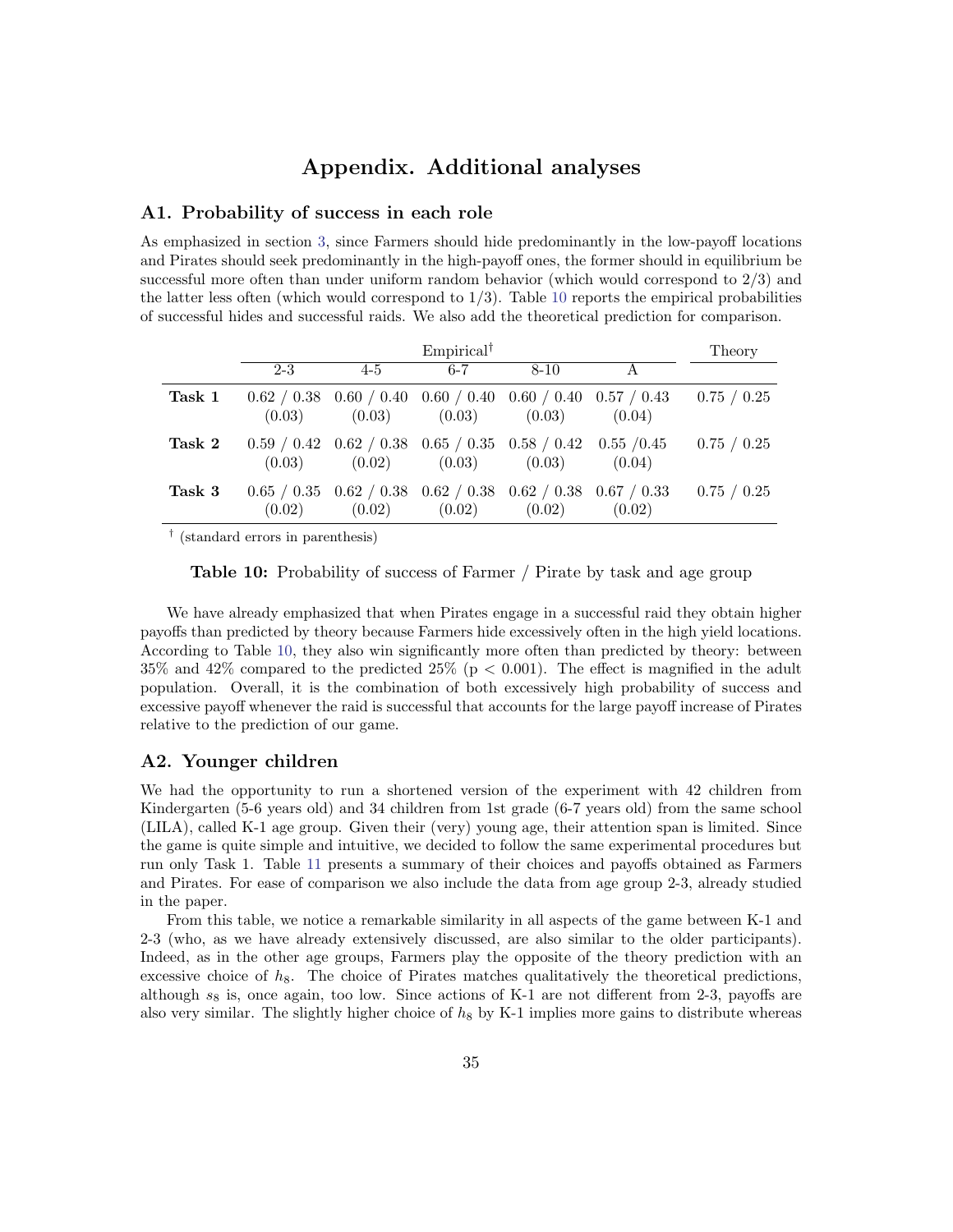# Appendix. Additional analyses

### A1. Probability of success in each role

As emphasized in section [3,](#page-10-0) since Farmers should hide predominantly in the low-payoff locations and Pirates should seek predominantly in the high-payoff ones, the former should in equilibrium be successful more often than under uniform random behavior (which would correspond to 2/3) and the latter less often (which would correspond to  $1/3$ ). Table [10](#page-35-0) reports the empirical probabilities of successful hides and successful raids. We also add the theoretical prediction for comparison.

<span id="page-35-0"></span>

|        |                                                                         |                                                                                 | $Empirical^{\dagger}$ |          |        | Theory      |
|--------|-------------------------------------------------------------------------|---------------------------------------------------------------------------------|-----------------------|----------|--------|-------------|
|        | $2 - 3$                                                                 | $4-5$                                                                           | $6 - 7$               | $8 - 10$ | A      |             |
| Task 1 | $0.62 / 0.38$ 0.60 / 0.40 0.60 / 0.40 0.60 / 0.40 0.57 / 0.43<br>(0.03) | (0.03)                                                                          | (0.03)                | (0.03)   | (0.04) | 0.75 / 0.25 |
| Task 2 | (0.03)                                                                  | $0.59 / 0.42$ $0.62 / 0.38$ $0.65 / 0.35$ $0.58 / 0.42$ $0.55 / 0.45$<br>(0.02) | (0.03)                | (0.03)   | (0.04) | 0.75 / 0.25 |
| Task 3 | (0.02)                                                                  | $0.65 / 0.35$ $0.62 / 0.38$ $0.62 / 0.38$ $0.62 / 0.38$ $0.67 / 0.33$<br>(0.02) | (0.02)                | (0.02)   | (0.02) | 0.75 / 0.25 |

† (standard errors in parenthesis)

Table 10: Probability of success of Farmer / Pirate by task and age group

We have already emphasized that when Pirates engage in a successful raid they obtain higher payoffs than predicted by theory because Farmers hide excessively often in the high yield locations. According to Table [10,](#page-35-0) they also win significantly more often than predicted by theory: between 35% and 42% compared to the predicted 25% ( $p < 0.001$ ). The effect is magnified in the adult population. Overall, it is the combination of both excessively high probability of success and excessive payoff whenever the raid is successful that accounts for the large payoff increase of Pirates relative to the prediction of our game.

#### A2. Younger children

We had the opportunity to run a shortened version of the experiment with 42 children from Kindergarten (5-6 years old) and 34 children from 1st grade (6-7 years old) from the same school (LILA), called K-1 age group. Given their (very) young age, their attention span is limited. Since the game is quite simple and intuitive, we decided to follow the same experimental procedures but run only Task 1. Table [11](#page-36-0) presents a summary of their choices and payoffs obtained as Farmers and Pirates. For ease of comparison we also include the data from age group 2-3, already studied in the paper.

From this table, we notice a remarkable similarity in all aspects of the game between K-1 and 2-3 (who, as we have already extensively discussed, are also similar to the older participants). Indeed, as in the other age groups, Farmers play the opposite of the theory prediction with an excessive choice of  $h_8$ . The choice of Pirates matches qualitatively the theoretical predictions, although  $s_8$  is, once again, too low. Since actions of K-1 are not different from 2-3, payoffs are also very similar. The slightly higher choice of  $h_8$  by K-1 implies more gains to distribute whereas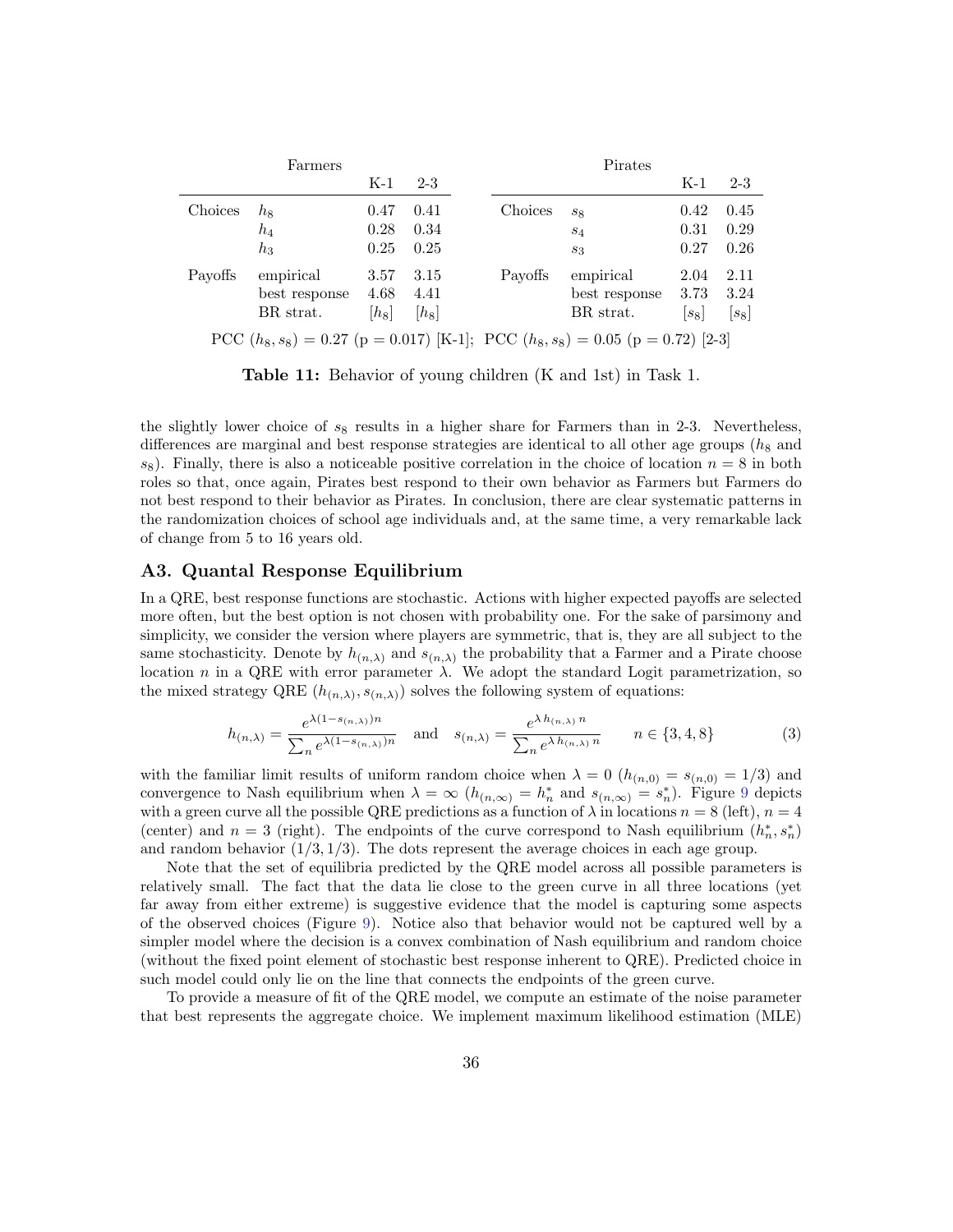<span id="page-36-0"></span>

|         | Farmers                                                                             |         |         |         | Pirates       |         |         |  |  |  |
|---------|-------------------------------------------------------------------------------------|---------|---------|---------|---------------|---------|---------|--|--|--|
|         |                                                                                     | $K-1$   | $2 - 3$ |         |               | $K-1$   | $2 - 3$ |  |  |  |
| Choices | $h_8$                                                                               | 0.47    | 0.41    | Choices | $s_{8}$       | 0.42    | 0.45    |  |  |  |
|         | $h_4$                                                                               | 0.28    | 0.34    |         | $S_4$         | 0.31    | 0.29    |  |  |  |
|         | $h_3$                                                                               | 0.25    | 0.25    |         | $s_3$         | 0.27    | 0.26    |  |  |  |
| Payoffs | empirical                                                                           | 3.57    | 3.15    | Payoffs | empirical     | 2.04    | 2.11    |  |  |  |
|         | best response                                                                       | 4.68    | 4.41    |         | best response | 3.73    | 3.24    |  |  |  |
|         | BR strat.                                                                           | $[h_8]$ | $ h_8 $ |         | BR strat.     | $ s_8 $ | $ s_8 $ |  |  |  |
|         | PCC $(h_8, s_8) = 0.27$ (p = 0.017) [K-1]; PCC $(h_8, s_8) = 0.05$ (p = 0.72) [2-3] |         |         |         |               |         |         |  |  |  |

Table 11: Behavior of young children (K and 1st) in Task 1.

the slightly lower choice of  $s_8$  results in a higher share for Farmers than in 2-3. Nevertheless, differences are marginal and best response strategies are identical to all other age groups  $(h_8$  and  $s_8$ ). Finally, there is also a noticeable positive correlation in the choice of location  $n = 8$  in both roles so that, once again, Pirates best respond to their own behavior as Farmers but Farmers do not best respond to their behavior as Pirates. In conclusion, there are clear systematic patterns in the randomization choices of school age individuals and, at the same time, a very remarkable lack of change from 5 to 16 years old.

### A3. Quantal Response Equilibrium

In a QRE, best response functions are stochastic. Actions with higher expected payoffs are selected more often, but the best option is not chosen with probability one. For the sake of parsimony and simplicity, we consider the version where players are symmetric, that is, they are all subject to the same stochasticity. Denote by  $h_{(n,\lambda)}$  and  $s_{(n,\lambda)}$  the probability that a Farmer and a Pirate choose location n in a QRE with error parameter  $\lambda$ . We adopt the standard Logit parametrization, so the mixed strategy QRE  $(h_{(n,\lambda)}, s_{(n,\lambda)})$  solves the following system of equations:

<span id="page-36-1"></span>
$$
h_{(n,\lambda)} = \frac{e^{\lambda(1 - s_{(n,\lambda)})n}}{\sum_n e^{\lambda(1 - s_{(n,\lambda)})n}} \quad \text{and} \quad s_{(n,\lambda)} = \frac{e^{\lambda h_{(n,\lambda)}n}}{\sum_n e^{\lambda h_{(n,\lambda)}n}} \qquad n \in \{3, 4, 8\}
$$
 (3)

with the familiar limit results of uniform random choice when  $\lambda = 0$  ( $h_{(n,0)} = s_{(n,0)} = 1/3$ ) and convergence to Nash equilibrium when  $\lambda = \infty$   $(h_{(n,\infty)} = h_n^*$  and  $s_{(n,\infty)} = s_n^*$ ). Figure [9](#page-37-0) depicts with a green curve all the possible QRE predictions as a function of  $\lambda$  in locations  $n = 8$  (left),  $n = 4$ (center) and  $n = 3$  (right). The endpoints of the curve correspond to Nash equilibrium  $(h_n^*, s_n^*)$ and random behavior  $(1/3, 1/3)$ . The dots represent the average choices in each age group.

Note that the set of equilibria predicted by the QRE model across all possible parameters is relatively small. The fact that the data lie close to the green curve in all three locations (yet far away from either extreme) is suggestive evidence that the model is capturing some aspects of the observed choices (Figure [9\)](#page-37-0). Notice also that behavior would not be captured well by a simpler model where the decision is a convex combination of Nash equilibrium and random choice (without the fixed point element of stochastic best response inherent to QRE). Predicted choice in such model could only lie on the line that connects the endpoints of the green curve.

To provide a measure of fit of the QRE model, we compute an estimate of the noise parameter that best represents the aggregate choice. We implement maximum likelihood estimation (MLE)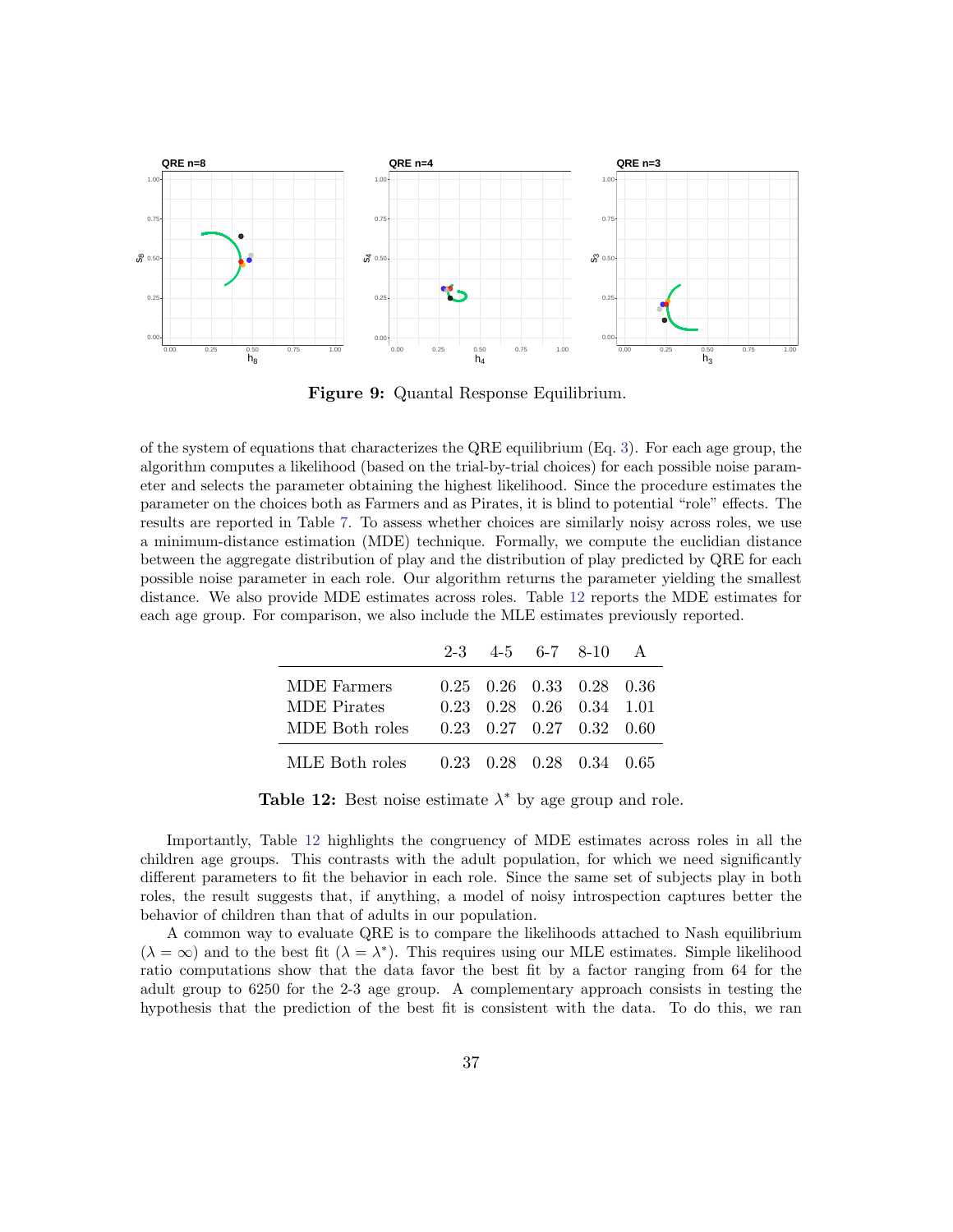<span id="page-37-0"></span>

Figure 9: Quantal Response Equilibrium.

of the system of equations that characterizes the QRE equilibrium (Eq. [3\)](#page-36-1). For each age group, the algorithm computes a likelihood (based on the trial-by-trial choices) for each possible noise parameter and selects the parameter obtaining the highest likelihood. Since the procedure estimates the parameter on the choices both as Farmers and as Pirates, it is blind to potential "role" effects. The results are reported in Table [7.](#page-22-0) To assess whether choices are similarly noisy across roles, we use a minimum-distance estimation (MDE) technique. Formally, we compute the euclidian distance between the aggregate distribution of play and the distribution of play predicted by QRE for each possible noise parameter in each role. Our algorithm returns the parameter yielding the smallest distance. We also provide MDE estimates across roles. Table [12](#page-37-1) reports the MDE estimates for each age group. For comparison, we also include the MLE estimates previously reported.

<span id="page-37-1"></span>

|                                         |  | $2-3$ 4-5 6-7 8-10 A                               |  |
|-----------------------------------------|--|----------------------------------------------------|--|
| MDE Farmers                             |  | $0.25$ $0.26$ $0.33$ $0.28$ $0.36$                 |  |
| <b>MDE</b> Pirates                      |  | $0.23 \quad 0.28 \quad 0.26 \quad 0.34 \quad 1.01$ |  |
| MDE Both roles                          |  | $0.23$ $0.27$ $0.27$ $0.32$ $0.60$                 |  |
| MLE Both roles 0.23 0.28 0.28 0.34 0.65 |  |                                                    |  |

Table 12: Best noise estimate  $\lambda^*$  by age group and role.

Importantly, Table [12](#page-37-1) highlights the congruency of MDE estimates across roles in all the children age groups. This contrasts with the adult population, for which we need significantly different parameters to fit the behavior in each role. Since the same set of subjects play in both roles, the result suggests that, if anything, a model of noisy introspection captures better the behavior of children than that of adults in our population.

A common way to evaluate QRE is to compare the likelihoods attached to Nash equilibrium  $(\lambda = \infty)$  and to the best fit  $(\lambda = \lambda^*)$ . This requires using our MLE estimates. Simple likelihood ratio computations show that the data favor the best fit by a factor ranging from 64 for the adult group to 6250 for the 2-3 age group. A complementary approach consists in testing the hypothesis that the prediction of the best fit is consistent with the data. To do this, we ran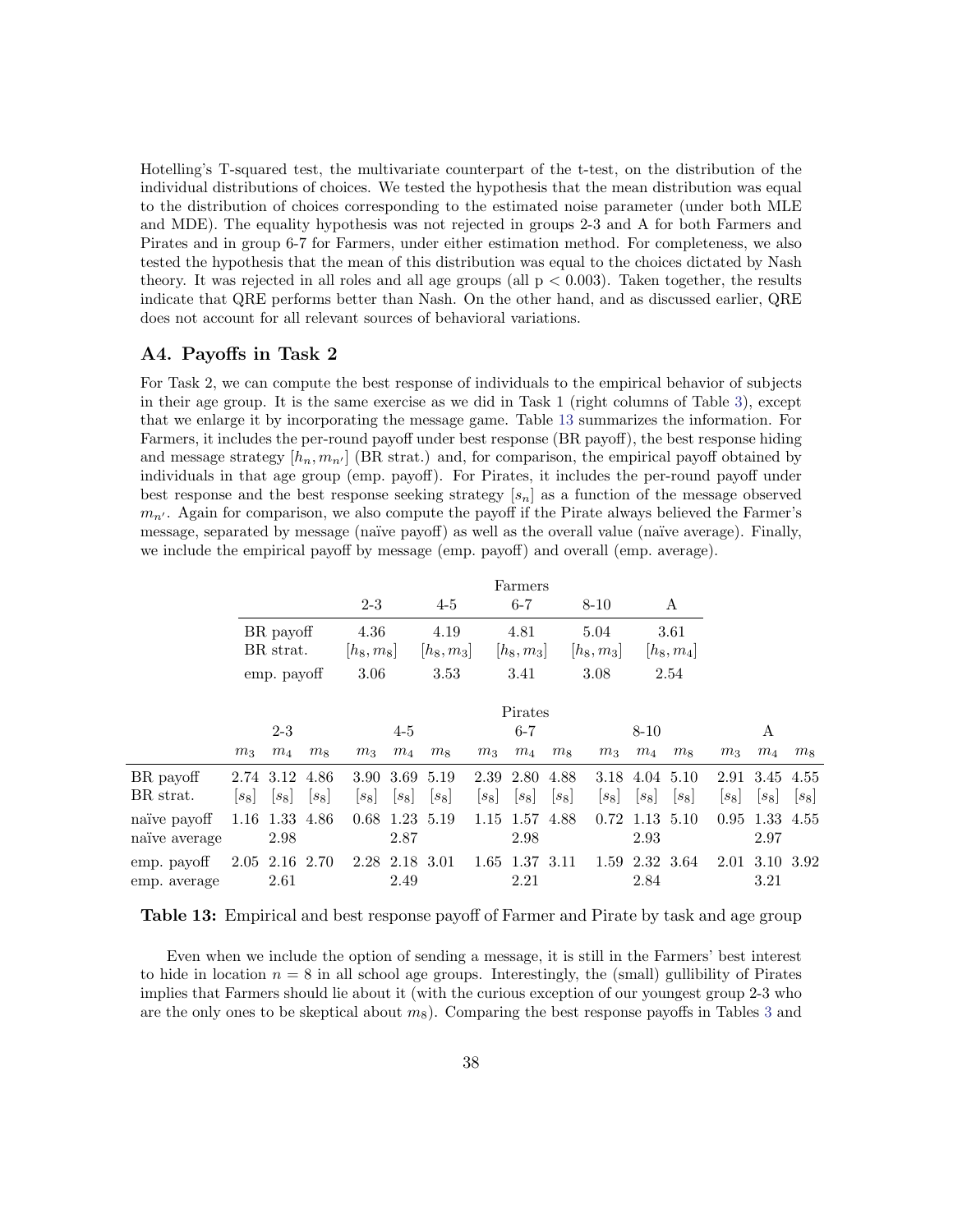Hotelling's T-squared test, the multivariate counterpart of the t-test, on the distribution of the individual distributions of choices. We tested the hypothesis that the mean distribution was equal to the distribution of choices corresponding to the estimated noise parameter (under both MLE and MDE). The equality hypothesis was not rejected in groups 2-3 and A for both Farmers and Pirates and in group 6-7 for Farmers, under either estimation method. For completeness, we also tested the hypothesis that the mean of this distribution was equal to the choices dictated by Nash theory. It was rejected in all roles and all age groups (all  $p < 0.003$ ). Taken together, the results indicate that QRE performs better than Nash. On the other hand, and as discussed earlier, QRE does not account for all relevant sources of behavioral variations.

### A4. Payoffs in Task 2

For Task 2, we can compute the best response of individuals to the empirical behavior of subjects in their age group. It is the same exercise as we did in Task 1 (right columns of Table [3\)](#page-16-0), except that we enlarge it by incorporating the message game. Table [13](#page-38-0) summarizes the information. For Farmers, it includes the per-round payoff under best response (BR payoff), the best response hiding and message strategy  $[h_n, m_{n'}]$  (BR strat.) and, for comparison, the empirical payoff obtained by individuals in that age group (emp. payoff). For Pirates, it includes the per-round payoff under best response and the best response seeking strategy  $[s_n]$  as a function of the message observed  $m_{n'}$ . Again for comparison, we also compute the payoff if the Pirate always believed the Farmer's message, separated by message (na¨ıve payoff) as well as the overall value (na¨ıve average). Finally, we include the empirical payoff by message (emp. payoff) and overall (emp. average).

<span id="page-38-0"></span>

|                               |                                       |                        |                      |                |                      |                |                      | Farmers                |                      |                                 |                          |                |                |                   |                |
|-------------------------------|---------------------------------------|------------------------|----------------------|----------------|----------------------|----------------|----------------------|------------------------|----------------------|---------------------------------|--------------------------|----------------|----------------|-------------------|----------------|
|                               |                                       |                        |                      | $2 - 3$        |                      | $4-5$          |                      | $6 - 7$                |                      | $8 - 10$                        |                          | А              |                |                   |                |
|                               | BR payoff<br>BR strat.<br>emp. payoff |                        | 4.36<br>$[h_8, m_8]$ |                | 4.19<br>$ h_8, m_3 $ |                | 4.81<br>$ h_8, m_3 $ |                        | 5.04<br>$ h_8, m_3 $ |                                 | 3.61<br>$ h_8, m_4 $     |                |                |                   |                |
|                               |                                       |                        | 3.06<br>3.53         |                | 3.41                 |                | 3.08<br>2.54         |                        |                      |                                 |                          |                |                |                   |                |
|                               |                                       |                        |                      |                |                      |                |                      | Pirates                |                      |                                 |                          |                |                |                   |                |
|                               | $2 - 3$                               |                        | $4 - 5$              |                | $6 - 7$              |                | 8-10                 |                        | A                    |                                 |                          |                |                |                   |                |
|                               | m <sub>3</sub>                        | $m_4$                  | m <sub>8</sub>       | m <sub>3</sub> | $m_4$                | m <sub>8</sub> | m <sub>3</sub>       | $m_4$                  | m <sub>8</sub>       | m <sub>3</sub>                  | $m_4$                    | m <sub>8</sub> | m <sub>3</sub> | $m_4$             | m <sub>8</sub> |
| BR payoff                     |                                       | 2.74 3.12              | 4.86                 |                |                      | 3.90 3.69 5.19 |                      | 2.39 2.80              | 4.88                 | 3.18                            | 4.04 5.10                |                | 2.91           | 3.45              | 4.55           |
| BR strat.                     | $ s_8 $                               | $ s_8 $                | $ s_8 $              | $ s_8 $        | $ s_8 $              | $[s_8]$        | $ s_8 $              | $ s_8 $                | $ s_8 $              | $\left\lfloor s_8\right\rfloor$ | $ s_8 $                  | $ s_8 $        | $ s_8 $        | $ s_8 $           | $[s_8]$        |
| naïve pavoff<br>naïve average |                                       | 1.16 1.33 4.86<br>2.98 |                      | 0.68           | 2.87                 | 1.23 5.19      |                      | 1.15 1.57 4.88<br>2.98 |                      |                                 | $0.72$ 1.13 5.10<br>2.93 |                | 0.95           | 1.33 4.55<br>2.97 |                |
| emp. payoff<br>emp. average   |                                       | 2.05 2.16 2.70<br>2.61 |                      |                | 2.49                 | 2.28 2.18 3.01 |                      | 1.65 1.37 3.11<br>2.21 |                      |                                 | 1.59 2.32 3.64<br>2.84   |                | 2.01           | 3.10 3.92<br>3.21 |                |

Table 13: Empirical and best response payoff of Farmer and Pirate by task and age group

Even when we include the option of sending a message, it is still in the Farmers' best interest to hide in location  $n = 8$  in all school age groups. Interestingly, the (small) gullibility of Pirates implies that Farmers should lie about it (with the curious exception of our youngest group 2-3 who are the only ones to be skeptical about  $m_8$ ). Comparing the best response payoffs in Tables [3](#page-16-0) and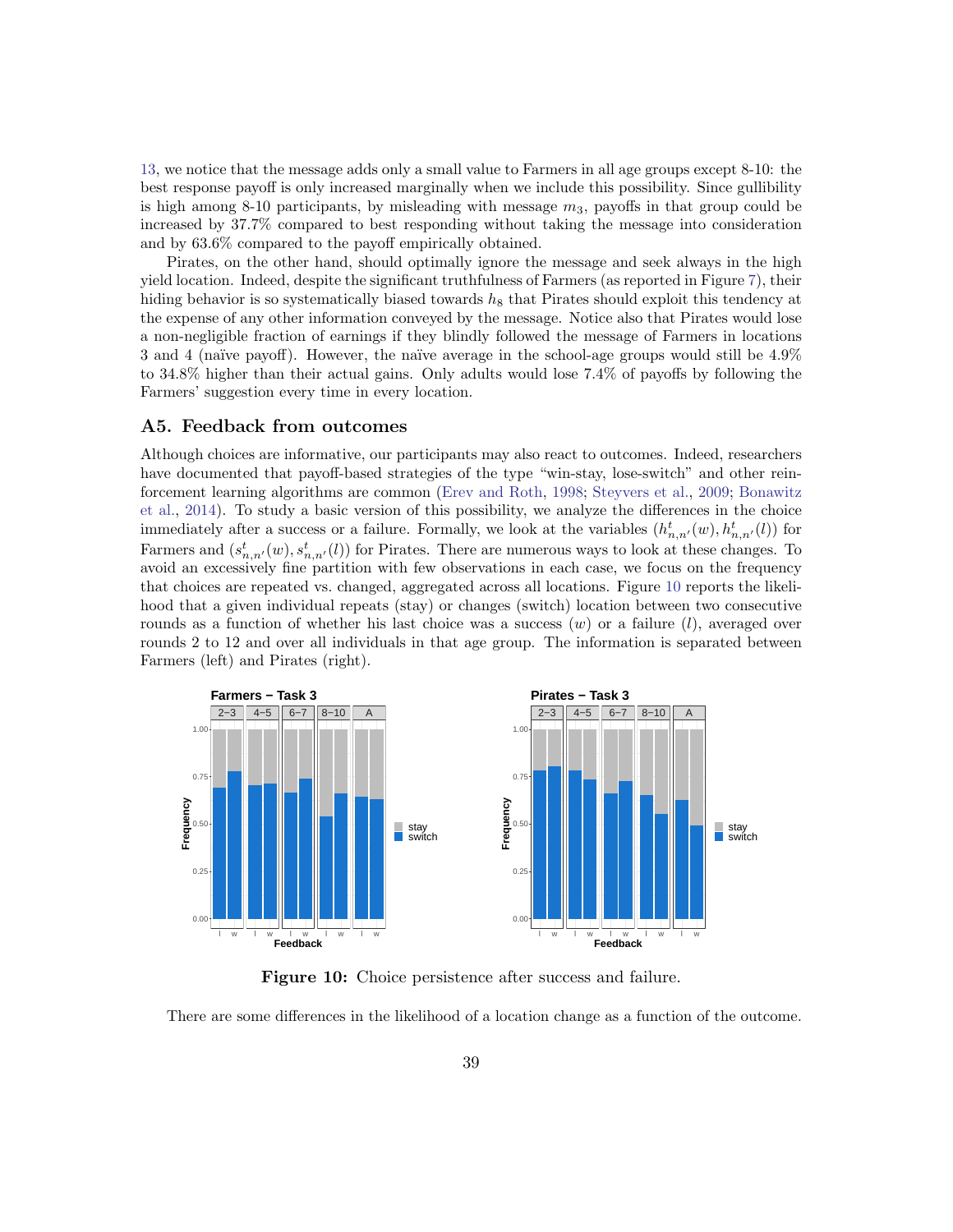[13,](#page-38-0) we notice that the message adds only a small value to Farmers in all age groups except 8-10: the best response payoff is only increased marginally when we include this possibility. Since gullibility is high among 8-10 participants, by misleading with message  $m_3$ , payoffs in that group could be increased by 37.7% compared to best responding without taking the message into consideration and by 63.6% compared to the payoff empirically obtained.

Pirates, on the other hand, should optimally ignore the message and seek always in the high yield location. Indeed, despite the significant truthfulness of Farmers (as reported in Figure [7\)](#page-24-0), their hiding behavior is so systematically biased towards  $h_8$  that Pirates should exploit this tendency at the expense of any other information conveyed by the message. Notice also that Pirates would lose a non-negligible fraction of earnings if they blindly followed the message of Farmers in locations 3 and 4 (naïve payoff). However, the naïve average in the school-age groups would still be 4.9% to 34.8% higher than their actual gains. Only adults would lose 7.4% of payoffs by following the Farmers' suggestion every time in every location.

### A5. Feedback from outcomes

Although choices are informative, our participants may also react to outcomes. Indeed, researchers have documented that payoff-based strategies of the type "win-stay, lose-switch" and other reinforcement learning algorithms are common [\(Erev and Roth,](#page-32-16) [1998;](#page-32-16) [Steyvers et al.,](#page-34-9) [2009;](#page-34-9) [Bonawitz](#page-31-14) [et al.,](#page-31-14) [2014\)](#page-31-14). To study a basic version of this possibility, we analyze the differences in the choice immediately after a success or a failure. Formally, we look at the variables  $(h_{n,n'}^t(w), h_{n,n'}^t(l))$  for Farmers and  $(s_{n,n'}^t(w), s_{n,n'}^t(l))$  for Pirates. There are numerous ways to look at these changes. To avoid an excessively fine partition with few observations in each case, we focus on the frequency that choices are repeated vs. changed, aggregated across all locations. Figure [10](#page-39-0) reports the likelihood that a given individual repeats (stay) or changes (switch) location between two consecutive rounds as a function of whether his last choice was a success  $(w)$  or a failure  $(l)$ , averaged over rounds 2 to 12 and over all individuals in that age group. The information is separated between Farmers (left) and Pirates (right).

<span id="page-39-0"></span>

Figure 10: Choice persistence after success and failure.

There are some differences in the likelihood of a location change as a function of the outcome.